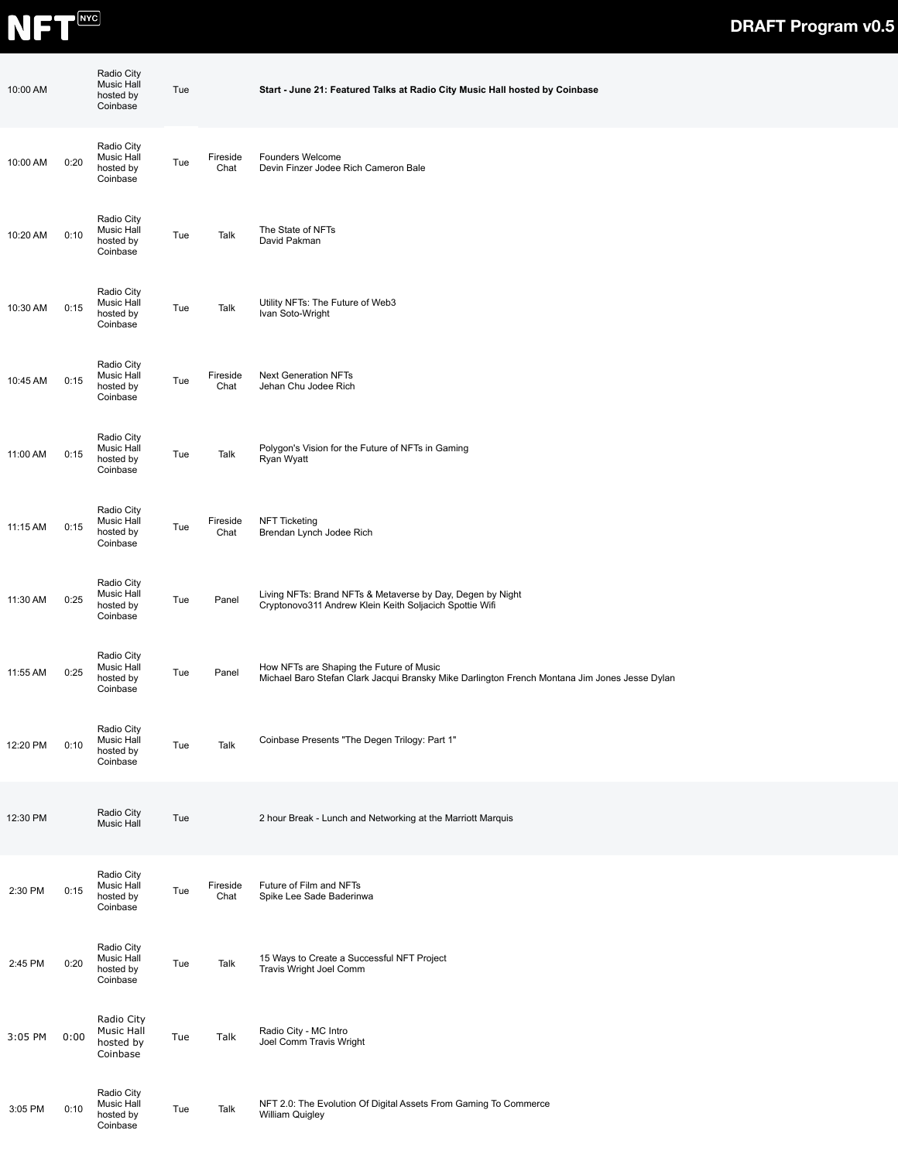

| 10:00 AM |      | Radio City<br>Music Hall<br>hosted by<br>Coinbase | Tue |                  | Start - June 21: Featured Talks at Radio City Music Hall hosted by Coinbase                                                               |  |  |
|----------|------|---------------------------------------------------|-----|------------------|-------------------------------------------------------------------------------------------------------------------------------------------|--|--|
| 10:00 AM | 0:20 | Radio City<br>Music Hall<br>hosted by<br>Coinbase | Tue | Fireside<br>Chat | Founders Welcome<br>Devin Finzer Jodee Rich Cameron Bale                                                                                  |  |  |
| 10:20 AM | 0:10 | Radio City<br>Music Hall<br>hosted by<br>Coinbase | Tue | Talk             | The State of NFTs<br>David Pakman                                                                                                         |  |  |
| 10:30 AM | 0:15 | Radio City<br>Music Hall<br>hosted by<br>Coinbase | Tue | Talk             | Utility NFTs: The Future of Web3<br>Ivan Soto-Wright                                                                                      |  |  |
| 10:45 AM | 0:15 | Radio City<br>Music Hall<br>hosted by<br>Coinbase | Tue | Fireside<br>Chat | <b>Next Generation NFTs</b><br>Jehan Chu Jodee Rich                                                                                       |  |  |
| 11:00 AM | 0:15 | Radio City<br>Music Hall<br>hosted by<br>Coinbase | Tue | Talk             | Polygon's Vision for the Future of NFTs in Gaming<br>Ryan Wyatt                                                                           |  |  |
| 11:15 AM | 0:15 | Radio City<br>Music Hall<br>hosted by<br>Coinbase | Tue | Fireside<br>Chat | <b>NFT Ticketing</b><br>Brendan Lynch Jodee Rich                                                                                          |  |  |
| 11:30 AM | 0:25 | Radio City<br>Music Hall<br>hosted by<br>Coinbase | Tue | Panel            | Living NFTs: Brand NFTs & Metaverse by Day, Degen by Night<br>Cryptonovo311 Andrew Klein Keith Soljacich Spottie Wifi                     |  |  |
| 11:55 AM | 0:25 | Radio City<br>Music Hall<br>hosted by<br>Coinbase | Tue | Panel            | How NFTs are Shaping the Future of Music<br>Michael Baro Stefan Clark Jacqui Bransky Mike Darlington French Montana Jim Jones Jesse Dylan |  |  |
| 12:20 PM | 0:10 | Radio City<br>Music Hall<br>hosted by<br>Coinbase | Tue | Talk             | Coinbase Presents "The Degen Trilogy: Part 1"                                                                                             |  |  |
| 12:30 PM |      | Radio City<br>Music Hall                          | Tue |                  | 2 hour Break - Lunch and Networking at the Marriott Marquis                                                                               |  |  |
| 2:30 PM  | 0:15 | Radio City<br>Music Hall<br>hosted by<br>Coinbase | Tue | Fireside<br>Chat | Future of Film and NFTs<br>Spike Lee Sade Baderinwa                                                                                       |  |  |
| 2:45 PM  | 0:20 | Radio City<br>Music Hall<br>hosted by<br>Coinbase | Tue | Talk             | 15 Ways to Create a Successful NFT Project<br>Travis Wright Joel Comm                                                                     |  |  |
| 3:05 PM  | 0:00 | Radio City<br>Music Hall<br>hosted by<br>Coinbase | Tue | Talk             | Radio City - MC Intro<br>Joel Comm Travis Wright                                                                                          |  |  |
| 3:05 PM  | 0:10 | Radio City<br>Music Hall<br>hosted by<br>Coinbase | Tue | Talk             | NFT 2.0: The Evolution Of Digital Assets From Gaming To Commerce<br>William Quigley                                                       |  |  |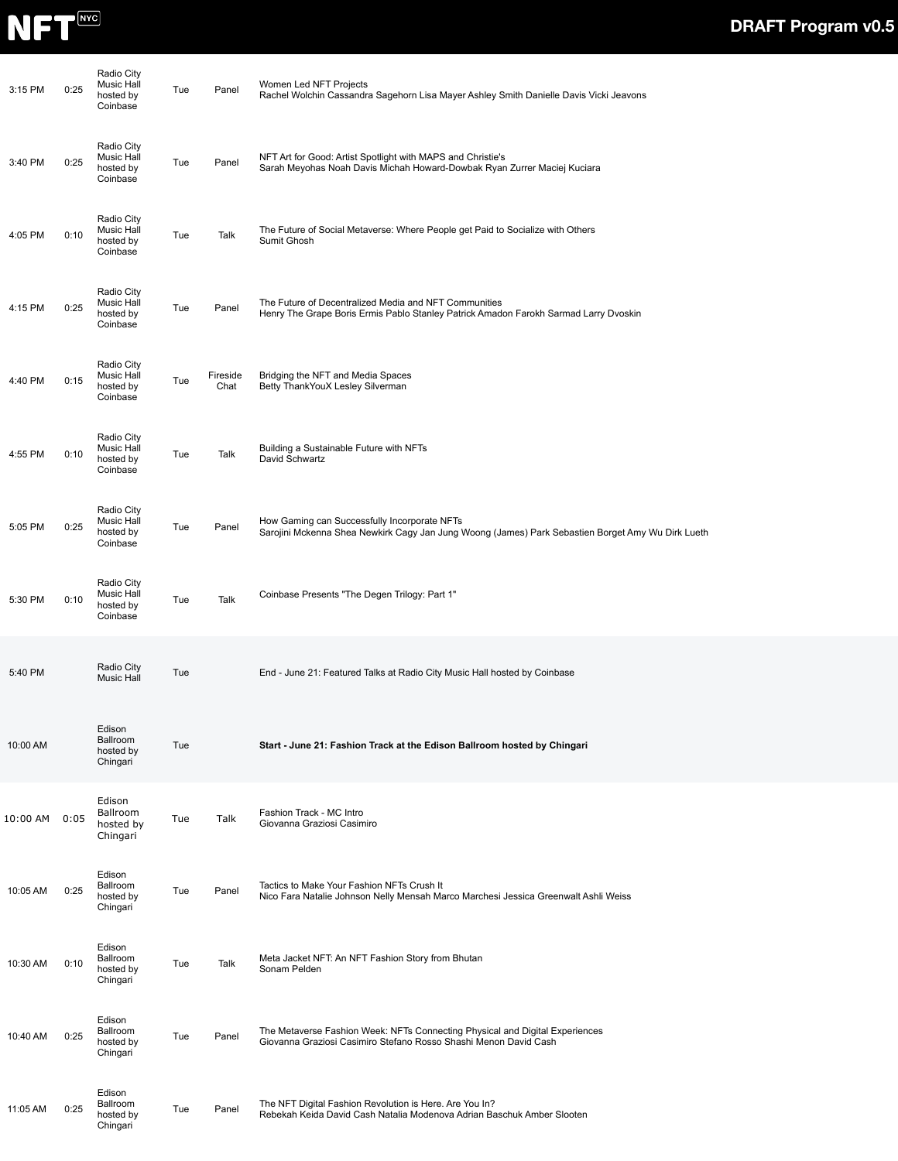

| 3:15 PM  | 0:25 | Radio City<br>Music Hall<br>hosted by<br>Coinbase | Tue | Panel            | Women Led NFT Projects<br>Rachel Wolchin Cassandra Sagehorn Lisa Mayer Ashley Smith Danielle Davis Vicki Jeavons                                  |  |
|----------|------|---------------------------------------------------|-----|------------------|---------------------------------------------------------------------------------------------------------------------------------------------------|--|
| 3:40 PM  | 0:25 | Radio City<br>Music Hall<br>hosted by<br>Coinbase | Tue | Panel            | NFT Art for Good: Artist Spotlight with MAPS and Christie's<br>Sarah Meyohas Noah Davis Michah Howard-Dowbak Ryan Zurrer Maciej Kuciara           |  |
| 4:05 PM  | 0:10 | Radio City<br>Music Hall<br>hosted by<br>Coinbase | Tue | Talk             | The Future of Social Metaverse: Where People get Paid to Socialize with Others<br>Sumit Ghosh                                                     |  |
| 4:15 PM  | 0:25 | Radio City<br>Music Hall<br>hosted by<br>Coinbase | Tue | Panel            | The Future of Decentralized Media and NFT Communities<br>Henry The Grape Boris Ermis Pablo Stanley Patrick Amadon Farokh Sarmad Larry Dvoskin     |  |
| 4:40 PM  | 0:15 | Radio City<br>Music Hall<br>hosted by<br>Coinbase | Tue | Fireside<br>Chat | Bridging the NFT and Media Spaces<br>Betty ThankYouX Lesley Silverman                                                                             |  |
| 4:55 PM  | 0:10 | Radio City<br>Music Hall<br>hosted by<br>Coinbase | Tue | Talk             | Building a Sustainable Future with NFTs<br>David Schwartz                                                                                         |  |
| 5:05 PM  | 0:25 | Radio City<br>Music Hall<br>hosted by<br>Coinbase | Tue | Panel            | How Gaming can Successfully Incorporate NFTs<br>Sarojini Mckenna Shea Newkirk Cagy Jan Jung Woong (James) Park Sebastien Borget Amy Wu Dirk Lueth |  |
| 5:30 PM  | 0:10 | Radio City<br>Music Hall<br>hosted by<br>Coinbase | Tue | Talk             | Coinbase Presents "The Degen Trilogy: Part 1"                                                                                                     |  |
| 5:40 PM  |      | Radio City<br><b>Music Hall</b>                   | Tue |                  | End - June 21: Featured Talks at Radio City Music Hall hosted by Coinbase                                                                         |  |
| 10:00 AM |      | Edison<br>Ballroom<br>hosted by<br>Chingari       | Tue |                  | Start - June 21: Fashion Track at the Edison Ballroom hosted by Chingari                                                                          |  |
| 10:00 AM | 0:05 | Edison<br>Ballroom<br>hosted by<br>Chingari       | Tue | Talk             | Fashion Track - MC Intro<br>Giovanna Graziosi Casimiro                                                                                            |  |
| 10:05 AM | 0:25 | Edison<br>Ballroom<br>hosted by<br>Chingari       | Tue | Panel            | Tactics to Make Your Fashion NFTs Crush It<br>Nico Fara Natalie Johnson Nelly Mensah Marco Marchesi Jessica Greenwalt Ashli Weiss                 |  |
| 10:30 AM | 0:10 | Edison<br>Ballroom<br>hosted by<br>Chingari       | Tue | Talk             | Meta Jacket NFT: An NFT Fashion Story from Bhutan<br>Sonam Pelden                                                                                 |  |
| 10:40 AM | 0:25 | Edison<br>Ballroom<br>hosted by<br>Chingari       | Tue | Panel            | The Metaverse Fashion Week: NFTs Connecting Physical and Digital Experiences<br>Giovanna Graziosi Casimiro Stefano Rosso Shashi Menon David Cash  |  |
| 11:05 AM | 0:25 | Edison<br>Ballroom<br>hosted by<br>Chingari       | Tue | Panel            | The NFT Digital Fashion Revolution is Here. Are You In?<br>Rebekah Keida David Cash Natalia Modenova Adrian Baschuk Amber Slooten                 |  |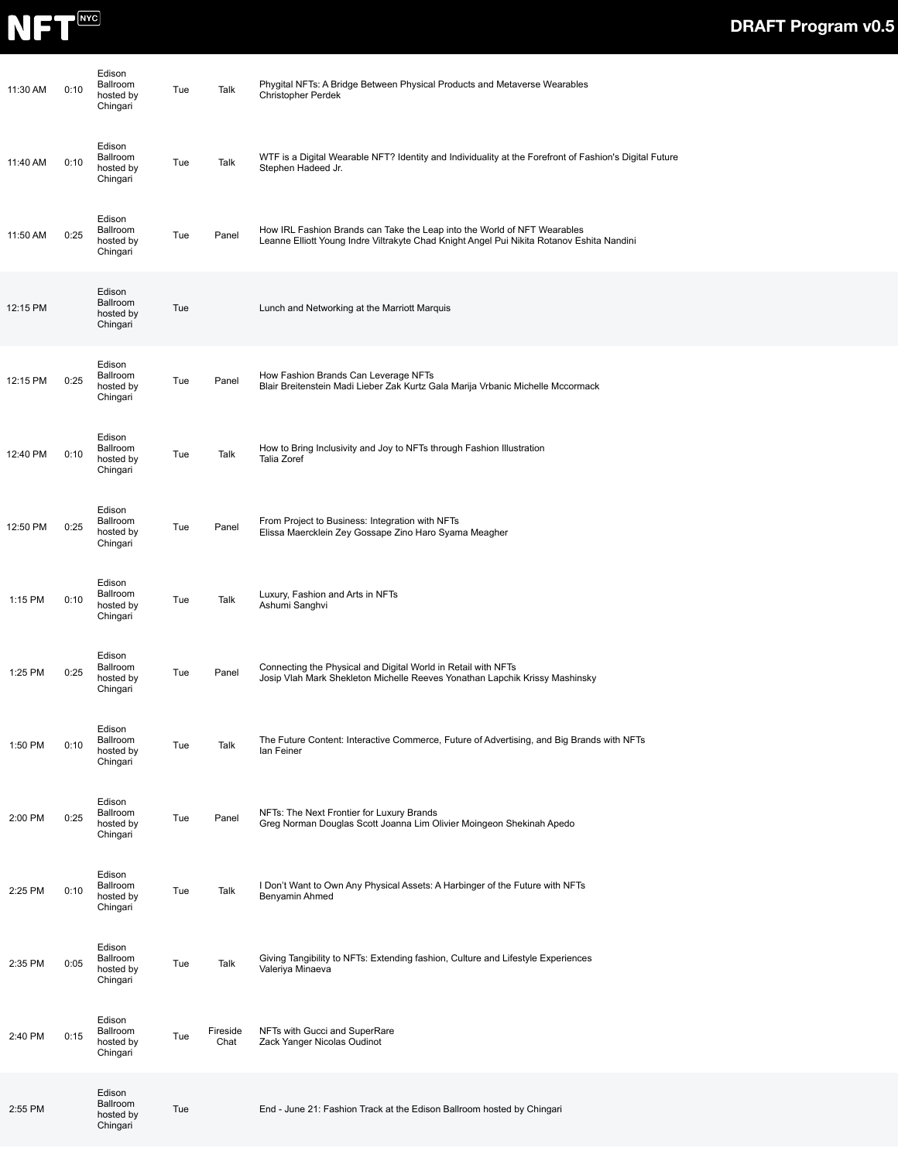

| 11:30 AM | 0:10 | Edison<br>Ballroom<br>hosted by<br>Chingari | Tue | Talk             | Phygital NFTs: A Bridge Between Physical Products and Metaverse Wearables<br>Christopher Perdek                                                                       |
|----------|------|---------------------------------------------|-----|------------------|-----------------------------------------------------------------------------------------------------------------------------------------------------------------------|
| 11:40 AM | 0:10 | Edison<br>Ballroom<br>hosted by<br>Chingari | Tue | Talk             | WTF is a Digital Wearable NFT? Identity and Individuality at the Forefront of Fashion's Digital Future<br>Stephen Hadeed Jr.                                          |
| 11:50 AM | 0:25 | Edison<br>Ballroom<br>hosted by<br>Chingari | Tue | Panel            | How IRL Fashion Brands can Take the Leap into the World of NFT Wearables<br>Leanne Elliott Young Indre Viltrakyte Chad Knight Angel Pui Nikita Rotanov Eshita Nandini |
| 12:15 PM |      | Edison<br>Ballroom<br>hosted by<br>Chingari | Tue |                  | Lunch and Networking at the Marriott Marquis                                                                                                                          |
| 12:15 PM | 0:25 | Edison<br>Ballroom<br>hosted by<br>Chingari | Tue | Panel            | How Fashion Brands Can Leverage NFTs<br>Blair Breitenstein Madi Lieber Zak Kurtz Gala Marija Vrbanic Michelle Mccormack                                               |
| 12:40 PM | 0:10 | Edison<br>Ballroom<br>hosted by<br>Chingari | Tue | Talk             | How to Bring Inclusivity and Joy to NFTs through Fashion Illustration<br><b>Talia Zoref</b>                                                                           |
| 12:50 PM | 0:25 | Edison<br>Ballroom<br>hosted by<br>Chingari | Tue | Panel            | From Project to Business: Integration with NFTs<br>Elissa Maercklein Zey Gossape Zino Haro Syama Meagher                                                              |
| 1:15 PM  | 0:10 | Edison<br>Ballroom<br>hosted by<br>Chingari | Tue | Talk             | Luxury, Fashion and Arts in NFTs<br>Ashumi Sanghvi                                                                                                                    |
| 1:25 PM  | 0:25 | Edison<br>Ballroom<br>hosted by<br>Chingari | Tue | Panel            | Connecting the Physical and Digital World in Retail with NFTs<br>Josip Vlah Mark Shekleton Michelle Reeves Yonathan Lapchik Krissy Mashinsky                          |
| 1:50 PM  | 0:10 | Edison<br>Ballroom<br>hosted by<br>Chingari | Tue | Talk             | The Future Content: Interactive Commerce, Future of Advertising, and Big Brands with NFTs<br>lan Feiner                                                               |
| 2:00 PM  | 0:25 | Edison<br>Ballroom<br>hosted by<br>Chingari | Tue | Panel            | NFTs: The Next Frontier for Luxury Brands<br>Greg Norman Douglas Scott Joanna Lim Olivier Moingeon Shekinah Apedo                                                     |
| 2:25 PM  | 0:10 | Edison<br>Ballroom<br>hosted by<br>Chingari | Tue | Talk             | I Don't Want to Own Any Physical Assets: A Harbinger of the Future with NFTs<br>Benyamin Ahmed                                                                        |
| 2:35 PM  | 0:05 | Edison<br>Ballroom<br>hosted by<br>Chingari | Tue | Talk             | Giving Tangibility to NFTs: Extending fashion, Culture and Lifestyle Experiences<br>Valeriya Minaeva                                                                  |
| 2:40 PM  | 0:15 | Edison<br>Ballroom<br>hosted by<br>Chingari | Tue | Fireside<br>Chat | NFTs with Gucci and SuperRare<br>Zack Yanger Nicolas Oudinot                                                                                                          |
| 2:55 PM  |      | Edison<br>Ballroom<br>hosted by<br>Chingari | Tue |                  | End - June 21: Fashion Track at the Edison Ballroom hosted by Chingari                                                                                                |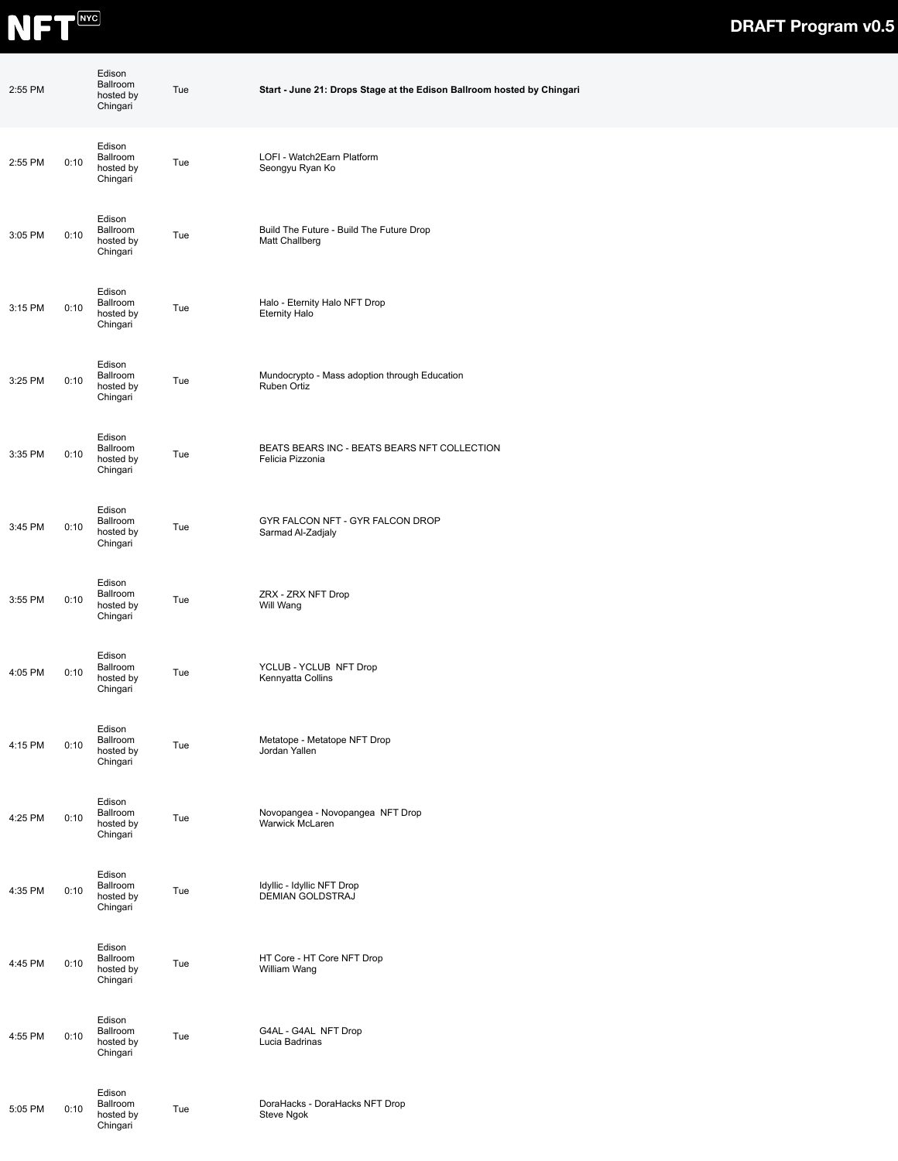

| 2:55 PM |      | Edison<br>Ballroom<br>hosted by<br>Chingari | Tue | Start - June 21: Drops Stage at the Edison Ballroom hosted by Chingari |  |  |  |
|---------|------|---------------------------------------------|-----|------------------------------------------------------------------------|--|--|--|
| 2:55 PM | 0:10 | Edison<br>Ballroom<br>hosted by<br>Chingari | Tue | LOFI - Watch2Earn Platform<br>Seongyu Ryan Ko                          |  |  |  |
| 3:05 PM | 0:10 | Edison<br>Ballroom<br>hosted by<br>Chingari | Tue | Build The Future - Build The Future Drop<br>Matt Challberg             |  |  |  |
| 3:15 PM | 0:10 | Edison<br>Ballroom<br>hosted by<br>Chingari | Tue | Halo - Eternity Halo NFT Drop<br><b>Eternity Halo</b>                  |  |  |  |
| 3:25 PM | 0:10 | Edison<br>Ballroom<br>hosted by<br>Chingari | Tue | Mundocrypto - Mass adoption through Education<br>Ruben Ortiz           |  |  |  |
| 3:35 PM | 0:10 | Edison<br>Ballroom<br>hosted by<br>Chingari | Tue | BEATS BEARS INC - BEATS BEARS NFT COLLECTION<br>Felicia Pizzonia       |  |  |  |
| 3:45 PM | 0:10 | Edison<br>Ballroom<br>hosted by<br>Chingari | Tue | GYR FALCON NFT - GYR FALCON DROP<br>Sarmad Al-Zadjaly                  |  |  |  |
| 3:55 PM | 0:10 | Edison<br>Ballroom<br>hosted by<br>Chingari | Tue | ZRX - ZRX NFT Drop<br>Will Wang                                        |  |  |  |
| 4:05 PM | 0:10 | Edison<br>Ballroom<br>hosted by<br>Chingari | Tue | YCLUB - YCLUB NFT Drop<br>Kennyatta Collins                            |  |  |  |
| 4:15 PM | 0:10 | Edison<br>Ballroom<br>hosted by<br>Chingari | Tue | Metatope - Metatope NFT Drop<br>Jordan Yallen                          |  |  |  |
| 4:25 PM | 0:10 | Edison<br>Ballroom<br>hosted by<br>Chingari | Tue | Novopangea - Novopangea NFT Drop<br>Warwick McLaren                    |  |  |  |
| 4:35 PM | 0:10 | Edison<br>Ballroom<br>hosted by<br>Chingari | Tue | Idyllic - Idyllic NFT Drop<br>DEMIAN GOLDSTRAJ                         |  |  |  |
| 4:45 PM | 0:10 | Edison<br>Ballroom<br>hosted by<br>Chingari | Tue | HT Core - HT Core NFT Drop<br>William Wang                             |  |  |  |
| 4:55 PM | 0:10 | Edison<br>Ballroom<br>hosted by<br>Chingari | Tue | G4AL - G4AL NFT Drop<br>Lucia Badrinas                                 |  |  |  |
| 5:05 PM | 0:10 | Edison<br>Ballroom<br>hosted by<br>Chingari | Tue | DoraHacks - DoraHacks NFT Drop<br>Steve Ngok                           |  |  |  |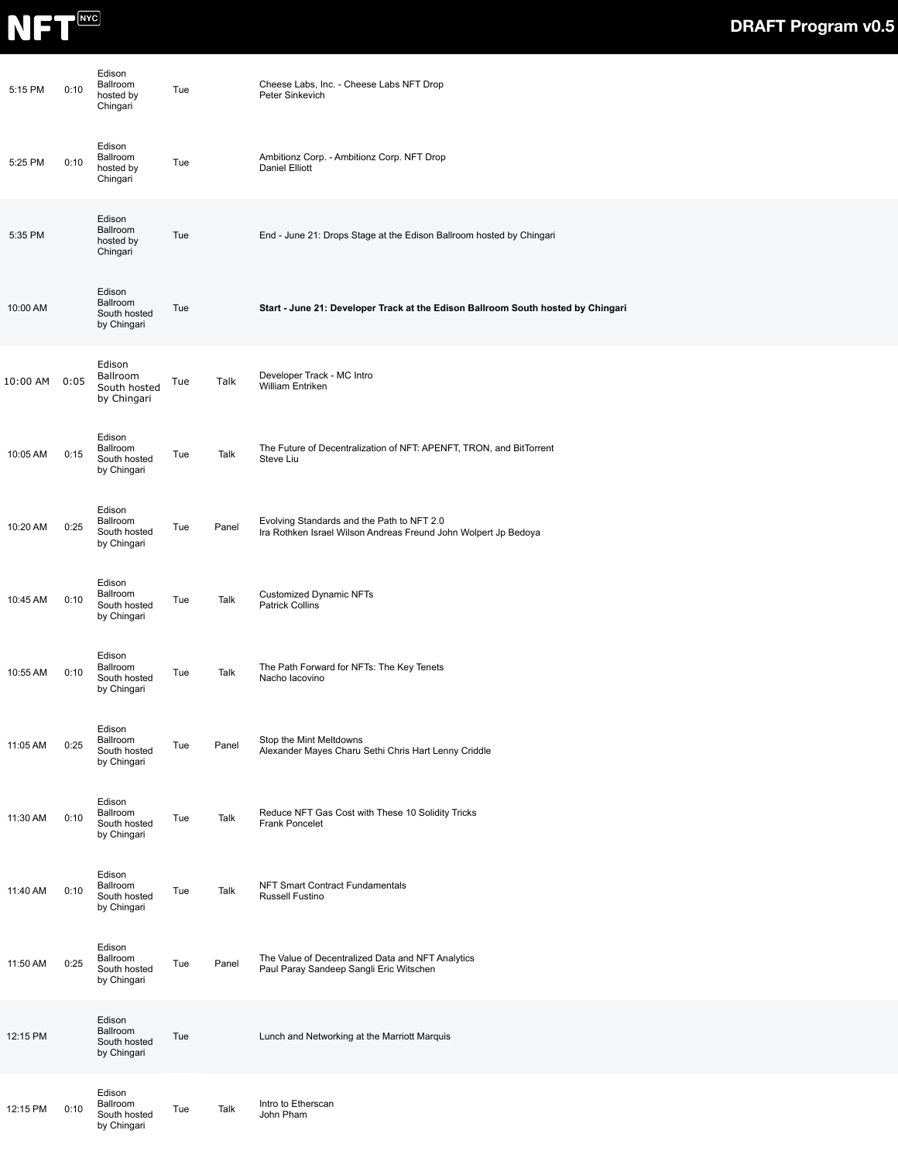

| 5:15 PM  | 0:10 | Edison<br>Ballroom<br>hosted by<br>Chingari       | Tue |       | Cheese Labs, Inc. - Cheese Labs NFT Drop<br>Peter Sinkevich                                                   |
|----------|------|---------------------------------------------------|-----|-------|---------------------------------------------------------------------------------------------------------------|
| 5:25 PM  | 0:10 | Edison<br>Ballroom<br>hosted by<br>Chingari       | Tue |       | Ambitionz Corp. - Ambitionz Corp. NFT Drop<br>Daniel Elliott                                                  |
| 5:35 PM  |      | Edison<br>Ballroom<br>hosted by<br>Chingari       | Tue |       | End - June 21: Drops Stage at the Edison Ballroom hosted by Chingari                                          |
| 10:00 AM |      | Edison<br>Ballroom<br>South hosted<br>by Chingari | Tue |       | Start - June 21: Developer Track at the Edison Ballroom South hosted by Chingari                              |
| 10:00 AM | 0:05 | Edison<br>Ballroom<br>South hosted<br>by Chingari | Tue | Talk  | Developer Track - MC Intro<br>William Entriken                                                                |
| 10:05 AM | 0:15 | Edison<br>Ballroom<br>South hosted<br>by Chingari | Tue | Talk  | The Future of Decentralization of NFT: APENFT, TRON, and BitTorrent<br>Steve Liu                              |
| 10:20 AM | 0:25 | Edison<br>Ballroom<br>South hosted<br>by Chingari | Tue | Panel | Evolving Standards and the Path to NFT 2.0<br>Ira Rothken Israel Wilson Andreas Freund John Wolpert Jp Bedoya |
| 10:45 AM | 0:10 | Edison<br>Ballroom<br>South hosted<br>by Chingari | Tue | Talk  | Customized Dynamic NFTs<br>Patrick Collins                                                                    |
| 10:55 AM | 0:10 | Edison<br>Ballroom<br>South hosted<br>by Chingari | Tue | Talk  | The Path Forward for NFTs: The Key Tenets<br>Nacho lacovino                                                   |
| 11:05 AM | 0:25 | Edison<br>Ballroom<br>South hosted<br>by Chingari | Tue | Panel | Stop the Mint Meltdowns<br>Alexander Mayes Charu Sethi Chris Hart Lenny Criddle                               |
| 11:30 AM | 0:10 | Edison<br>Ballroom<br>South hosted<br>by Chingari | Tue | Talk  | Reduce NFT Gas Cost with These 10 Solidity Tricks<br>Frank Poncelet                                           |
| 11:40 AM | 0:10 | Edison<br>Ballroom<br>South hosted<br>by Chingari | Tue | Talk  | NFT Smart Contract Fundamentals<br>Russell Fustino                                                            |
| 11:50 AM | 0:25 | Edison<br>Ballroom<br>South hosted<br>by Chingari | Tue | Panel | The Value of Decentralized Data and NFT Analytics<br>Paul Paray Sandeep Sangli Eric Witschen                  |
| 12:15 PM |      | Edison<br>Ballroom<br>South hosted<br>by Chingari | Tue |       | Lunch and Networking at the Marriott Marquis                                                                  |
| 12:15 PM | 0:10 | Edison<br>Ballroom<br>South hosted<br>by Chingari | Tue | Talk  | Intro to Etherscan<br>John Pham                                                                               |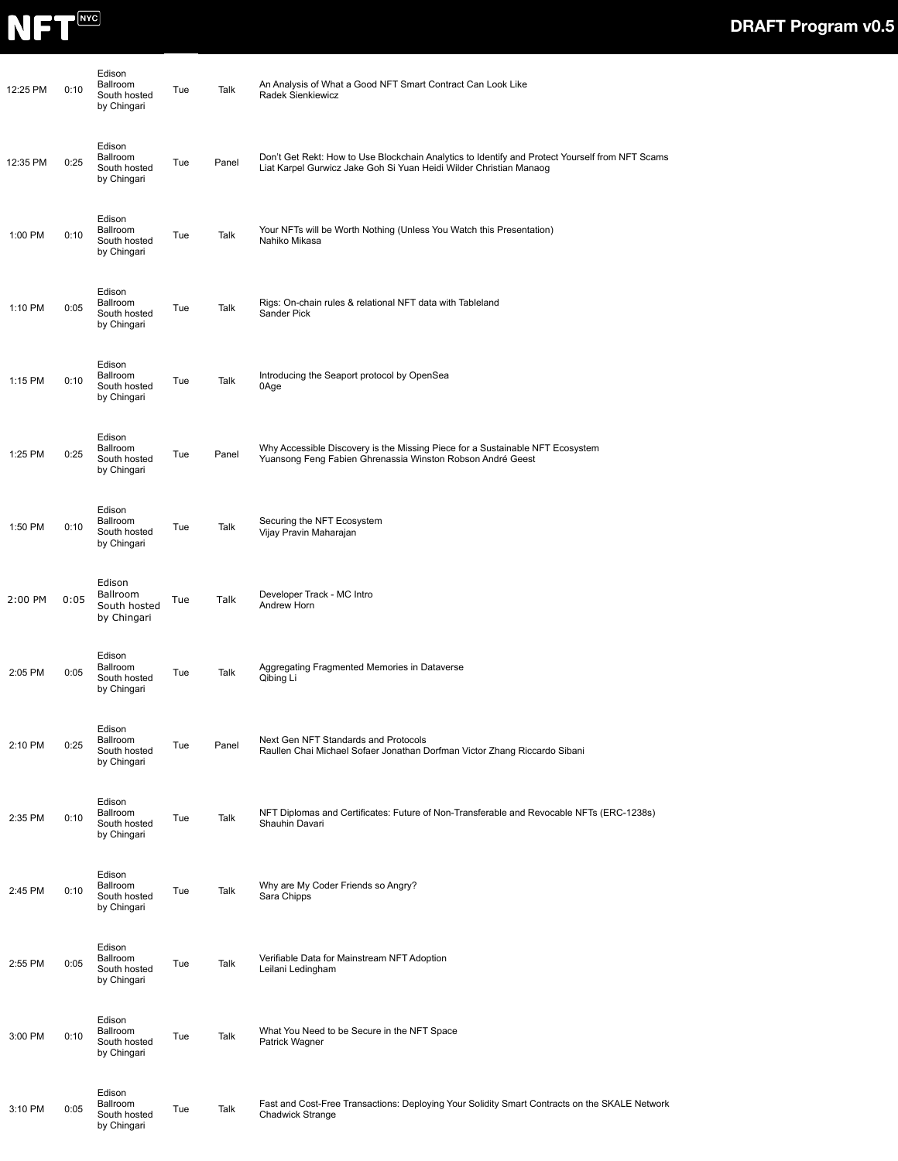

| 12:25 PM | 0:10 | Edison<br>Ballroom<br>South hosted<br>by Chingari        | Tue | Talk  | An Analysis of What a Good NFT Smart Contract Can Look Like<br>Radek Sienkiewicz                                                                                      |
|----------|------|----------------------------------------------------------|-----|-------|-----------------------------------------------------------------------------------------------------------------------------------------------------------------------|
| 12:35 PM | 0:25 | Edison<br><b>Ballroom</b><br>South hosted<br>by Chingari | Tue | Panel | Don't Get Rekt: How to Use Blockchain Analytics to Identify and Protect Yourself from NFT Scams<br>Liat Karpel Gurwicz Jake Goh Si Yuan Heidi Wilder Christian Manaog |
| 1:00 PM  | 0:10 | Edison<br><b>Ballroom</b><br>South hosted<br>by Chingari | Tue | Talk  | Your NFTs will be Worth Nothing (Unless You Watch this Presentation)<br>Nahiko Mikasa                                                                                 |
| 1:10 PM  | 0:05 | Edison<br>Ballroom<br>South hosted<br>by Chingari        | Tue | Talk  | Rigs: On-chain rules & relational NFT data with Tableland<br>Sander Pick                                                                                              |
| 1:15 PM  | 0:10 | Edison<br>Ballroom<br>South hosted<br>by Chingari        | Tue | Talk  | Introducing the Seaport protocol by OpenSea<br>0Age                                                                                                                   |
| 1:25 PM  | 0:25 | Edison<br>Ballroom<br>South hosted<br>by Chingari        | Tue | Panel | Why Accessible Discovery is the Missing Piece for a Sustainable NFT Ecosystem<br>Yuansong Feng Fabien Ghrenassia Winston Robson André Geest                           |
| 1:50 PM  | 0:10 | Edison<br>Ballroom<br>South hosted<br>by Chingari        | Tue | Talk  | Securing the NFT Ecosystem<br>Vijay Pravin Maharajan                                                                                                                  |
| 2:00 PM  | 0:05 | Edison<br>Ballroom<br>South hosted<br>by Chingari        | Tue | Talk  | Developer Track - MC Intro<br>Andrew Horn                                                                                                                             |
| 2:05 PM  | 0:05 | Edison<br>Ballroom<br>South hosted<br>by Chingari        | Tue | Talk  | Aggregating Fragmented Memories in Dataverse<br>Qibing Li                                                                                                             |
| 2:10 PM  | 0:25 | Edison<br>Ballroom<br>South hosted<br>by Chingari        | Tue | Panel | Next Gen NFT Standards and Protocols<br>Raullen Chai Michael Sofaer Jonathan Dorfman Victor Zhang Riccardo Sibani                                                     |
| 2:35 PM  | 0:10 | Edison<br>Ballroom<br>South hosted<br>by Chingari        | Tue | Talk  | NFT Diplomas and Certificates: Future of Non-Transferable and Revocable NFTs (ERC-1238s)<br>Shauhin Davari                                                            |
| 2:45 PM  | 0:10 | Edison<br>Ballroom<br>South hosted<br>by Chingari        | Tue | Talk  | Why are My Coder Friends so Angry?<br>Sara Chipps                                                                                                                     |
| 2:55 PM  | 0:05 | Edison<br>Ballroom<br>South hosted<br>by Chingari        | Tue | Talk  | Verifiable Data for Mainstream NFT Adoption<br>Leilani Ledingham                                                                                                      |
| 3:00 PM  | 0:10 | Edison<br>Ballroom<br>South hosted<br>by Chingari        | Tue | Talk  | What You Need to be Secure in the NFT Space<br>Patrick Wagner                                                                                                         |
| 3:10 PM  | 0:05 | Edison<br>Ballroom<br>South hosted<br>by Chingari        | Tue | Talk  | Fast and Cost-Free Transactions: Deploying Your Solidity Smart Contracts on the SKALE Network<br>Chadwick Strange                                                     |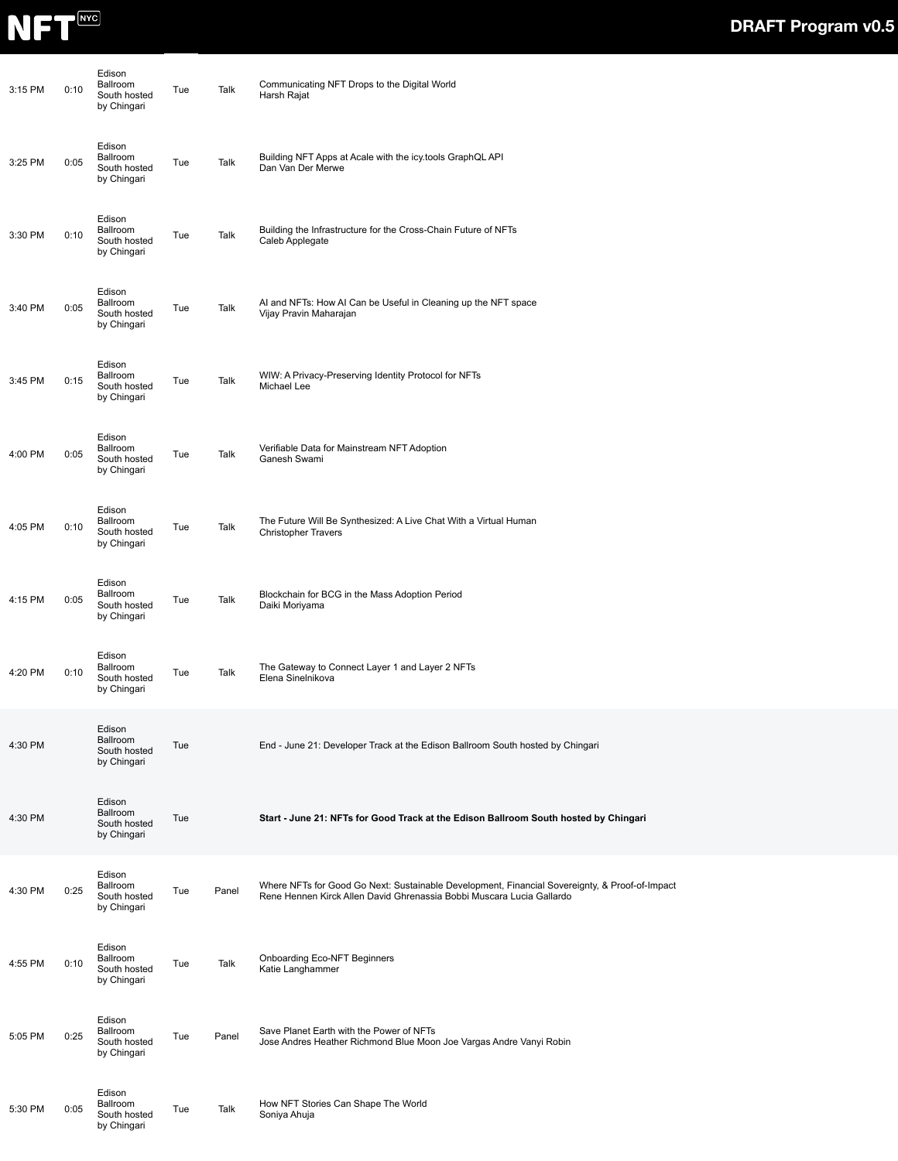

| 3:15 PM | 0:10 | Edison<br>Ballroom<br>South hosted<br>by Chingari | Tue | Talk  | Communicating NFT Drops to the Digital World<br>Harsh Rajat                                                                                                             |  |
|---------|------|---------------------------------------------------|-----|-------|-------------------------------------------------------------------------------------------------------------------------------------------------------------------------|--|
| 3:25 PM | 0:05 | Edison<br>Ballroom<br>South hosted<br>by Chingari | Tue | Talk  | Building NFT Apps at Acale with the icy.tools GraphQL API<br>Dan Van Der Merwe                                                                                          |  |
| 3:30 PM | 0:10 | Edison<br>Ballroom<br>South hosted<br>by Chingari | Tue | Talk  | Building the Infrastructure for the Cross-Chain Future of NFTs<br>Caleb Applegate                                                                                       |  |
| 3:40 PM | 0:05 | Edison<br>Ballroom<br>South hosted<br>by Chingari | Tue | Talk  | AI and NFTs: How AI Can be Useful in Cleaning up the NFT space<br>Vijay Pravin Maharajan                                                                                |  |
| 3:45 PM | 0:15 | Edison<br>Ballroom<br>South hosted<br>by Chingari | Tue | Talk  | WIW: A Privacy-Preserving Identity Protocol for NFTs<br>Michael Lee                                                                                                     |  |
| 4:00 PM | 0:05 | Edison<br>Ballroom<br>South hosted<br>by Chingari | Tue | Talk  | Verifiable Data for Mainstream NFT Adoption<br>Ganesh Swami                                                                                                             |  |
| 4:05 PM | 0:10 | Edison<br>Ballroom<br>South hosted<br>by Chingari | Tue | Talk  | The Future Will Be Synthesized: A Live Chat With a Virtual Human<br><b>Christopher Travers</b>                                                                          |  |
| 4:15 PM | 0:05 | Edison<br>Ballroom<br>South hosted<br>by Chingari | Tue | Talk  | Blockchain for BCG in the Mass Adoption Period<br>Daiki Moriyama                                                                                                        |  |
| 4:20 PM | 0:10 | Edison<br>Ballroom<br>South hosted<br>by Chingari | Tue | Talk  | The Gateway to Connect Layer 1 and Layer 2 NFTs<br>Elena Sinelnikova                                                                                                    |  |
| 4:30 PM |      | Edison<br>Ballroom<br>South hosted<br>by Chingari | Tue |       | End - June 21: Developer Track at the Edison Ballroom South hosted by Chingari                                                                                          |  |
| 4:30 PM |      | Edison<br>Ballroom<br>South hosted<br>by Chingari | Tue |       | Start - June 21: NFTs for Good Track at the Edison Ballroom South hosted by Chingari                                                                                    |  |
| 4:30 PM | 0:25 | Edison<br>Ballroom<br>South hosted<br>by Chingari | Tue | Panel | Where NFTs for Good Go Next: Sustainable Development, Financial Sovereignty, & Proof-of-Impact<br>Rene Hennen Kirck Allen David Ghrenassia Bobbi Muscara Lucia Gallardo |  |
| 4:55 PM | 0:10 | Edison<br>Ballroom<br>South hosted<br>by Chingari | Tue | Talk  | Onboarding Eco-NFT Beginners<br>Katie Langhammer                                                                                                                        |  |
| 5:05 PM | 0:25 | Edison<br>Ballroom<br>South hosted<br>by Chingari | Tue | Panel | Save Planet Earth with the Power of NFTs<br>Jose Andres Heather Richmond Blue Moon Joe Vargas Andre Vanyi Robin                                                         |  |
| 5:30 PM | 0:05 | Edison<br>Ballroom<br>South hosted<br>by Chingari | Tue | Talk  | How NFT Stories Can Shape The World<br>Soniya Ahuja                                                                                                                     |  |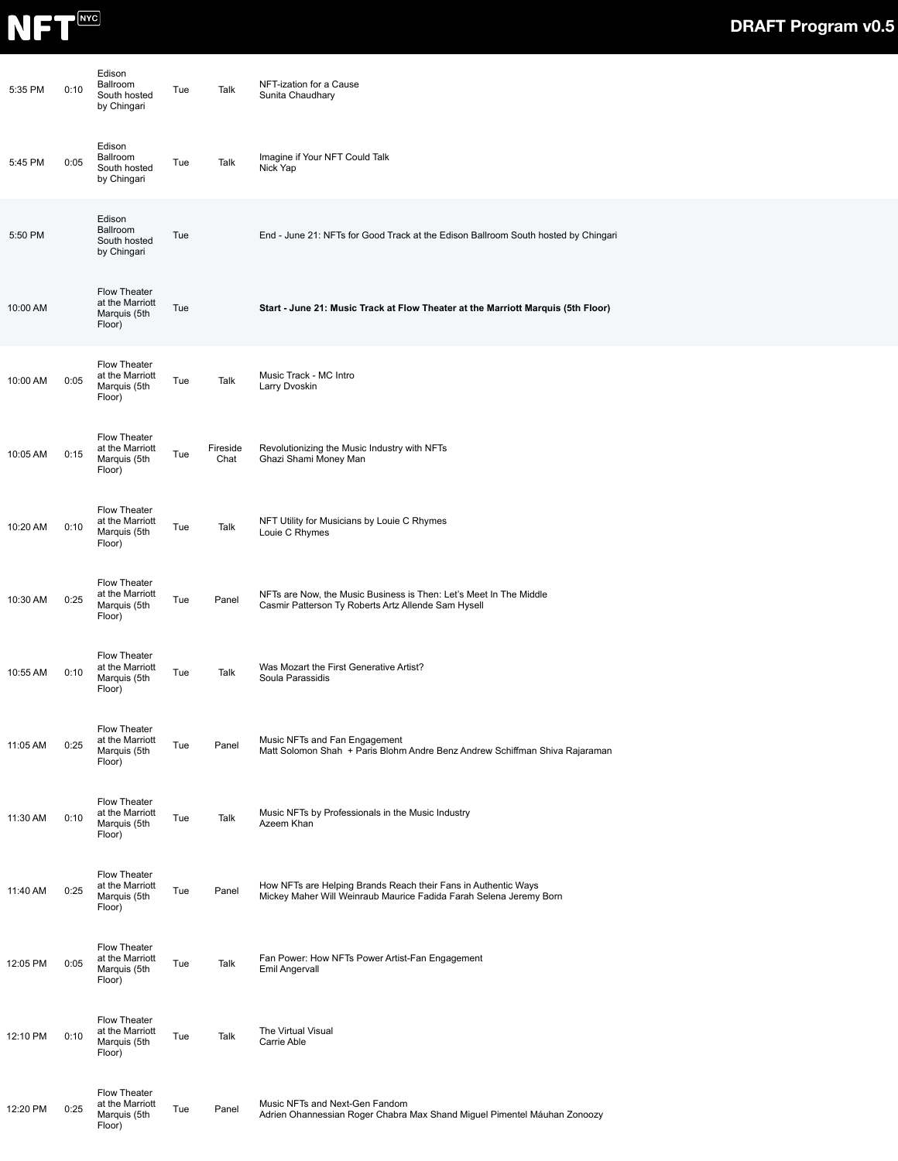

| 5:35 PM  | 0:10 | Edison<br>Ballroom<br>South hosted<br>by Chingari         | Tue | Talk             | NFT-ization for a Cause<br>Sunita Chaudhary                                                                                          |
|----------|------|-----------------------------------------------------------|-----|------------------|--------------------------------------------------------------------------------------------------------------------------------------|
| 5:45 PM  | 0:05 | Edison<br>Ballroom<br>South hosted<br>by Chingari         | Tue | Talk             | Imagine if Your NFT Could Talk<br>Nick Yap                                                                                           |
| 5:50 PM  |      | Edison<br>Ballroom<br>South hosted<br>by Chingari         | Tue |                  | End - June 21: NFTs for Good Track at the Edison Ballroom South hosted by Chingari                                                   |
| 10:00 AM |      | Flow Theater<br>at the Marriott<br>Marquis (5th<br>Floor) | Tue |                  | Start - June 21: Music Track at Flow Theater at the Marriott Marquis (5th Floor)                                                     |
| 10:00 AM | 0:05 | Flow Theater<br>at the Marriott<br>Marquis (5th<br>Floor) | Tue | Talk             | Music Track - MC Intro<br>Larry Dvoskin                                                                                              |
| 10:05 AM | 0:15 | Flow Theater<br>at the Marriott<br>Marquis (5th<br>Floor) | Tue | Fireside<br>Chat | Revolutionizing the Music Industry with NFTs<br>Ghazi Shami Money Man                                                                |
| 10:20 AM | 0:10 | Flow Theater<br>at the Marriott<br>Marquis (5th<br>Floor) | Tue | Talk             | NFT Utility for Musicians by Louie C Rhymes<br>Louie C Rhymes                                                                        |
| 10:30 AM | 0:25 | Flow Theater<br>at the Marriott<br>Marquis (5th<br>Floor) | Tue | Panel            | NFTs are Now, the Music Business is Then: Let's Meet In The Middle<br>Casmir Patterson Ty Roberts Artz Allende Sam Hysell            |
| 10:55 AM | 0:10 | Flow Theater<br>at the Marriott<br>Marquis (5th<br>Floor) | Tue | Talk             | Was Mozart the First Generative Artist?<br>Soula Parassidis                                                                          |
| 11:05 AM | 0:25 | Flow Theater<br>at the Marriott<br>Marquis (5th<br>Floor) | Tue | Panel            | Music NFTs and Fan Engagement<br>Matt Solomon Shah + Paris Blohm Andre Benz Andrew Schiffman Shiva Rajaraman                         |
| 11:30 AM | 0:10 | Flow Theater<br>at the Marriott<br>Marquis (5th<br>Floor) | Tue | Talk             | Music NFTs by Professionals in the Music Industry<br>Azeem Khan                                                                      |
| 11:40 AM | 0:25 | Flow Theater<br>at the Marriott<br>Marquis (5th<br>Floor) | Tue | Panel            | How NFTs are Helping Brands Reach their Fans in Authentic Ways<br>Mickey Maher Will Weinraub Maurice Fadida Farah Selena Jeremy Born |
| 12:05 PM | 0:05 | Flow Theater<br>at the Marriott<br>Marquis (5th<br>Floor) | Tue | Talk             | Fan Power: How NFTs Power Artist-Fan Engagement<br>Emil Angervall                                                                    |
| 12:10 PM | 0:10 | Flow Theater<br>at the Marriott<br>Marquis (5th<br>Floor) | Tue | Talk             | The Virtual Visual<br>Carrie Able                                                                                                    |
| 12:20 PM | 0:25 | Flow Theater<br>at the Marriott<br>Marquis (5th<br>Floor) | Tue | Panel            | Music NFTs and Next-Gen Fandom<br>Adrien Ohannessian Roger Chabra Max Shand Miguel Pimentel Máuhan Zonoozy                           |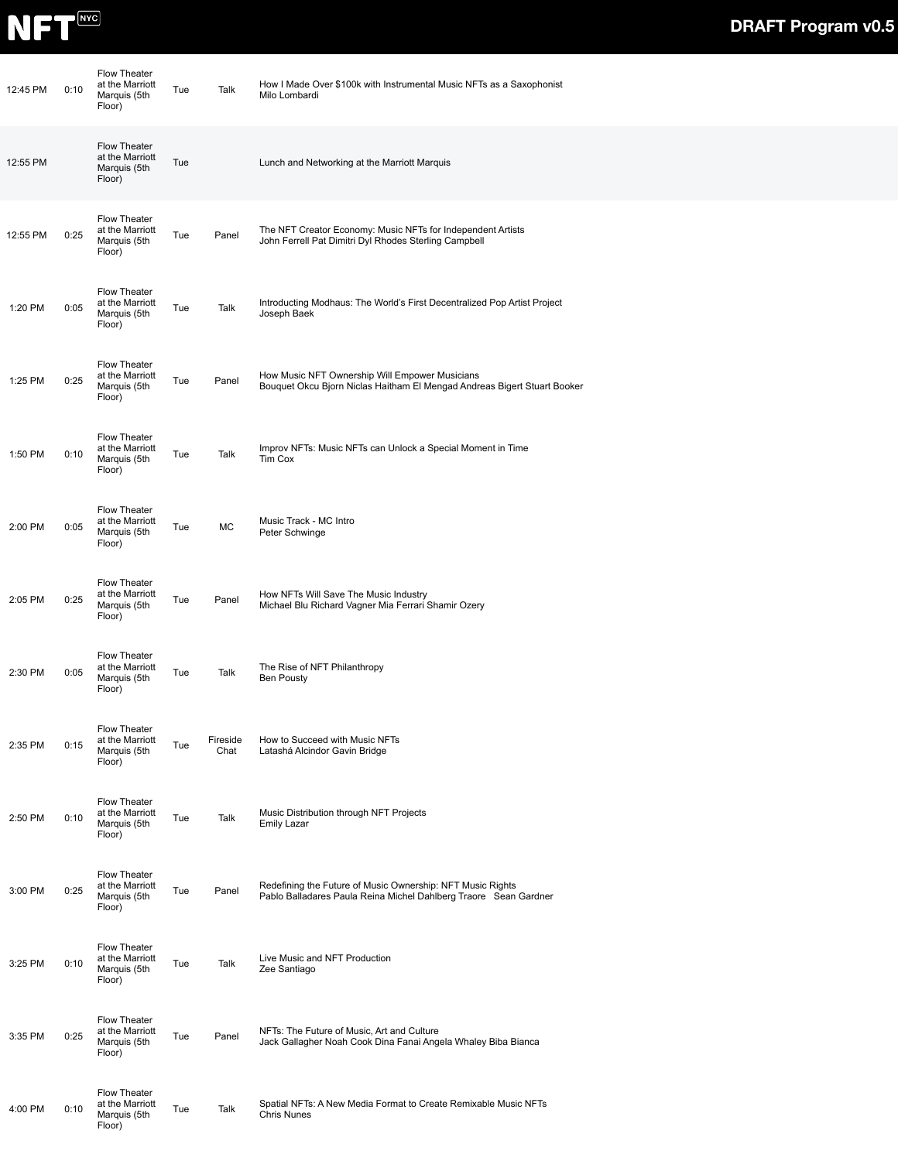

| 12:45 PM | 0:10 | <b>Flow Theater</b><br>at the Marriott<br>Marquis (5th<br>Floor) | Tue | Talk             | How I Made Over \$100k with Instrumental Music NFTs as a Saxophonist<br>Milo Lombardi                                          |
|----------|------|------------------------------------------------------------------|-----|------------------|--------------------------------------------------------------------------------------------------------------------------------|
| 12:55 PM |      | Flow Theater<br>at the Marriott<br>Marquis (5th<br>Floor)        | Tue |                  | Lunch and Networking at the Marriott Marquis                                                                                   |
| 12:55 PM | 0:25 | Flow Theater<br>at the Marriott<br>Marquis (5th<br>Floor)        | Tue | Panel            | The NFT Creator Economy: Music NFTs for Independent Artists<br>John Ferrell Pat Dimitri Dyl Rhodes Sterling Campbell           |
| 1:20 PM  | 0:05 | Flow Theater<br>at the Marriott<br>Marquis (5th<br>Floor)        | Tue | Talk             | Introducting Modhaus: The World's First Decentralized Pop Artist Project<br>Joseph Baek                                        |
| 1:25 PM  | 0:25 | Flow Theater<br>at the Marriott<br>Marquis (5th<br>Floor)        | Tue | Panel            | How Music NFT Ownership Will Empower Musicians<br>Bouquet Okcu Bjorn Niclas Haitham El Mengad Andreas Bigert Stuart Booker     |
| 1:50 PM  | 0:10 | Flow Theater<br>at the Marriott<br>Marquis (5th<br>Floor)        | Tue | Talk             | Improv NFTs: Music NFTs can Unlock a Special Moment in Time<br>Tim Cox                                                         |
| 2:00 PM  | 0:05 | Flow Theater<br>at the Marriott<br>Marquis (5th<br>Floor)        | Tue | MC               | Music Track - MC Intro<br>Peter Schwinge                                                                                       |
| 2:05 PM  | 0:25 | Flow Theater<br>at the Marriott<br>Marquis (5th<br>Floor)        | Tue | Panel            | How NFTs Will Save The Music Industry<br>Michael Blu Richard Vagner Mia Ferrari Shamir Ozery                                   |
| 2:30 PM  | 0:05 | Flow Theater<br>at the Marriott<br>Marquis (5th<br>Floor)        | Tue | Talk             | The Rise of NFT Philanthropy<br><b>Ben Pousty</b>                                                                              |
| 2:35 PM  | 0:15 | Flow Theater<br>at the Marriott<br>Marquis (5th<br>Floor)        | Tue | Fireside<br>Chat | How to Succeed with Music NFTs<br>Latashá Alcindor Gavin Bridge                                                                |
| 2:50 PM  | 0:10 | Flow Theater<br>at the Marriott<br>Marquis (5th<br>Floor)        | Tue | Talk             | Music Distribution through NFT Projects<br><b>Emily Lazar</b>                                                                  |
| 3:00 PM  | 0:25 | Flow Theater<br>at the Marriott<br>Marquis (5th<br>Floor)        | Tue | Panel            | Redefining the Future of Music Ownership: NFT Music Rights<br>Pablo Balladares Paula Reina Michel Dahlberg Traore Sean Gardner |
| 3:25 PM  | 0:10 | Flow Theater<br>at the Marriott<br>Marquis (5th<br>Floor)        | Tue | Talk             | Live Music and NFT Production<br>Zee Santiago                                                                                  |
| 3:35 PM  | 0:25 | Flow Theater<br>at the Marriott<br>Marquis (5th<br>Floor)        | Tue | Panel            | NFTs: The Future of Music, Art and Culture<br>Jack Gallagher Noah Cook Dina Fanai Angela Whaley Biba Bianca                    |
| 4:00 PM  | 0:10 | Flow Theater<br>at the Marriott<br>Marquis (5th<br>Floor)        | Tue | Talk             | Spatial NFTs: A New Media Format to Create Remixable Music NFTs<br>Chris Nunes                                                 |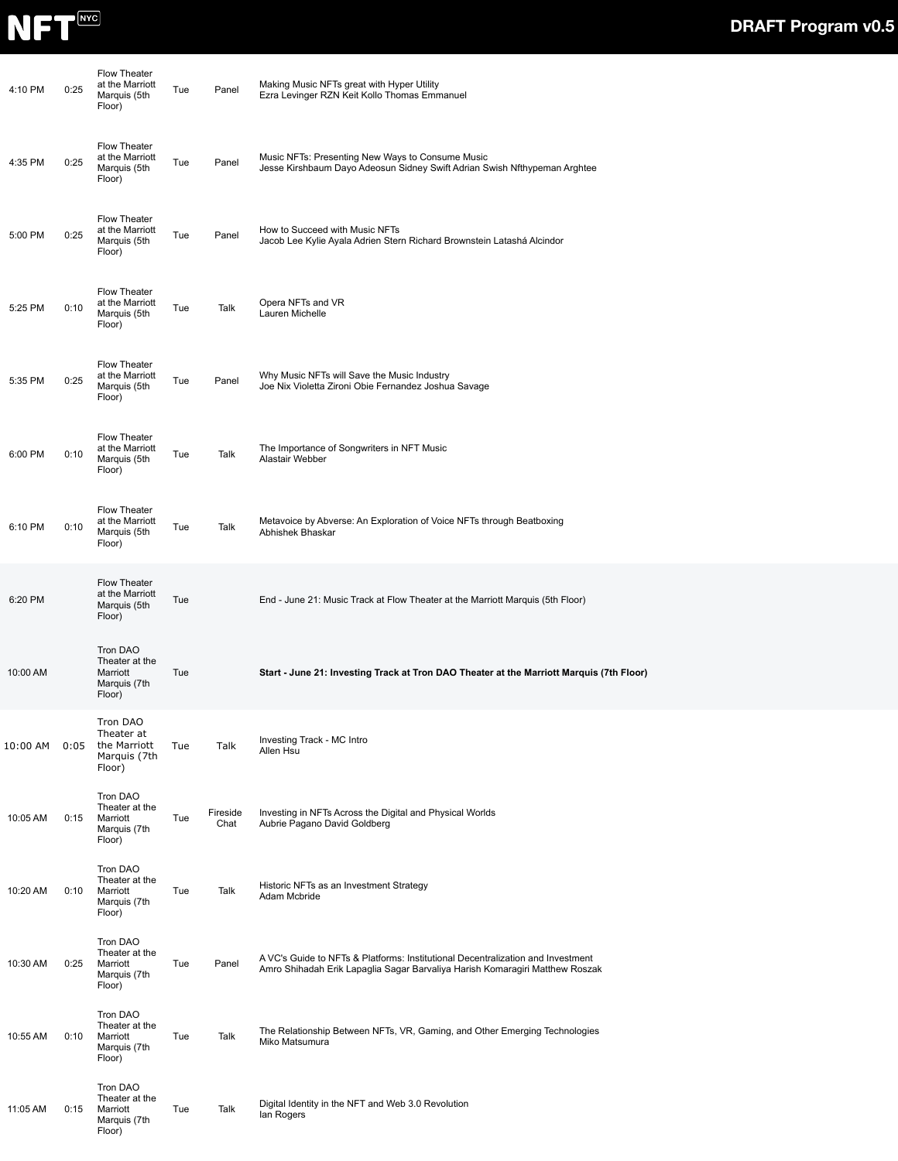

| 4:10 PM  | 0:25 | <b>Flow Theater</b><br>at the Marriott<br>Marquis (5th<br>Floor) | Tue | Panel            | Making Music NFTs great with Hyper Utility<br>Ezra Levinger RZN Keit Kollo Thomas Emmanuel                                                                      |
|----------|------|------------------------------------------------------------------|-----|------------------|-----------------------------------------------------------------------------------------------------------------------------------------------------------------|
| 4:35 PM  | 0:25 | <b>Flow Theater</b><br>at the Marriott<br>Marquis (5th<br>Floor) | Tue | Panel            | Music NFTs: Presenting New Ways to Consume Music<br>Jesse Kirshbaum Dayo Adeosun Sidney Swift Adrian Swish Nfthypeman Arghtee                                   |
| 5:00 PM  | 0:25 | Flow Theater<br>at the Marriott<br>Marquis (5th<br>Floor)        | Tue | Panel            | How to Succeed with Music NFTs<br>Jacob Lee Kylie Ayala Adrien Stern Richard Brownstein Latashá Alcindor                                                        |
| 5:25 PM  | 0:10 | Flow Theater<br>at the Marriott<br>Marquis (5th<br>Floor)        | Tue | Talk             | Opera NFTs and VR<br>Lauren Michelle                                                                                                                            |
| 5:35 PM  | 0:25 | Flow Theater<br>at the Marriott<br>Marquis (5th<br>Floor)        | Tue | Panel            | Why Music NFTs will Save the Music Industry<br>Joe Nix Violetta Zironi Obie Fernandez Joshua Savage                                                             |
| 6:00 PM  | 0:10 | Flow Theater<br>at the Marriott<br>Marquis (5th<br>Floor)        | Tue | Talk             | The Importance of Songwriters in NFT Music<br>Alastair Webber                                                                                                   |
| 6:10 PM  | 0:10 | Flow Theater<br>at the Marriott<br>Marquis (5th<br>Floor)        | Tue | Talk             | Metavoice by Abverse: An Exploration of Voice NFTs through Beatboxing<br>Abhishek Bhaskar                                                                       |
| 6:20 PM  |      | Flow Theater<br>at the Marriott<br>Marquis (5th<br>Floor)        | Tue |                  | End - June 21: Music Track at Flow Theater at the Marriott Marquis (5th Floor)                                                                                  |
| 10:00 AM |      | Tron DAO<br>Theater at the<br>Marriott<br>Marquis (7th<br>Floor) | Tue |                  | Start - June 21: Investing Track at Tron DAO Theater at the Marriott Marquis (7th Floor)                                                                        |
| 10:00 AM | 0:05 | Tron DAO<br>Theater at<br>the Marriott<br>Marquis (7th<br>Floor) | Tue | Talk             | Investing Track - MC Intro<br>Allen Hsu                                                                                                                         |
| 10:05 AM | 0:15 | Tron DAO<br>Theater at the<br>Marriott<br>Marquis (7th<br>Floor) | Tue | Fireside<br>Chat | Investing in NFTs Across the Digital and Physical Worlds<br>Aubrie Pagano David Goldberg                                                                        |
| 10:20 AM | 0:10 | Tron DAO<br>Theater at the<br>Marriott<br>Marquis (7th<br>Floor) | Tue | Talk             | Historic NFTs as an Investment Strategy<br>Adam Mcbride                                                                                                         |
| 10:30 AM | 0:25 | Tron DAO<br>Theater at the<br>Marriott<br>Marquis (7th<br>Floor) | Tue | Panel            | A VC's Guide to NFTs & Platforms: Institutional Decentralization and Investment<br>Amro Shihadah Erik Lapaglia Sagar Barvaliya Harish Komaragiri Matthew Roszak |
| 10:55 AM | 0:10 | Tron DAO<br>Theater at the<br>Marriott<br>Marquis (7th<br>Floor) | Tue | Talk             | The Relationship Between NFTs, VR, Gaming, and Other Emerging Technologies<br>Miko Matsumura                                                                    |
| 11:05 AM | 0:15 | Tron DAO<br>Theater at the<br>Marriott<br>Marquis (7th<br>Floor) | Tue | Talk             | Digital Identity in the NFT and Web 3.0 Revolution<br>lan Rogers                                                                                                |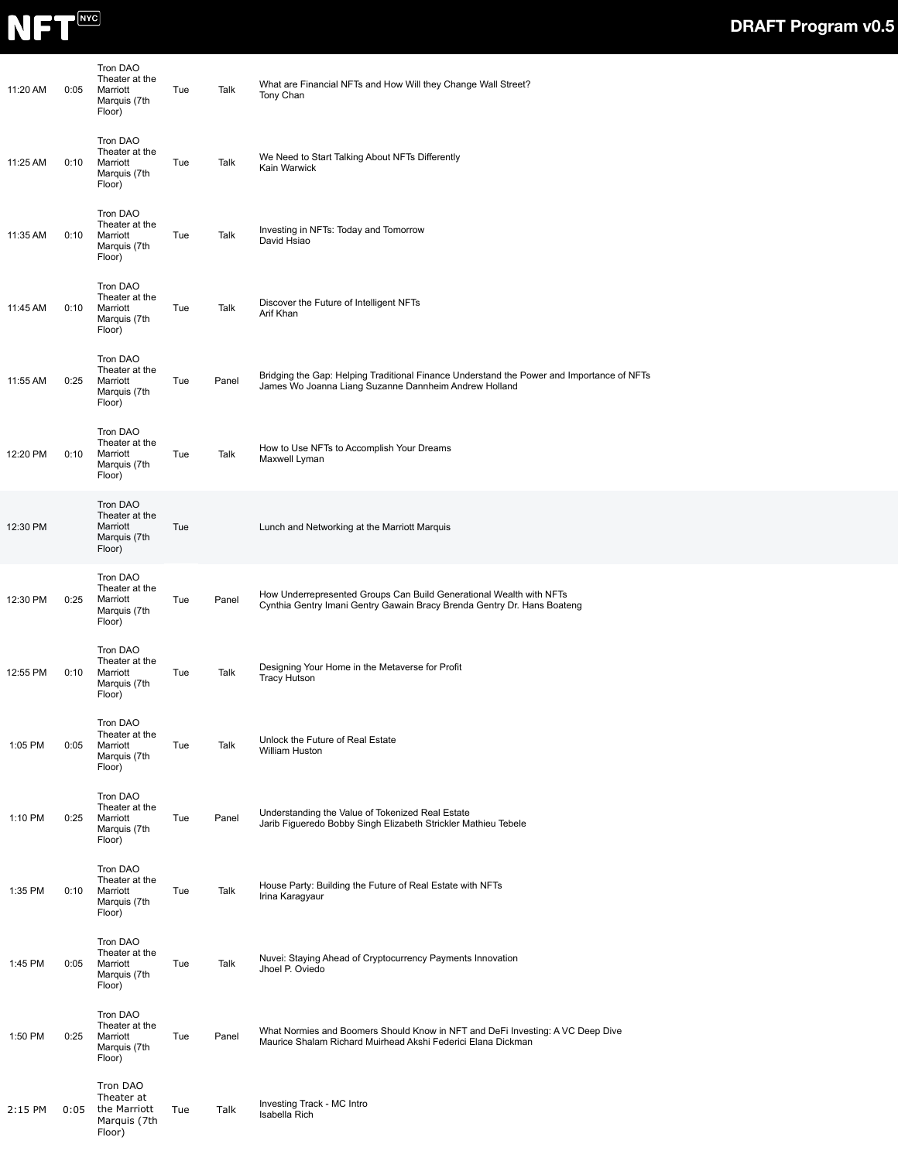

| 11:20 AM | 0:05 | Tron DAO<br>Theater at the<br>Marriott<br>Marquis (7th<br>Floor) | Tue | Talk  | What are Financial NFTs and How Will they Change Wall Street?<br>Tony Chan                                                                         |  |
|----------|------|------------------------------------------------------------------|-----|-------|----------------------------------------------------------------------------------------------------------------------------------------------------|--|
| 11:25 AM | 0:10 | Tron DAO<br>Theater at the<br>Marriott<br>Marquis (7th<br>Floor) | Tue | Talk  | We Need to Start Talking About NFTs Differently<br>Kain Warwick                                                                                    |  |
| 11:35 AM | 0:10 | Tron DAO<br>Theater at the<br>Marriott<br>Marquis (7th<br>Floor) | Tue | Talk  | Investing in NFTs: Today and Tomorrow<br>David Hsiao                                                                                               |  |
| 11:45 AM | 0:10 | Tron DAO<br>Theater at the<br>Marriott<br>Marquis (7th<br>Floor) | Tue | Talk  | Discover the Future of Intelligent NFTs<br>Arif Khan                                                                                               |  |
| 11:55 AM | 0:25 | Tron DAO<br>Theater at the<br>Marriott<br>Marquis (7th<br>Floor) | Tue | Panel | Bridging the Gap: Helping Traditional Finance Understand the Power and Importance of NFTs<br>James Wo Joanna Liang Suzanne Dannheim Andrew Holland |  |
| 12:20 PM | 0:10 | Tron DAO<br>Theater at the<br>Marriott<br>Marquis (7th<br>Floor) | Tue | Talk  | How to Use NFTs to Accomplish Your Dreams<br>Maxwell Lyman                                                                                         |  |
| 12:30 PM |      | Tron DAO<br>Theater at the<br>Marriott<br>Marquis (7th<br>Floor) | Tue |       | Lunch and Networking at the Marriott Marquis                                                                                                       |  |
| 12:30 PM | 0:25 | Tron DAO<br>Theater at the<br>Marriott<br>Marquis (7th<br>Floor) | Tue | Panel | How Underrepresented Groups Can Build Generational Wealth with NFTs<br>Cynthia Gentry Imani Gentry Gawain Bracy Brenda Gentry Dr. Hans Boateng     |  |
| 12:55 PM | 0:10 | Tron DAO<br>Theater at the<br>Marriott<br>Marquis (7th<br>Floor) | Tue | Talk  | Designing Your Home in the Metaverse for Profit<br><b>Tracy Hutson</b>                                                                             |  |
| 1:05 PM  | 0:05 | Tron DAO<br>Theater at the<br>Marriott<br>Marquis (7th<br>Floor) | Tue | Talk  | Unlock the Future of Real Estate<br>William Huston                                                                                                 |  |
| 1:10 PM  | 0:25 | Tron DAO<br>Theater at the<br>Marriott<br>Marquis (7th<br>Floor) | Tue | Panel | Understanding the Value of Tokenized Real Estate<br>Jarib Figueredo Bobby Singh Elizabeth Strickler Mathieu Tebele                                 |  |
| 1:35 PM  | 0:10 | Tron DAO<br>Theater at the<br>Marriott<br>Marquis (7th<br>Floor) | Tue | Talk  | House Party: Building the Future of Real Estate with NFTs<br>Irina Karagyaur                                                                       |  |
| 1:45 PM  | 0:05 | Tron DAO<br>Theater at the<br>Marriott<br>Marquis (7th<br>Floor) | Tue | Talk  | Nuvei: Staying Ahead of Cryptocurrency Payments Innovation<br>Jhoel P. Oviedo                                                                      |  |
| 1:50 PM  | 0:25 | Tron DAO<br>Theater at the<br>Marriott<br>Marquis (7th<br>Floor) | Tue | Panel | What Normies and Boomers Should Know in NFT and DeFi Investing: A VC Deep Dive<br>Maurice Shalam Richard Muirhead Akshi Federici Elana Dickman     |  |
| 2:15 PM  | 0:05 | Tron DAO<br>Theater at<br>the Marriott<br>Marquis (7th<br>Floor) | Tue | Talk  | Investing Track - MC Intro<br>Isabella Rich                                                                                                        |  |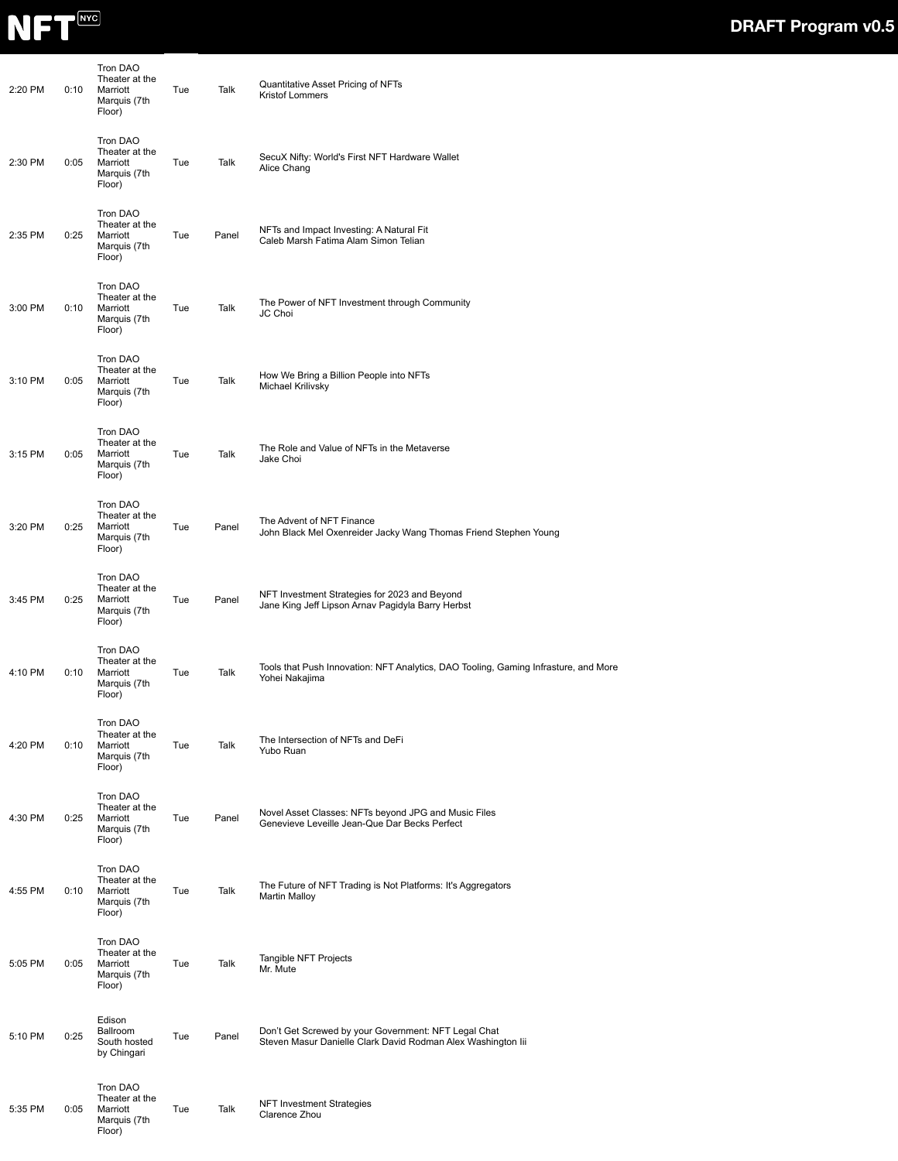

| 2:20 PM | 0:10 | Tron DAO<br>Theater at the<br>Marriott<br>Marquis (7th<br>Floor)        | Tue | Talk  | Quantitative Asset Pricing of NFTs<br>Kristof Lommers                                                                |
|---------|------|-------------------------------------------------------------------------|-----|-------|----------------------------------------------------------------------------------------------------------------------|
| 2:30 PM | 0:05 | Tron DAO<br>Theater at the<br>Marriott<br>Marquis (7th<br>Floor)        | Tue | Talk  | SecuX Nifty: World's First NFT Hardware Wallet<br>Alice Chang                                                        |
| 2:35 PM | 0:25 | Tron DAO<br>Theater at the<br>Marriott<br>Marquis (7th<br>Floor)        | Tue | Panel | NFTs and Impact Investing: A Natural Fit<br>Caleb Marsh Fatima Alam Simon Telian                                     |
| 3:00 PM | 0:10 | Tron DAO<br>Theater at the<br>Marriott<br>Marquis (7th<br>Floor)        | Tue | Talk  | The Power of NFT Investment through Community<br>JC Choi                                                             |
| 3:10 PM | 0:05 | Tron DAO<br>Theater at the<br>Marriott<br>Marquis (7th<br>Floor)        | Tue | Talk  | How We Bring a Billion People into NFTs<br>Michael Krilivsky                                                         |
| 3:15 PM | 0:05 | Tron DAO<br>Theater at the<br>Marriott<br>Marquis (7th<br>Floor)        | Tue | Talk  | The Role and Value of NFTs in the Metaverse<br>Jake Choi                                                             |
| 3:20 PM | 0:25 | Tron DAO<br>Theater at the<br>Marriott<br>Marquis (7th<br>Floor)        | Tue | Panel | The Advent of NFT Finance<br>John Black Mel Oxenreider Jacky Wang Thomas Friend Stephen Young                        |
| 3:45 PM | 0:25 | Tron DAO<br>Theater at the<br>Marriott<br>Marquis (7th<br>Floor)        | Tue | Panel | NFT Investment Strategies for 2023 and Beyond<br>Jane King Jeff Lipson Arnav Pagidyla Barry Herbst                   |
| 4:10 PM | 0:10 | Tron DAO<br>Theater at the<br>Marriott<br>Marquis (7th<br>Floor)        | Tue | Talk  | Tools that Push Innovation: NFT Analytics, DAO Tooling, Gaming Infrasture, and More<br>Yohei Nakajima                |
| 4:20 PM | 0:10 | <b>Tron DAO</b><br>Theater at the<br>Marriott<br>Marquis (7th<br>Floor) | Tue | Talk  | The Intersection of NFTs and DeFi<br>Yubo Ruan                                                                       |
| 4:30 PM | 0:25 | Tron DAO<br>Theater at the<br>Marriott<br>Marquis (7th<br>Floor)        | Tue | Panel | Novel Asset Classes: NFTs beyond JPG and Music Files<br>Genevieve Leveille Jean-Que Dar Becks Perfect                |
| 4:55 PM | 0:10 | Tron DAO<br>Theater at the<br>Marriott<br>Marquis (7th<br>Floor)        | Tue | Talk  | The Future of NFT Trading is Not Platforms: It's Aggregators<br><b>Martin Malloy</b>                                 |
| 5:05 PM | 0:05 | Tron DAO<br>Theater at the<br>Marriott<br>Marquis (7th<br>Floor)        | Tue | Talk  | Tangible NFT Projects<br>Mr. Mute                                                                                    |
| 5:10 PM | 0:25 | Edison<br>Ballroom<br>South hosted<br>by Chingari                       | Tue | Panel | Don't Get Screwed by your Government: NFT Legal Chat<br>Steven Masur Danielle Clark David Rodman Alex Washington lii |
| 5:35 PM | 0:05 | Tron DAO<br>Theater at the<br>Marriott<br>Marquis (7th<br>Floor)        | Tue | Talk  | <b>NFT Investment Strategies</b><br>Clarence Zhou                                                                    |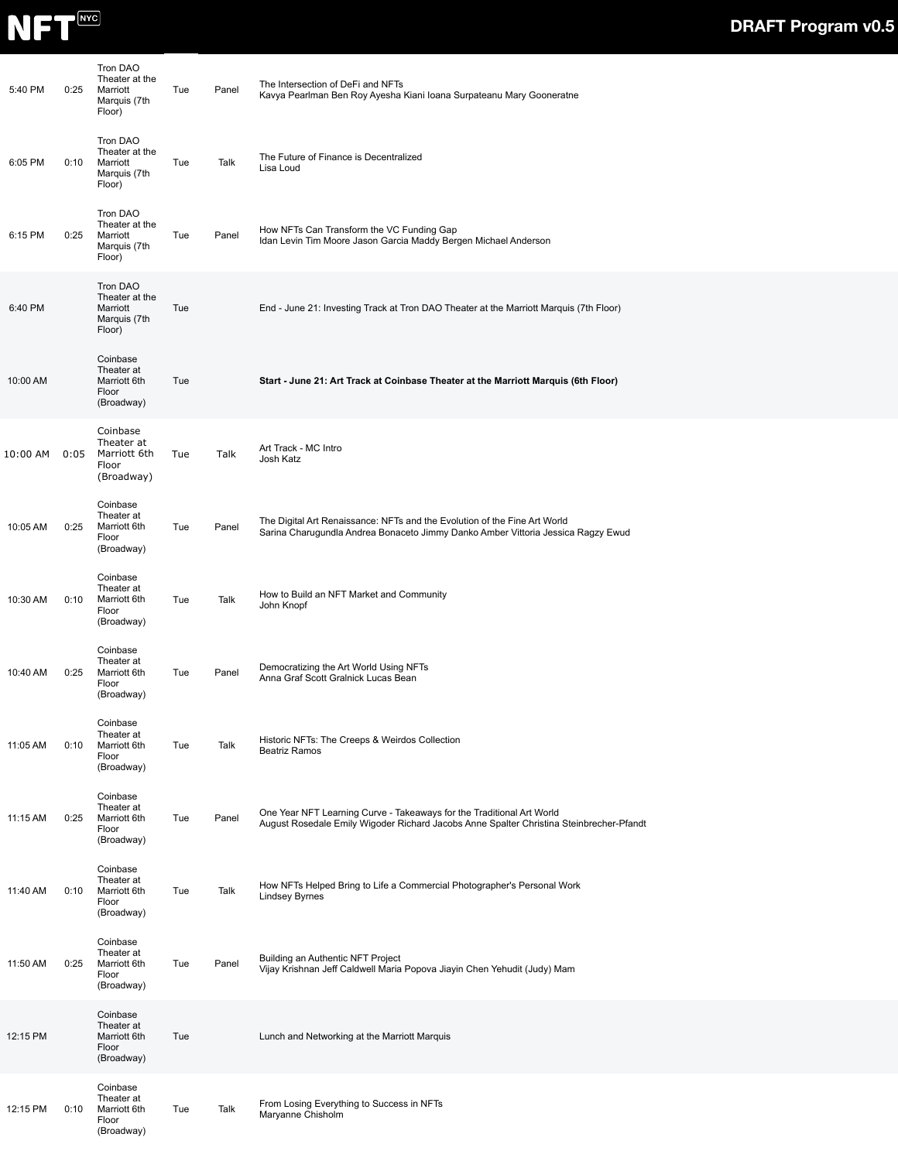

| 5:40 PM  | 0:25 | Tron DAO<br>Theater at the<br>Marriott<br>Marquis (7th<br>Floor) | Tue | Panel | The Intersection of DeFi and NFTs<br>Kavya Pearlman Ben Roy Ayesha Kiani Ioana Surpateanu Mary Gooneratne                                                        |
|----------|------|------------------------------------------------------------------|-----|-------|------------------------------------------------------------------------------------------------------------------------------------------------------------------|
| 6:05 PM  | 0:10 | Tron DAO<br>Theater at the<br>Marriott<br>Marquis (7th<br>Floor) | Tue | Talk  | The Future of Finance is Decentralized<br>Lisa Loud                                                                                                              |
| 6:15 PM  | 0:25 | Tron DAO<br>Theater at the<br>Marriott<br>Marquis (7th<br>Floor) | Tue | Panel | How NFTs Can Transform the VC Funding Gap<br>Idan Levin Tim Moore Jason Garcia Maddy Bergen Michael Anderson                                                     |
| 6:40 PM  |      | Tron DAO<br>Theater at the<br>Marriott<br>Marquis (7th<br>Floor) | Tue |       | End - June 21: Investing Track at Tron DAO Theater at the Marriott Marquis (7th Floor)                                                                           |
| 10:00 AM |      | Coinbase<br>Theater at<br>Marriott 6th<br>Floor<br>(Broadway)    | Tue |       | Start - June 21: Art Track at Coinbase Theater at the Marriott Marquis (6th Floor)                                                                               |
| 10:00 AM | 0:05 | Coinbase<br>Theater at<br>Marriott 6th<br>Floor<br>(Broadway)    | Tue | Talk  | Art Track - MC Intro<br>Josh Katz                                                                                                                                |
| 10:05 AM | 0:25 | Coinbase<br>Theater at<br>Marriott 6th<br>Floor<br>(Broadway)    | Tue | Panel | The Digital Art Renaissance: NFTs and the Evolution of the Fine Art World<br>Sarina Charugundla Andrea Bonaceto Jimmy Danko Amber Vittoria Jessica Ragzy Ewud    |
| 10:30 AM | 0:10 | Coinbase<br>Theater at<br>Marriott 6th<br>Floor<br>(Broadway)    | Tue | Talk  | How to Build an NFT Market and Community<br>John Knopf                                                                                                           |
| 10:40 AM | 0:25 | Coinbase<br>Theater at<br>Marriott 6th<br>Floor<br>(Broadway)    | Tue | Panel | Democratizing the Art World Using NFTs<br>Anna Graf Scott Gralnick Lucas Bean                                                                                    |
| 11:05 AM | 0:10 | Coinbase<br>Theater at<br>Marriott 6th<br>Floor<br>(Broadway)    | Tue | Talk  | Historic NFTs: The Creeps & Weirdos Collection<br><b>Beatriz Ramos</b>                                                                                           |
| 11:15 AM | 0:25 | Coinbase<br>Theater at<br>Marriott 6th<br>Floor<br>(Broadway)    | Tue | Panel | One Year NFT Learning Curve - Takeaways for the Traditional Art World<br>August Rosedale Emily Wigoder Richard Jacobs Anne Spalter Christina Steinbrecher-Pfandt |
| 11:40 AM | 0:10 | Coinbase<br>Theater at<br>Marriott 6th<br>Floor<br>(Broadway)    | Tue | Talk  | How NFTs Helped Bring to Life a Commercial Photographer's Personal Work<br><b>Lindsey Byrnes</b>                                                                 |
| 11:50 AM | 0:25 | Coinbase<br>Theater at<br>Marriott 6th<br>Floor<br>(Broadway)    | Tue | Panel | Building an Authentic NFT Project<br>Vijay Krishnan Jeff Caldwell Maria Popova Jiayin Chen Yehudit (Judy) Mam                                                    |
| 12:15 PM |      | Coinbase<br>Theater at<br>Marriott 6th<br>Floor<br>(Broadway)    | Tue |       | Lunch and Networking at the Marriott Marquis                                                                                                                     |
| 12:15 PM | 0:10 | Coinbase<br>Theater at<br>Marriott 6th<br>Floor<br>(Broadway)    | Tue | Talk  | From Losing Everything to Success in NFTs<br>Maryanne Chisholm                                                                                                   |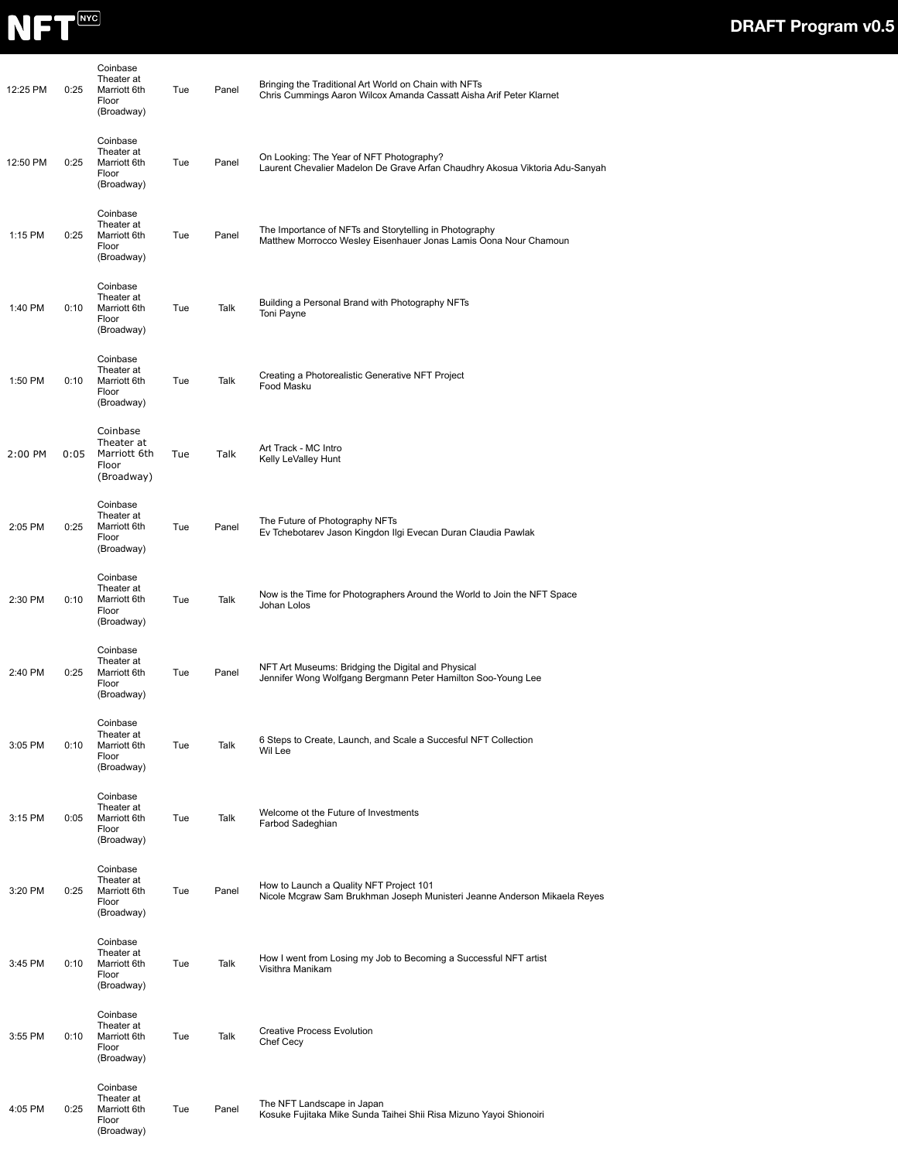

| 12:25 PM | 0:25 | Coinbase<br>Theater at<br>Marriott 6th<br>Floor<br>(Broadway) | Tue | Panel | Bringing the Traditional Art World on Chain with NFTs<br>Chris Cummings Aaron Wilcox Amanda Cassatt Aisha Arif Peter Klarnet |
|----------|------|---------------------------------------------------------------|-----|-------|------------------------------------------------------------------------------------------------------------------------------|
| 12:50 PM | 0:25 | Coinbase<br>Theater at<br>Marriott 6th<br>Floor<br>(Broadway) | Tue | Panel | On Looking: The Year of NFT Photography?<br>Laurent Chevalier Madelon De Grave Arfan Chaudhry Akosua Viktoria Adu-Sanyah     |
| 1:15 PM  | 0:25 | Coinbase<br>Theater at<br>Marriott 6th<br>Floor<br>(Broadway) | Tue | Panel | The Importance of NFTs and Storytelling in Photography<br>Matthew Morrocco Wesley Eisenhauer Jonas Lamis Oona Nour Chamoun   |
| 1:40 PM  | 0:10 | Coinbase<br>Theater at<br>Marriott 6th<br>Floor<br>(Broadway) | Tue | Talk  | Building a Personal Brand with Photography NFTs<br>Toni Payne                                                                |
| 1:50 PM  | 0:10 | Coinbase<br>Theater at<br>Marriott 6th<br>Floor<br>(Broadway) | Tue | Talk  | Creating a Photorealistic Generative NFT Project<br>Food Masku                                                               |
| 2:00 PM  | 0:05 | Coinbase<br>Theater at<br>Marriott 6th<br>Floor<br>(Broadway) | Tue | Talk  | Art Track - MC Intro<br>Kelly LeValley Hunt                                                                                  |
| 2:05 PM  | 0:25 | Coinbase<br>Theater at<br>Marriott 6th<br>Floor<br>(Broadway) | Tue | Panel | The Future of Photography NFTs<br>Ev Tchebotarev Jason Kingdon Ilgi Evecan Duran Claudia Pawlak                              |
| 2:30 PM  | 0:10 | Coinbase<br>Theater at<br>Marriott 6th<br>Floor<br>(Broadway) | Tue | Talk  | Now is the Time for Photographers Around the World to Join the NFT Space<br>Johan Lolos                                      |
| 2:40 PM  | 0:25 | Coinbase<br>Theater at<br>Marriott 6th<br>Floor<br>(Broadway) | Tue | Panel | NFT Art Museums: Bridging the Digital and Physical<br>Jennifer Wong Wolfgang Bergmann Peter Hamilton Soo-Young Lee           |
| 3:05 PM  | 0:10 | Coinbase<br>Theater at<br>Marriott 6th<br>Floor<br>(Broadway) | Tue | Talk  | 6 Steps to Create, Launch, and Scale a Succesful NFT Collection<br>Wil Lee                                                   |
| 3:15 PM  | 0:05 | Coinbase<br>Theater at<br>Marriott 6th<br>Floor<br>(Broadway) | Tue | Talk  | Welcome ot the Future of Investments<br>Farbod Sadeghian                                                                     |
| 3:20 PM  | 0:25 | Coinbase<br>Theater at<br>Marriott 6th<br>Floor<br>(Broadway) | Tue | Panel | How to Launch a Quality NFT Project 101<br>Nicole Mcgraw Sam Brukhman Joseph Munisteri Jeanne Anderson Mikaela Reyes         |
| 3:45 PM  | 0:10 | Coinbase<br>Theater at<br>Marriott 6th<br>Floor<br>(Broadway) | Tue | Talk  | How I went from Losing my Job to Becoming a Successful NFT artist<br>Visithra Manikam                                        |
| 3:55 PM  | 0:10 | Coinbase<br>Theater at<br>Marriott 6th<br>Floor<br>(Broadway) | Tue | Talk  | <b>Creative Process Evolution</b><br>Chef Cecy                                                                               |
| 4:05 PM  | 0:25 | Coinbase<br>Theater at<br>Marriott 6th<br>Floor<br>(Broadway) | Tue | Panel | The NFT Landscape in Japan<br>Kosuke Fujitaka Mike Sunda Taihei Shii Risa Mizuno Yayoi Shionoiri                             |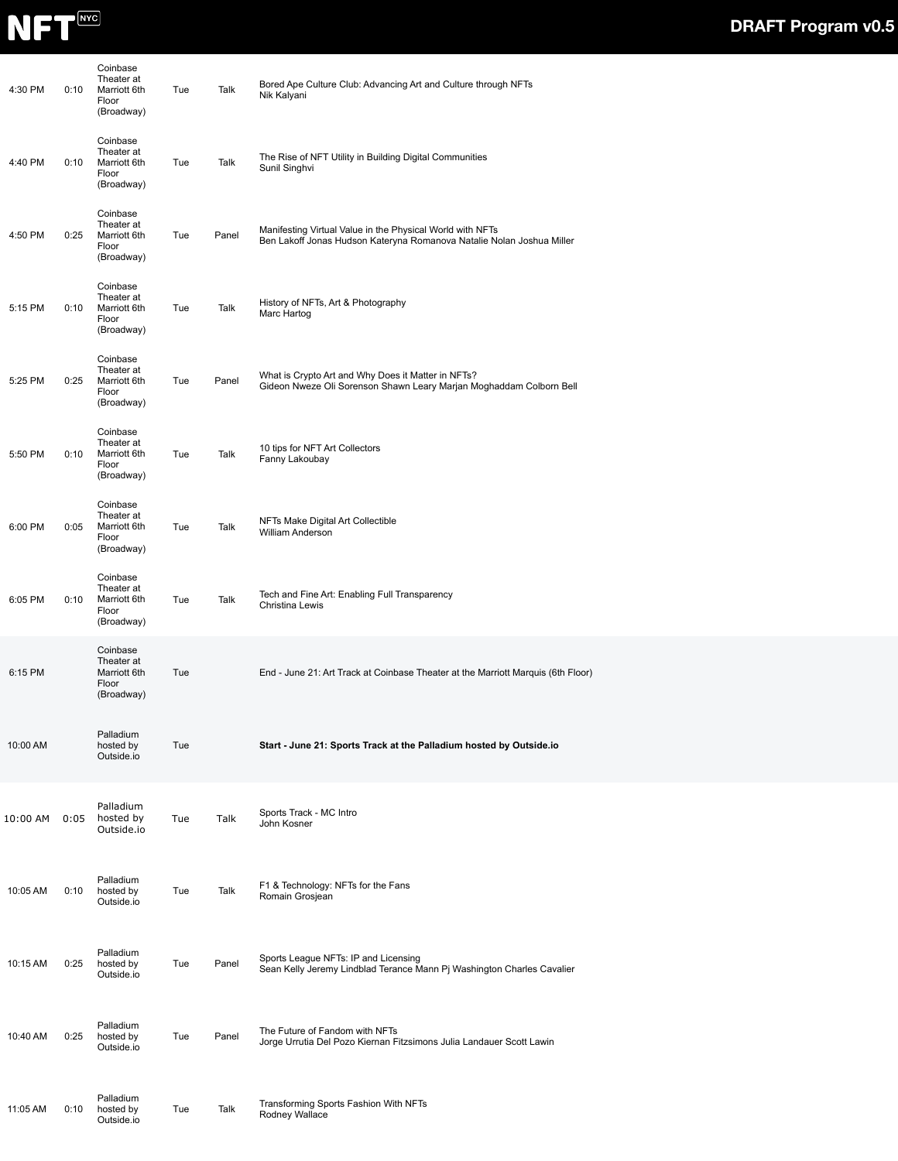

| 4:30 PM  | 0:10 | Coinbase<br>Theater at<br>Marriott 6th<br>Floor<br>(Broadway) | Tue | Talk  | Bored Ape Culture Club: Advancing Art and Culture through NFTs<br>Nik Kalyani                                                      |
|----------|------|---------------------------------------------------------------|-----|-------|------------------------------------------------------------------------------------------------------------------------------------|
| 4:40 PM  | 0:10 | Coinbase<br>Theater at<br>Marriott 6th<br>Floor<br>(Broadway) | Tue | Talk  | The Rise of NFT Utility in Building Digital Communities<br>Sunil Singhvi                                                           |
| 4:50 PM  | 0:25 | Coinbase<br>Theater at<br>Marriott 6th<br>Floor<br>(Broadway) | Tue | Panel | Manifesting Virtual Value in the Physical World with NFTs<br>Ben Lakoff Jonas Hudson Kateryna Romanova Natalie Nolan Joshua Miller |
| 5:15 PM  | 0:10 | Coinbase<br>Theater at<br>Marriott 6th<br>Floor<br>(Broadway) | Tue | Talk  | History of NFTs, Art & Photography<br>Marc Hartog                                                                                  |
| 5:25 PM  | 0:25 | Coinbase<br>Theater at<br>Marriott 6th<br>Floor<br>(Broadway) | Tue | Panel | What is Crypto Art and Why Does it Matter in NFTs?<br>Gideon Nweze Oli Sorenson Shawn Leary Marjan Moghaddam Colborn Bell          |
| 5:50 PM  | 0:10 | Coinbase<br>Theater at<br>Marriott 6th<br>Floor<br>(Broadway) | Tue | Talk  | 10 tips for NFT Art Collectors<br>Fanny Lakoubay                                                                                   |
| 6:00 PM  | 0:05 | Coinbase<br>Theater at<br>Marriott 6th<br>Floor<br>(Broadway) | Tue | Talk  | NFTs Make Digital Art Collectible<br>William Anderson                                                                              |
| 6:05 PM  | 0:10 | Coinbase<br>Theater at<br>Marriott 6th<br>Floor<br>(Broadway) | Tue | Talk  | Tech and Fine Art: Enabling Full Transparency<br>Christina Lewis                                                                   |
| 6:15 PM  |      | Coinbase<br>Theater at<br>Marriott 6th<br>Floor<br>(Broadway) | Tue |       | End - June 21: Art Track at Coinbase Theater at the Marriott Marquis (6th Floor)                                                   |
| 10:00 AM |      | Palladium<br>hosted by<br>Outside.io                          | Tue |       | Start - June 21: Sports Track at the Palladium hosted by Outside.io                                                                |
| 10:00 AM | 0:05 | Palladium<br>hosted by<br>Outside.io                          | Tue | Talk  | Sports Track - MC Intro<br>John Kosner                                                                                             |
| 10:05 AM | 0:10 | Palladium<br>hosted by<br>Outside.io                          | Tue | Talk  | F1 & Technology: NFTs for the Fans<br>Romain Grosjean                                                                              |
| 10:15 AM | 0:25 | Palladium<br>hosted by<br>Outside.io                          | Tue | Panel | Sports League NFTs: IP and Licensing<br>Sean Kelly Jeremy Lindblad Terance Mann Pj Washington Charles Cavalier                     |
| 10:40 AM | 0:25 | Palladium<br>hosted by<br>Outside.io                          | Tue | Panel | The Future of Fandom with NFTs<br>Jorge Urrutia Del Pozo Kiernan Fitzsimons Julia Landauer Scott Lawin                             |
| 11:05 AM | 0:10 | Palladium<br>hosted by<br>Outside.io                          | Tue | Talk  | Transforming Sports Fashion With NFTs<br>Rodney Wallace                                                                            |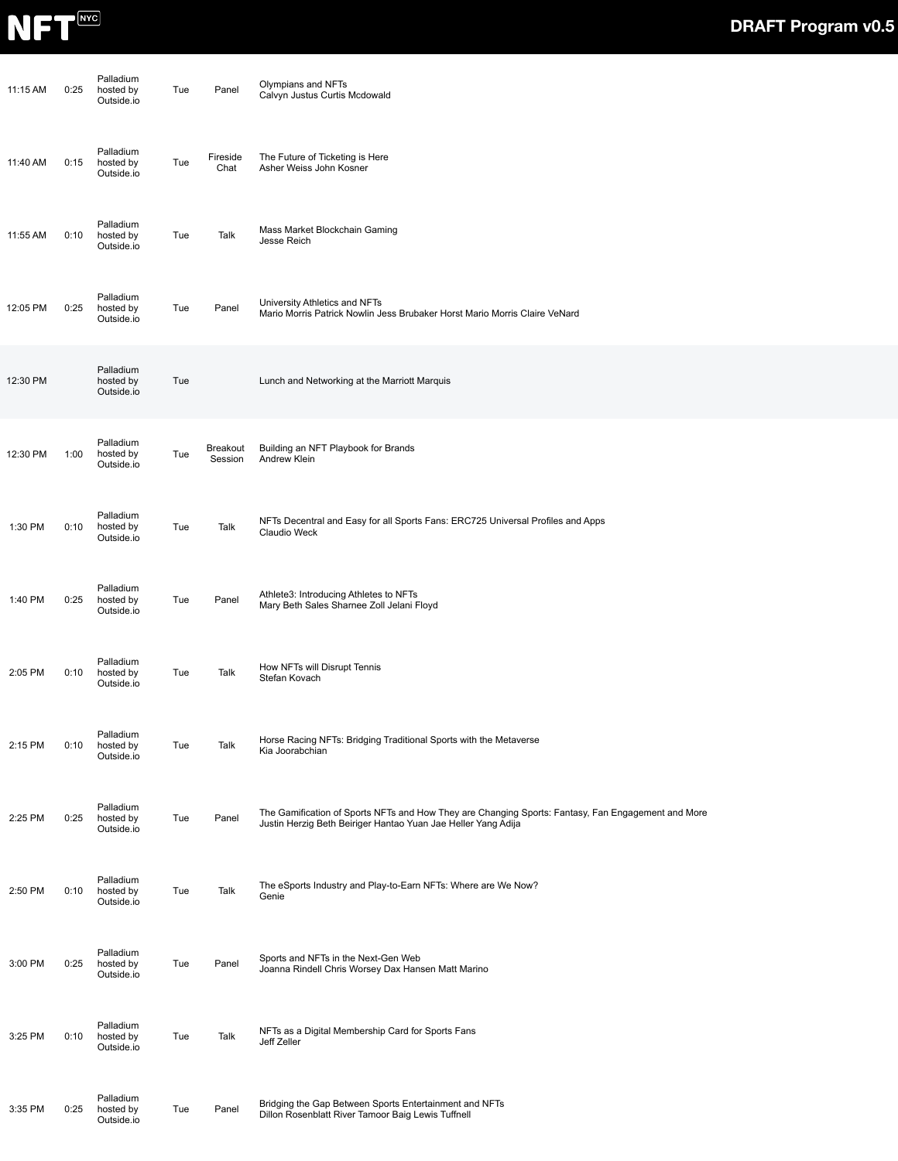

| 11:15 AM | 0:25 | Palladium<br>hosted by<br>Outside.io | Tue | Panel               | Olympians and NFTs<br>Calvyn Justus Curtis Mcdowald                                                                                                                 |
|----------|------|--------------------------------------|-----|---------------------|---------------------------------------------------------------------------------------------------------------------------------------------------------------------|
| 11:40 AM | 0:15 | Palladium<br>hosted by<br>Outside.io | Tue | Fireside<br>Chat    | The Future of Ticketing is Here<br>Asher Weiss John Kosner                                                                                                          |
| 11:55 AM | 0:10 | Palladium<br>hosted by<br>Outside.io | Tue | Talk                | Mass Market Blockchain Gaming<br>Jesse Reich                                                                                                                        |
| 12:05 PM | 0:25 | Palladium<br>hosted by<br>Outside.io | Tue | Panel               | University Athletics and NFTs<br>Mario Morris Patrick Nowlin Jess Brubaker Horst Mario Morris Claire VeNard                                                         |
| 12:30 PM |      | Palladium<br>hosted by<br>Outside.io | Tue |                     | Lunch and Networking at the Marriott Marquis                                                                                                                        |
| 12:30 PM | 1:00 | Palladium<br>hosted by<br>Outside.io | Tue | Breakout<br>Session | Building an NFT Playbook for Brands<br>Andrew Klein                                                                                                                 |
| 1:30 PM  | 0:10 | Palladium<br>hosted by<br>Outside.io | Tue | Talk                | NFTs Decentral and Easy for all Sports Fans: ERC725 Universal Profiles and Apps<br>Claudio Weck                                                                     |
| 1:40 PM  | 0:25 | Palladium<br>hosted by<br>Outside.io | Tue | Panel               | Athlete3: Introducing Athletes to NFTs<br>Mary Beth Sales Sharnee Zoll Jelani Floyd                                                                                 |
| 2:05 PM  | 0:10 | Palladium<br>hosted by<br>Outside.io | Tue | Talk                | How NFTs will Disrupt Tennis<br>Stefan Kovach                                                                                                                       |
| 2:15 PM  | 0:10 | Palladium<br>hosted by<br>Outside.io | Tue | Talk                | Horse Racing NFTs: Bridging Traditional Sports with the Metaverse<br>Kia Joorabchian                                                                                |
| 2:25 PM  | 0:25 | Palladium<br>hosted by<br>Outside.io | Tue | Panel               | The Gamification of Sports NFTs and How They are Changing Sports: Fantasy, Fan Engagement and More<br>Justin Herzig Beth Beiriger Hantao Yuan Jae Heller Yang Adija |
| 2:50 PM  | 0:10 | Palladium<br>hosted by<br>Outside.io | Tue | Talk                | The eSports Industry and Play-to-Earn NFTs: Where are We Now?<br>Genie                                                                                              |
| 3:00 PM  | 0:25 | Palladium<br>hosted by<br>Outside.io | Tue | Panel               | Sports and NFTs in the Next-Gen Web<br>Joanna Rindell Chris Worsey Dax Hansen Matt Marino                                                                           |
| 3:25 PM  | 0:10 | Palladium<br>hosted by<br>Outside.io | Tue | Talk                | NFTs as a Digital Membership Card for Sports Fans<br>Jeff Zeller                                                                                                    |
| 3:35 PM  | 0:25 | Palladium<br>hosted by<br>Outside.io | Tue | Panel               | Bridging the Gap Between Sports Entertainment and NFTs<br>Dillon Rosenblatt River Tamoor Baig Lewis Tuffnell                                                        |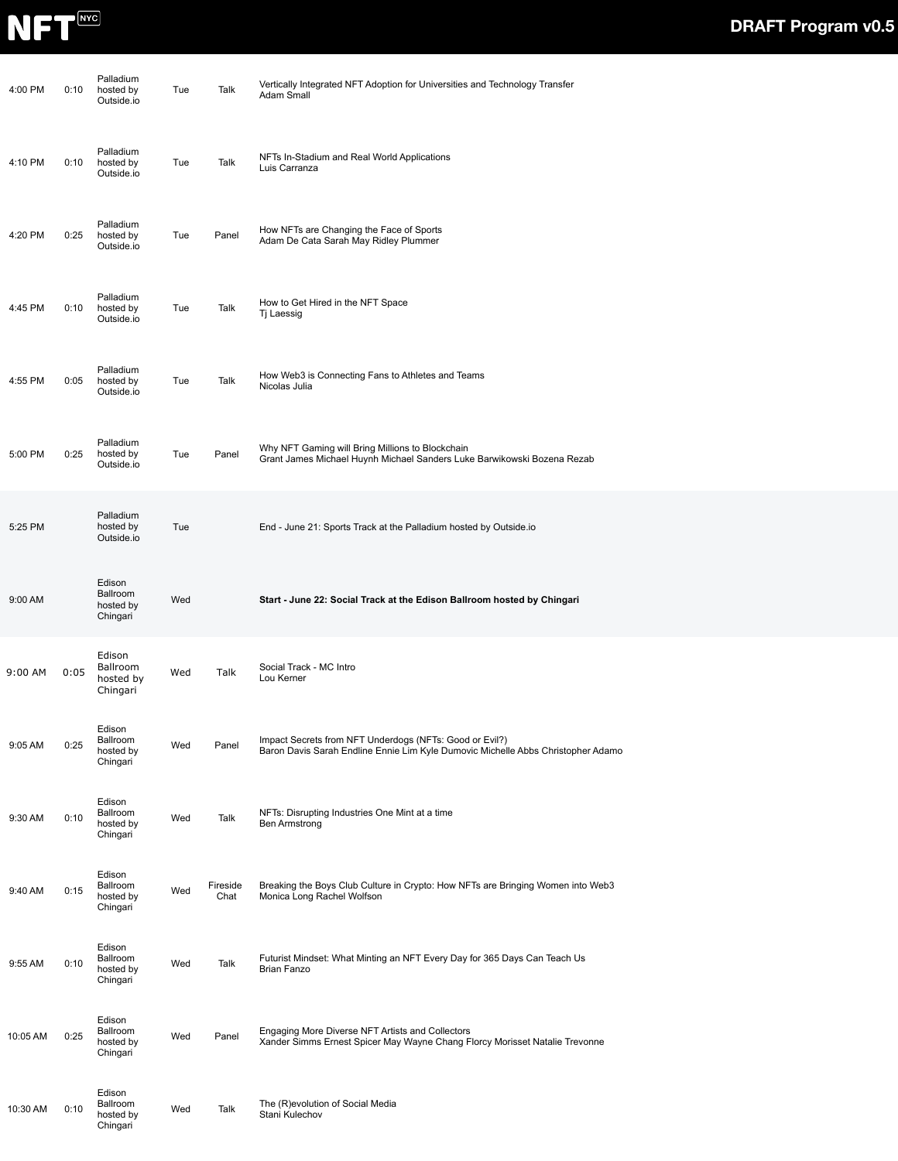

| 4:00 PM  | 0:10 | Palladium<br>hosted by<br>Outside.io        | Tue | Talk             | Vertically Integrated NFT Adoption for Universities and Technology Transfer<br>Adam Small                                                   |
|----------|------|---------------------------------------------|-----|------------------|---------------------------------------------------------------------------------------------------------------------------------------------|
| 4:10 PM  | 0:10 | Palladium<br>hosted by<br>Outside.io        | Tue | Talk             | NFTs In-Stadium and Real World Applications<br>Luis Carranza                                                                                |
| 4:20 PM  | 0:25 | Palladium<br>hosted by<br>Outside.io        | Tue | Panel            | How NFTs are Changing the Face of Sports<br>Adam De Cata Sarah May Ridley Plummer                                                           |
| 4:45 PM  | 0:10 | Palladium<br>hosted by<br>Outside.io        | Tue | Talk             | How to Get Hired in the NFT Space<br>Tj Laessig                                                                                             |
| 4:55 PM  | 0:05 | Palladium<br>hosted by<br>Outside.io        | Tue | Talk             | How Web3 is Connecting Fans to Athletes and Teams<br>Nicolas Julia                                                                          |
| 5:00 PM  | 0:25 | Palladium<br>hosted by<br>Outside.io        | Tue | Panel            | Why NFT Gaming will Bring Millions to Blockchain<br>Grant James Michael Huynh Michael Sanders Luke Barwikowski Bozena Rezab                 |
| 5:25 PM  |      | Palladium<br>hosted by<br>Outside.io        | Tue |                  | End - June 21: Sports Track at the Palladium hosted by Outside.io                                                                           |
| 9:00 AM  |      | Edison<br>Ballroom<br>hosted by<br>Chingari | Wed |                  | Start - June 22: Social Track at the Edison Ballroom hosted by Chingari                                                                     |
| 9:00 AM  | 0:05 | Edison<br>Ballroom<br>hosted by<br>Chingari | Wed | Talk             | Social Track - MC Intro<br>Lou Kerner                                                                                                       |
| 9:05 AM  | 0:25 | Edison<br>Ballroom<br>hosted by<br>Chingari | Wed | Panel            | Impact Secrets from NFT Underdogs (NFTs: Good or Evil?)<br>Baron Davis Sarah Endline Ennie Lim Kyle Dumovic Michelle Abbs Christopher Adamo |
| 9:30 AM  | 0:10 | Edison<br>Ballroom<br>hosted by<br>Chingari | Wed | Talk             | NFTs: Disrupting Industries One Mint at a time<br><b>Ben Armstrong</b>                                                                      |
| 9:40 AM  | 0:15 | Edison<br>Ballroom<br>hosted by<br>Chingari | Wed | Fireside<br>Chat | Breaking the Boys Club Culture in Crypto: How NFTs are Bringing Women into Web3<br>Monica Long Rachel Wolfson                               |
| 9:55 AM  | 0:10 | Edison<br>Ballroom<br>hosted by<br>Chingari | Wed | Talk             | Futurist Mindset: What Minting an NFT Every Day for 365 Days Can Teach Us<br>Brian Fanzo                                                    |
| 10:05 AM | 0:25 | Edison<br>Ballroom<br>hosted by<br>Chingari | Wed | Panel            | Engaging More Diverse NFT Artists and Collectors<br>Xander Simms Ernest Spicer May Wayne Chang Florcy Morisset Natalie Trevonne             |
| 10:30 AM | 0:10 | Edison<br>Ballroom<br>hosted by<br>Chingari | Wed | Talk             | The (R)evolution of Social Media<br>Stani Kulechov                                                                                          |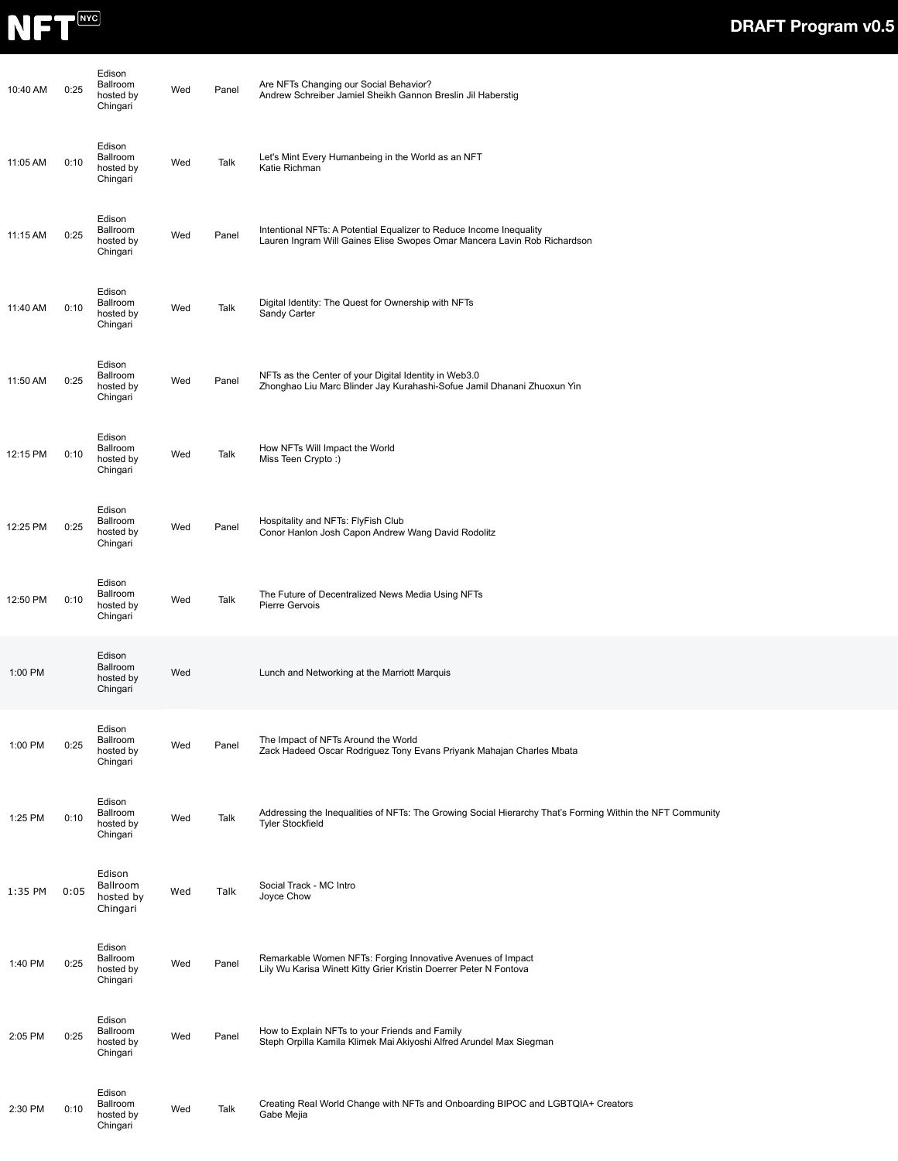

| 10:40 AM | 0:25 | Edison<br>Ballroom<br>hosted by<br>Chingari | Wed | Panel | Are NFTs Changing our Social Behavior?<br>Andrew Schreiber Jamiel Sheikh Gannon Breslin Jil Haberstig                                           |
|----------|------|---------------------------------------------|-----|-------|-------------------------------------------------------------------------------------------------------------------------------------------------|
| 11:05 AM | 0:10 | Edison<br>Ballroom<br>hosted by<br>Chingari | Wed | Talk  | Let's Mint Every Humanbeing in the World as an NFT<br>Katie Richman                                                                             |
| 11:15 AM | 0:25 | Edison<br>Ballroom<br>hosted by<br>Chingari | Wed | Panel | Intentional NFTs: A Potential Equalizer to Reduce Income Inequality<br>Lauren Ingram Will Gaines Elise Swopes Omar Mancera Lavin Rob Richardson |
| 11:40 AM | 0:10 | Edison<br>Ballroom<br>hosted by<br>Chingari | Wed | Talk  | Digital Identity: The Quest for Ownership with NFTs<br>Sandy Carter                                                                             |
| 11:50 AM | 0:25 | Edison<br>Ballroom<br>hosted by<br>Chingari | Wed | Panel | NFTs as the Center of your Digital Identity in Web3.0<br>Zhonghao Liu Marc Blinder Jay Kurahashi-Sofue Jamil Dhanani Zhuoxun Yin                |
| 12:15 PM | 0:10 | Edison<br>Ballroom<br>hosted by<br>Chingari | Wed | Talk  | How NFTs Will Impact the World<br>Miss Teen Crypto:)                                                                                            |
| 12:25 PM | 0:25 | Edison<br>Ballroom<br>hosted by<br>Chingari | Wed | Panel | Hospitality and NFTs: FlyFish Club<br>Conor Hanlon Josh Capon Andrew Wang David Rodolitz                                                        |
| 12:50 PM | 0:10 | Edison<br>Ballroom<br>hosted by<br>Chingari | Wed | Talk  | The Future of Decentralized News Media Using NFTs<br>Pierre Gervois                                                                             |
| 1:00 PM  |      | Edison<br>Ballroom<br>hosted by<br>Chingari | Wed |       | Lunch and Networking at the Marriott Marquis                                                                                                    |
| 1:00 PM  | 0:25 | Edison<br>Ballroom<br>hosted by<br>Chingari | Wed | Panel | The Impact of NFTs Around the World<br>Zack Hadeed Oscar Rodriguez Tony Evans Priyank Mahajan Charles Mbata                                     |
| 1:25 PM  | 0:10 | Edison<br>Ballroom<br>hosted by<br>Chingari | Wed | Talk  | Addressing the Inequalities of NFTs: The Growing Social Hierarchy That's Forming Within the NFT Community<br><b>Tyler Stockfield</b>            |
| 1:35 PM  | 0:05 | Edison<br>Ballroom<br>hosted by<br>Chingari | Wed | Talk  | Social Track - MC Intro<br>Joyce Chow                                                                                                           |
| 1:40 PM  | 0:25 | Edison<br>Ballroom<br>hosted by<br>Chingari | Wed | Panel | Remarkable Women NFTs: Forging Innovative Avenues of Impact<br>Lily Wu Karisa Winett Kitty Grier Kristin Doerrer Peter N Fontova                |
| 2:05 PM  | 0:25 | Edison<br>Ballroom<br>hosted by<br>Chingari | Wed | Panel | How to Explain NFTs to your Friends and Family<br>Steph Orpilla Kamila Klimek Mai Akiyoshi Alfred Arundel Max Siegman                           |
| 2:30 PM  | 0:10 | Edison<br>Ballroom<br>hosted by<br>Chingari | Wed | Talk  | Creating Real World Change with NFTs and Onboarding BIPOC and LGBTQIA+ Creators<br>Gabe Mejia                                                   |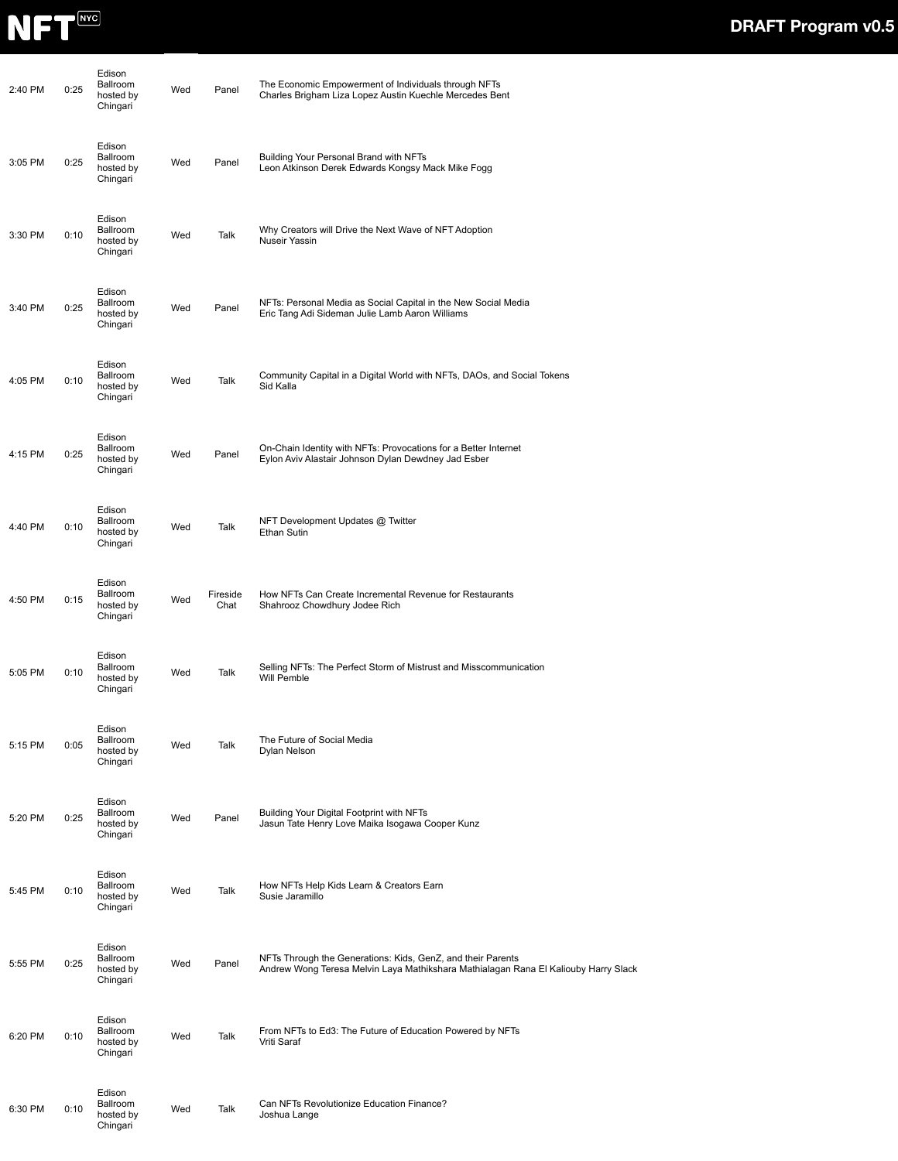

| 2:40 PM | 0:25 | Edison<br>Ballroom<br>hosted by<br>Chingari | Wed | Panel            | The Economic Empowerment of Individuals through NFTs<br>Charles Brigham Liza Lopez Austin Kuechle Mercedes Bent                                    |
|---------|------|---------------------------------------------|-----|------------------|----------------------------------------------------------------------------------------------------------------------------------------------------|
| 3:05 PM | 0:25 | Edison<br>Ballroom<br>hosted by<br>Chingari | Wed | Panel            | Building Your Personal Brand with NFTs<br>Leon Atkinson Derek Edwards Kongsy Mack Mike Fogg                                                        |
| 3:30 PM | 0:10 | Edison<br>Ballroom<br>hosted by<br>Chingari | Wed | Talk             | Why Creators will Drive the Next Wave of NFT Adoption<br>Nuseir Yassin                                                                             |
| 3:40 PM | 0:25 | Edison<br>Ballroom<br>hosted by<br>Chingari | Wed | Panel            | NFTs: Personal Media as Social Capital in the New Social Media<br>Eric Tang Adi Sideman Julie Lamb Aaron Williams                                  |
| 4:05 PM | 0:10 | Edison<br>Ballroom<br>hosted by<br>Chingari | Wed | Talk             | Community Capital in a Digital World with NFTs, DAOs, and Social Tokens<br>Sid Kalla                                                               |
| 4:15 PM | 0:25 | Edison<br>Ballroom<br>hosted by<br>Chingari | Wed | Panel            | On-Chain Identity with NFTs: Provocations for a Better Internet<br>Eylon Aviv Alastair Johnson Dylan Dewdney Jad Esber                             |
| 4:40 PM | 0:10 | Edison<br>Ballroom<br>hosted by<br>Chingari | Wed | Talk             | NFT Development Updates @ Twitter<br>Ethan Sutin                                                                                                   |
| 4:50 PM | 0:15 | Edison<br>Ballroom<br>hosted by<br>Chingari | Wed | Fireside<br>Chat | How NFTs Can Create Incremental Revenue for Restaurants<br>Shahrooz Chowdhury Jodee Rich                                                           |
| 5:05 PM | 0:10 | Edison<br>Ballroom<br>hosted by<br>Chingari | Wed | Talk             | Selling NFTs: The Perfect Storm of Mistrust and Misscommunication<br>Will Pemble                                                                   |
| 5:15 PM | 0:05 | Edison<br>Ballroom<br>hosted by<br>Chingari | Wed | Talk             | The Future of Social Media<br>Dylan Nelson                                                                                                         |
| 5:20 PM | 0:25 | Edison<br>Ballroom<br>hosted by<br>Chingari | Wed | Panel            | Building Your Digital Footprint with NFTs<br>Jasun Tate Henry Love Maika Isogawa Cooper Kunz                                                       |
| 5:45 PM | 0:10 | Edison<br>Ballroom<br>hosted by<br>Chingari | Wed | Talk             | How NFTs Help Kids Learn & Creators Earn<br>Susie Jaramillo                                                                                        |
| 5:55 PM | 0:25 | Edison<br>Ballroom<br>hosted by<br>Chingari | Wed | Panel            | NFTs Through the Generations: Kids, GenZ, and their Parents<br>Andrew Wong Teresa Melvin Laya Mathikshara Mathialagan Rana El Kaliouby Harry Slack |
| 6:20 PM | 0:10 | Edison<br>Ballroom<br>hosted by<br>Chingari | Wed | Talk             | From NFTs to Ed3: The Future of Education Powered by NFTs<br>Vriti Saraf                                                                           |
| 6:30 PM | 0:10 | Edison<br>Ballroom<br>hosted by<br>Chingari | Wed | Talk             | Can NFTs Revolutionize Education Finance?<br>Joshua Lange                                                                                          |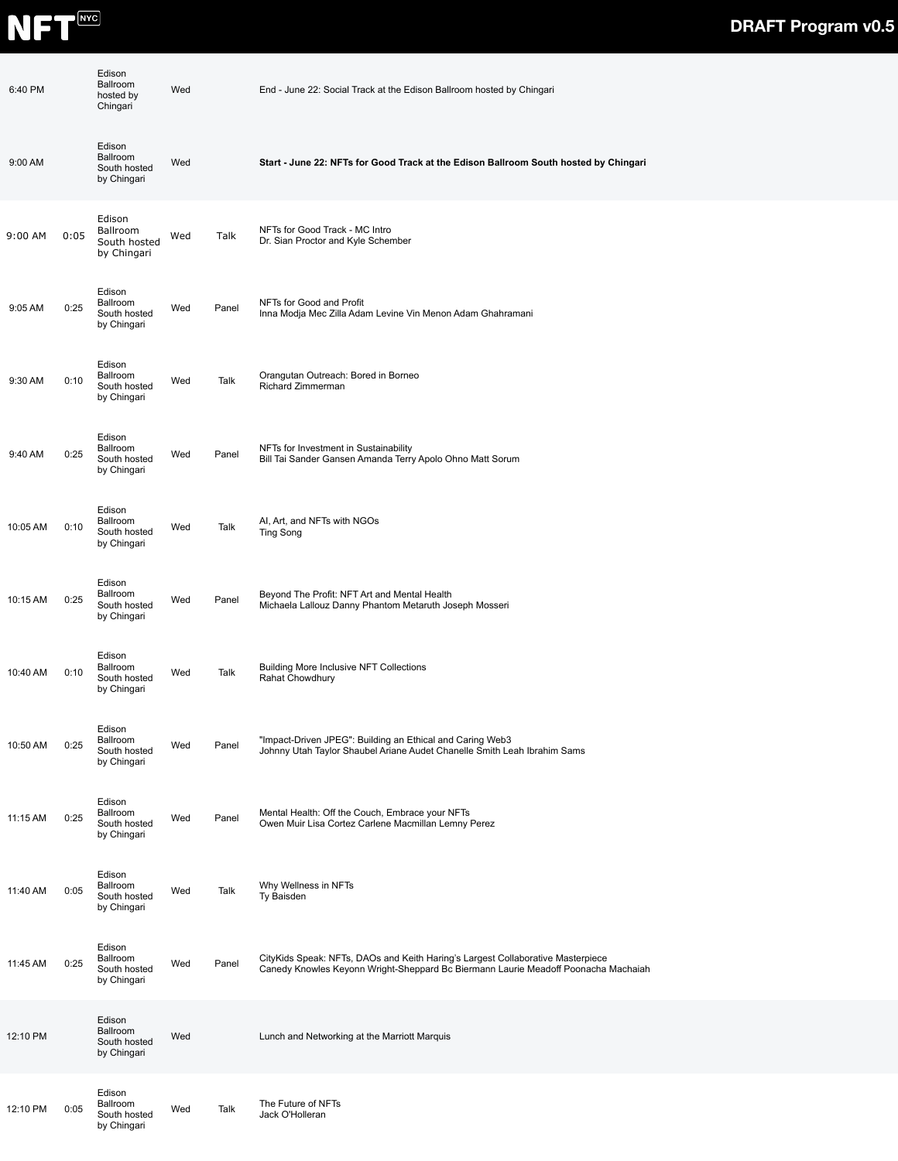

| 6:40 PM  |      | Edison<br>Ballroom<br>hosted by<br>Chingari       | Wed |       | End - June 22: Social Track at the Edison Ballroom hosted by Chingari                                                                                                 |
|----------|------|---------------------------------------------------|-----|-------|-----------------------------------------------------------------------------------------------------------------------------------------------------------------------|
| 9:00 AM  |      | Edison<br>Ballroom<br>South hosted<br>by Chingari | Wed |       | Start - June 22: NFTs for Good Track at the Edison Ballroom South hosted by Chingari                                                                                  |
| 9:00 AM  | 0:05 | Edison<br>Ballroom<br>South hosted<br>by Chingari | Wed | Talk  | NFTs for Good Track - MC Intro<br>Dr. Sian Proctor and Kyle Schember                                                                                                  |
| 9:05 AM  | 0:25 | Edison<br>Ballroom<br>South hosted<br>by Chingari | Wed | Panel | NFTs for Good and Profit<br>Inna Modja Mec Zilla Adam Levine Vin Menon Adam Ghahramani                                                                                |
| 9:30 AM  | 0:10 | Edison<br>Ballroom<br>South hosted<br>by Chingari | Wed | Talk  | Orangutan Outreach: Bored in Borneo<br>Richard Zimmerman                                                                                                              |
| 9:40 AM  | 0:25 | Edison<br>Ballroom<br>South hosted<br>by Chingari | Wed | Panel | NFTs for Investment in Sustainability<br>Bill Tai Sander Gansen Amanda Terry Apolo Ohno Matt Sorum                                                                    |
| 10:05 AM | 0:10 | Edison<br>Ballroom<br>South hosted<br>by Chingari | Wed | Talk  | AI, Art, and NFTs with NGOs<br><b>Ting Song</b>                                                                                                                       |
| 10:15 AM | 0:25 | Edison<br>Ballroom<br>South hosted<br>by Chingari | Wed | Panel | Beyond The Profit: NFT Art and Mental Health<br>Michaela Lallouz Danny Phantom Metaruth Joseph Mosseri                                                                |
| 10:40 AM | 0:10 | Edison<br>Ballroom<br>South hosted<br>by Chingari | Wed | Talk  | <b>Building More Inclusive NFT Collections</b><br>Rahat Chowdhury                                                                                                     |
| 10:50 AM | 0:25 | Edison<br>Ballroom<br>South hosted<br>by Chingari | Wed | Panel | "Impact-Driven JPEG": Building an Ethical and Caring Web3<br>Johnny Utah Taylor Shaubel Ariane Audet Chanelle Smith Leah Ibrahim Sams                                 |
| 11:15 AM | 0:25 | Edison<br>Ballroom<br>South hosted<br>by Chingari | Wed | Panel | Mental Health: Off the Couch, Embrace your NFTs<br>Owen Muir Lisa Cortez Carlene Macmillan Lemny Perez                                                                |
| 11:40 AM | 0:05 | Edison<br>Ballroom<br>South hosted<br>by Chingari | Wed | Talk  | Why Wellness in NFTs<br>Ty Baisden                                                                                                                                    |
| 11:45 AM | 0:25 | Edison<br>Ballroom<br>South hosted<br>by Chingari | Wed | Panel | CityKids Speak: NFTs, DAOs and Keith Haring's Largest Collaborative Masterpiece<br>Canedy Knowles Keyonn Wright-Sheppard Bc Biermann Laurie Meadoff Poonacha Machaiah |
| 12:10 PM |      | Edison<br>Ballroom<br>South hosted<br>by Chingari | Wed |       | Lunch and Networking at the Marriott Marquis                                                                                                                          |
| 12:10 PM | 0:05 | Edison<br>Ballroom<br>South hosted<br>by Chingari | Wed | Talk  | The Future of NFTs<br>Jack O'Holleran                                                                                                                                 |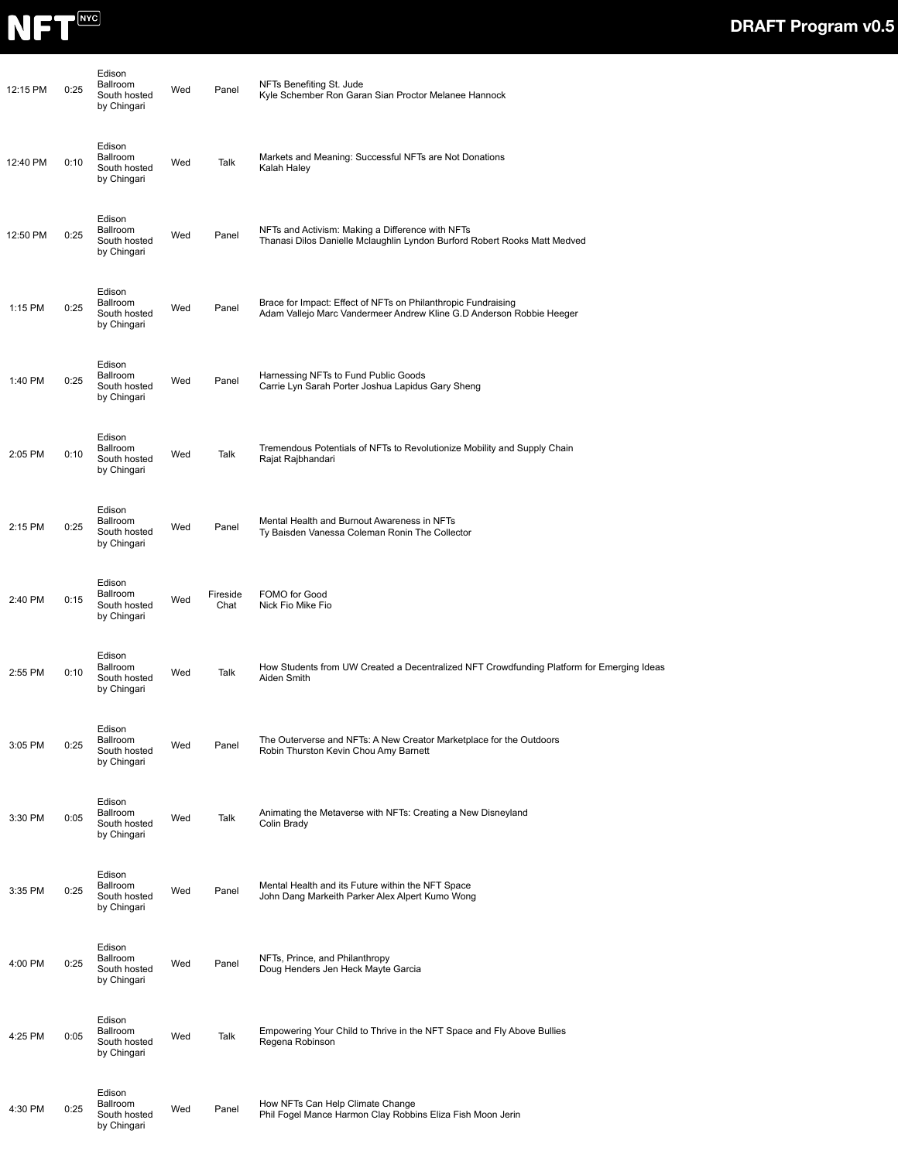

| 12:15 PM | 0:25 | Edison<br>Ballroom<br>South hosted<br>by Chingari        | Wed | Panel            | NFTs Benefiting St. Jude<br>Kyle Schember Ron Garan Sian Proctor Melanee Hannock                                                      |
|----------|------|----------------------------------------------------------|-----|------------------|---------------------------------------------------------------------------------------------------------------------------------------|
| 12:40 PM | 0:10 | Edison<br><b>Ballroom</b><br>South hosted<br>by Chingari | Wed | Talk             | Markets and Meaning: Successful NFTs are Not Donations<br>Kalah Haley                                                                 |
| 12:50 PM | 0:25 | Edison<br>Ballroom<br>South hosted<br>by Chingari        | Wed | Panel            | NFTs and Activism: Making a Difference with NFTs<br>Thanasi Dilos Danielle Mclaughlin Lyndon Burford Robert Rooks Matt Medved         |
| 1:15 PM  | 0:25 | Edison<br>Ballroom<br>South hosted<br>by Chingari        | Wed | Panel            | Brace for Impact: Effect of NFTs on Philanthropic Fundraising<br>Adam Vallejo Marc Vandermeer Andrew Kline G.D Anderson Robbie Heeger |
| 1:40 PM  | 0:25 | Edison<br>Ballroom<br>South hosted<br>by Chingari        | Wed | Panel            | Harnessing NFTs to Fund Public Goods<br>Carrie Lyn Sarah Porter Joshua Lapidus Gary Sheng                                             |
| 2:05 PM  | 0:10 | Edison<br><b>Ballroom</b><br>South hosted<br>by Chingari | Wed | Talk             | Tremendous Potentials of NFTs to Revolutionize Mobility and Supply Chain<br>Rajat Rajbhandari                                         |
| 2:15 PM  | 0:25 | Edison<br>Ballroom<br>South hosted<br>by Chingari        | Wed | Panel            | Mental Health and Burnout Awareness in NFTs<br>Ty Baisden Vanessa Coleman Ronin The Collector                                         |
| 2:40 PM  | 0:15 | Edison<br>Ballroom<br>South hosted<br>by Chingari        | Wed | Fireside<br>Chat | FOMO for Good<br>Nick Fio Mike Fio                                                                                                    |
| 2:55 PM  | 0:10 | Edison<br>Ballroom<br>South hosted<br>by Chingari        | Wed | Talk             | How Students from UW Created a Decentralized NFT Crowdfunding Platform for Emerging Ideas<br>Aiden Smith                              |
| 3:05 PM  | 0:25 | Edison<br>Ballroom<br>South hosted<br>by Chingari        | Wed | Panel            | The Outerverse and NFTs: A New Creator Marketplace for the Outdoors<br>Robin Thurston Kevin Chou Amy Barnett                          |
| 3:30 PM  | 0:05 | Edison<br>Ballroom<br>South hosted<br>by Chingari        | Wed | Talk             | Animating the Metaverse with NFTs: Creating a New Disneyland<br>Colin Brady                                                           |
| 3:35 PM  | 0:25 | Edison<br><b>Ballroom</b><br>South hosted<br>by Chingari | Wed | Panel            | Mental Health and its Future within the NFT Space<br>John Dang Markeith Parker Alex Alpert Kumo Wong                                  |
| 4:00 PM  | 0:25 | Edison<br>Ballroom<br>South hosted<br>by Chingari        | Wed | Panel            | NFTs, Prince, and Philanthropy<br>Doug Henders Jen Heck Mayte Garcia                                                                  |
| 4:25 PM  | 0:05 | Edison<br>Ballroom<br>South hosted<br>by Chingari        | Wed | Talk             | Empowering Your Child to Thrive in the NFT Space and Fly Above Bullies<br>Regena Robinson                                             |
| 4:30 PM  | 0:25 | Edison<br>Ballroom<br>South hosted<br>by Chingari        | Wed | Panel            | How NFTs Can Help Climate Change<br>Phil Fogel Mance Harmon Clay Robbins Eliza Fish Moon Jerin                                        |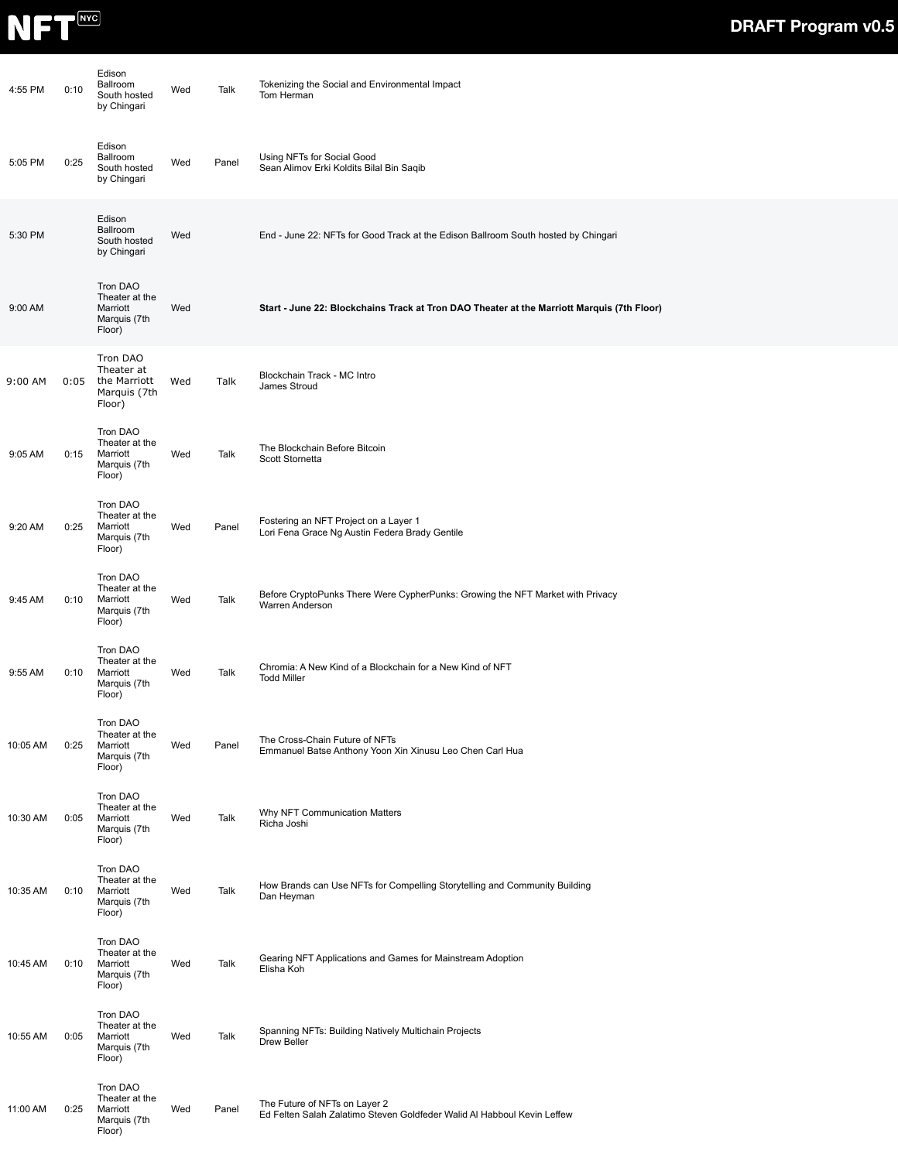

| 4:55 PM  | 0:10 | Edison<br>Ballroom<br>South hosted<br>by Chingari                | Wed | Talk  | Tokenizing the Social and Environmental Impact<br>Tom Herman                                             |
|----------|------|------------------------------------------------------------------|-----|-------|----------------------------------------------------------------------------------------------------------|
| 5:05 PM  | 0:25 | Edison<br>Ballroom<br>South hosted<br>by Chingari                | Wed | Panel | Using NFTs for Social Good<br>Sean Alimov Erki Koldits Bilal Bin Saqib                                   |
| 5:30 PM  |      | Edison<br>Ballroom<br>South hosted<br>by Chingari                | Wed |       | End - June 22: NFTs for Good Track at the Edison Ballroom South hosted by Chingari                       |
| 9:00 AM  |      | Tron DAO<br>Theater at the<br>Marriott<br>Marquis (7th<br>Floor) | Wed |       | Start - June 22: Blockchains Track at Tron DAO Theater at the Marriott Marquis (7th Floor)               |
| 9:00 AM  | 0:05 | Tron DAO<br>Theater at<br>the Marriott<br>Marquis (7th<br>Floor) | Wed | Talk  | Blockchain Track - MC Intro<br>James Stroud                                                              |
| 9:05 AM  | 0:15 | Tron DAO<br>Theater at the<br>Marriott<br>Marquis (7th<br>Floor) | Wed | Talk  | The Blockchain Before Bitcoin<br>Scott Stornetta                                                         |
| 9:20 AM  | 0:25 | Tron DAO<br>Theater at the<br>Marriott<br>Marquis (7th<br>Floor) | Wed | Panel | Fostering an NFT Project on a Layer 1<br>Lori Fena Grace Ng Austin Federa Brady Gentile                  |
| 9:45 AM  | 0:10 | Tron DAO<br>Theater at the<br>Marriott<br>Marquis (7th<br>Floor) | Wed | Talk  | Before CryptoPunks There Were CypherPunks: Growing the NFT Market with Privacy<br>Warren Anderson        |
| 9:55 AM  | 0:10 | Tron DAO<br>Theater at the<br>Marriott<br>Marquis (7th<br>Floor) | Wed | Talk  | Chromia: A New Kind of a Blockchain for a New Kind of NFT<br><b>Todd Miller</b>                          |
| 10:05 AM | 0:25 | Tron DAO<br>Theater at the<br>Marriott<br>Marquis (7th<br>Floor) | Wed | Panel | The Cross-Chain Future of NFTs<br>Emmanuel Batse Anthony Yoon Xin Xinusu Leo Chen Carl Hua               |
| 10:30 AM | 0:05 | Tron DAO<br>Theater at the<br>Marriott<br>Marquis (7th<br>Floor) | Wed | Talk  | Why NFT Communication Matters<br>Richa Joshi                                                             |
| 10:35 AM | 0:10 | Tron DAO<br>Theater at the<br>Marriott<br>Marquis (7th<br>Floor) | Wed | Talk  | How Brands can Use NFTs for Compelling Storytelling and Community Building<br>Dan Heyman                 |
| 10:45 AM | 0:10 | Tron DAO<br>Theater at the<br>Marriott<br>Marquis (7th<br>Floor) | Wed | Talk  | Gearing NFT Applications and Games for Mainstream Adoption<br>Elisha Koh                                 |
| 10:55 AM | 0:05 | Tron DAO<br>Theater at the<br>Marriott<br>Marquis (7th<br>Floor) | Wed | Talk  | Spanning NFTs: Building Natively Multichain Projects<br>Drew Beller                                      |
| 11:00 AM | 0:25 | Tron DAO<br>Theater at the<br>Marriott<br>Marquis (7th<br>Floor) | Wed | Panel | The Future of NFTs on Layer 2<br>Ed Felten Salah Zalatimo Steven Goldfeder Walid Al Habboul Kevin Leffew |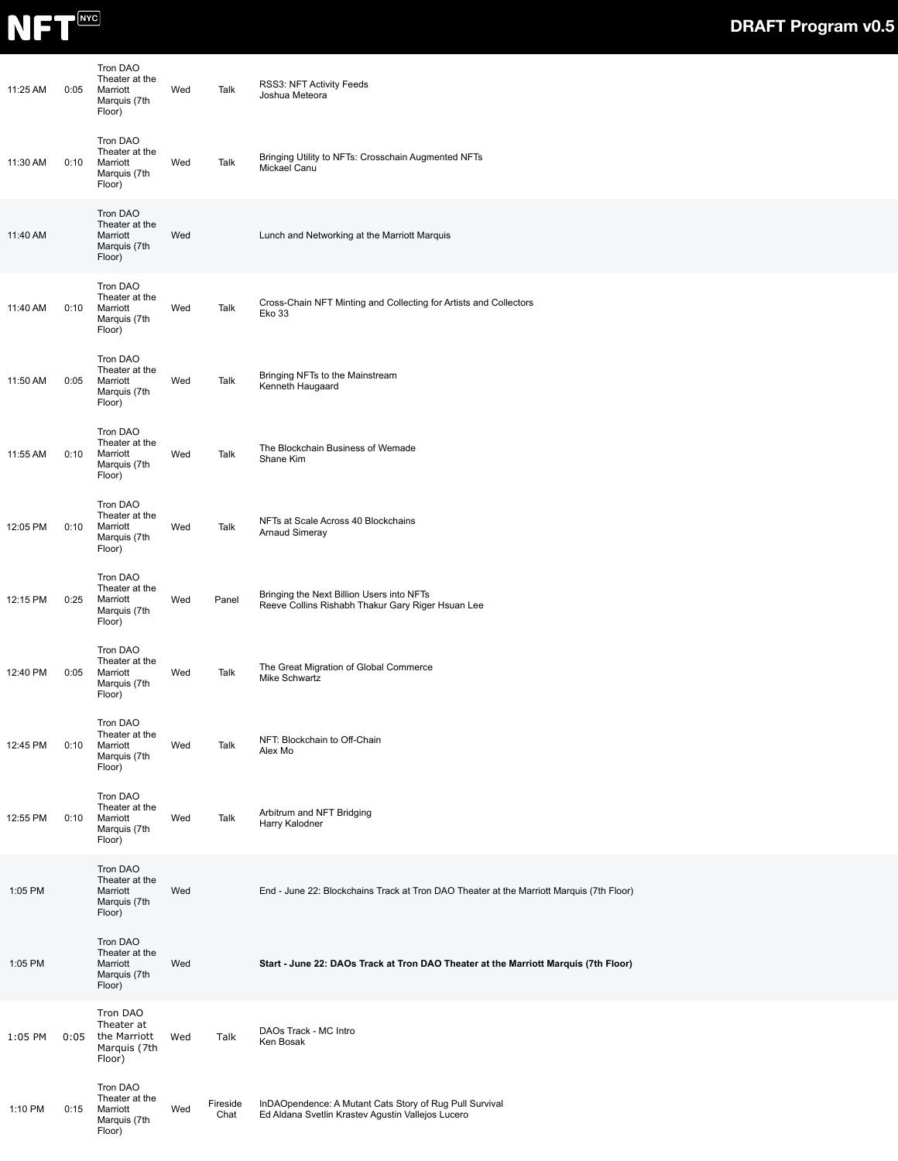

| 11:25 AM | 0:05 | Tron DAO<br>Theater at the<br>Marriott<br>Marquis (7th<br>Floor) | Wed | Talk             | RSS3: NFT Activity Feeds<br>Joshua Meteora                                                                   |
|----------|------|------------------------------------------------------------------|-----|------------------|--------------------------------------------------------------------------------------------------------------|
| 11:30 AM | 0:10 | Tron DAO<br>Theater at the<br>Marriott<br>Marquis (7th<br>Floor) | Wed | Talk             | Bringing Utility to NFTs: Crosschain Augmented NFTs<br>Mickael Canu                                          |
| 11:40 AM |      | Tron DAO<br>Theater at the<br>Marriott<br>Marquis (7th<br>Floor) | Wed |                  | Lunch and Networking at the Marriott Marquis                                                                 |
| 11:40 AM | 0:10 | Tron DAO<br>Theater at the<br>Marriott<br>Marquis (7th<br>Floor) | Wed | Talk             | Cross-Chain NFT Minting and Collecting for Artists and Collectors<br><b>Eko 33</b>                           |
| 11:50 AM | 0:05 | Tron DAO<br>Theater at the<br>Marriott<br>Marquis (7th<br>Floor) | Wed | Talk             | Bringing NFTs to the Mainstream<br>Kenneth Haugaard                                                          |
| 11:55 AM | 0:10 | Tron DAO<br>Theater at the<br>Marriott<br>Marquis (7th<br>Floor) | Wed | Talk             | The Blockchain Business of Wemade<br>Shane Kim                                                               |
| 12:05 PM | 0:10 | Tron DAO<br>Theater at the<br>Marriott<br>Marquis (7th<br>Floor) | Wed | Talk             | NFTs at Scale Across 40 Blockchains<br><b>Arnaud Simeray</b>                                                 |
| 12:15 PM | 0:25 | Tron DAO<br>Theater at the<br>Marriott<br>Marquis (7th<br>Floor) | Wed | Panel            | Bringing the Next Billion Users into NFTs<br>Reeve Collins Rishabh Thakur Gary Riger Hsuan Lee               |
| 12:40 PM | 0:05 | Tron DAO<br>Theater at the<br>Marriott<br>Marquis (7th<br>Floor) | Wed | Talk             | The Great Migration of Global Commerce<br>Mike Schwartz                                                      |
| 12:45 PM | 0:10 | Tron DAO<br>Theater at the<br>Marriott<br>Marquis (7th<br>Floor) | Wed | Talk             | NFT: Blockchain to Off-Chain<br>Alex Mo                                                                      |
| 12:55 PM | 0:10 | Tron DAO<br>Theater at the<br>Marriott<br>Marquis (7th<br>Floor) | Wed | Talk             | Arbitrum and NFT Bridging<br>Harry Kalodner                                                                  |
| 1:05 PM  |      | Tron DAO<br>Theater at the<br>Marriott<br>Marquis (7th<br>Floor) | Wed |                  | End - June 22: Blockchains Track at Tron DAO Theater at the Marriott Marquis (7th Floor)                     |
| 1:05 PM  |      | Tron DAO<br>Theater at the<br>Marriott<br>Marquis (7th<br>Floor) | Wed |                  | Start - June 22: DAOs Track at Tron DAO Theater at the Marriott Marquis (7th Floor)                          |
| 1:05 PM  | 0:05 | Tron DAO<br>Theater at<br>the Marriott<br>Marquis (7th<br>Floor) | Wed | Talk             | DAOs Track - MC Intro<br>Ken Bosak                                                                           |
| 1:10 PM  | 0:15 | Tron DAO<br>Theater at the<br>Marriott<br>Marquis (7th<br>Floor) | Wed | Fireside<br>Chat | InDAOpendence: A Mutant Cats Story of Rug Pull Survival<br>Ed Aldana Svetlin Krastev Agustin Vallejos Lucero |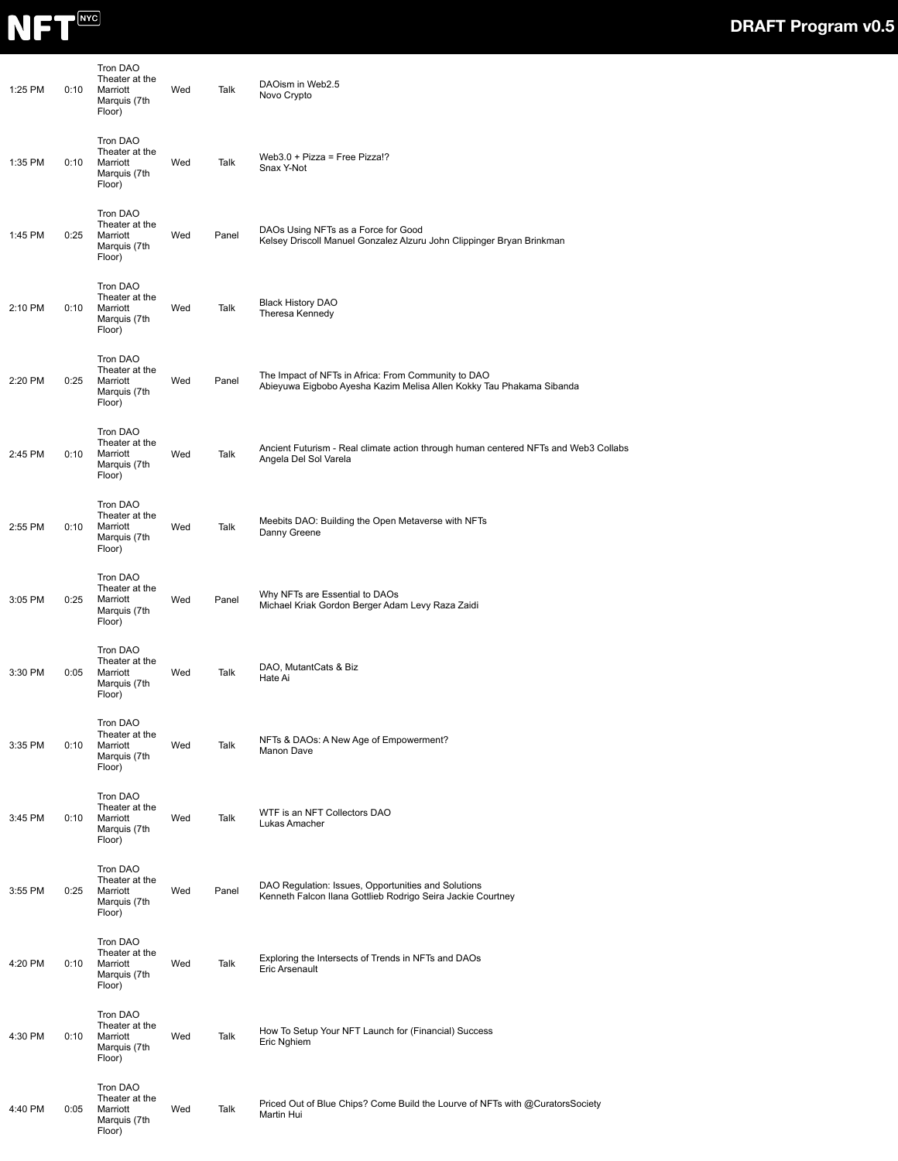

| 1:25 PM | 0:10 | Tron DAO<br>Theater at the<br>Marriott<br>Marquis (7th<br>Floor) | Wed | Talk  | DAOism in Web2.5<br>Novo Crypto                                                                                             |
|---------|------|------------------------------------------------------------------|-----|-------|-----------------------------------------------------------------------------------------------------------------------------|
| 1:35 PM | 0:10 | Tron DAO<br>Theater at the<br>Marriott<br>Marquis (7th<br>Floor) | Wed | Talk  | Web3.0 + Pizza = Free Pizza!?<br>Snax Y-Not                                                                                 |
| 1:45 PM | 0:25 | Tron DAO<br>Theater at the<br>Marriott<br>Marquis (7th<br>Floor) | Wed | Panel | DAOs Using NFTs as a Force for Good<br>Kelsey Driscoll Manuel Gonzalez Alzuru John Clippinger Bryan Brinkman                |
| 2:10 PM | 0:10 | Tron DAO<br>Theater at the<br>Marriott<br>Marquis (7th<br>Floor) | Wed | Talk  | <b>Black History DAO</b><br>Theresa Kennedy                                                                                 |
| 2:20 PM | 0:25 | Tron DAO<br>Theater at the<br>Marriott<br>Marquis (7th<br>Floor) | Wed | Panel | The Impact of NFTs in Africa: From Community to DAO<br>Abieyuwa Eigbobo Ayesha Kazim Melisa Allen Kokky Tau Phakama Sibanda |
| 2:45 PM | 0:10 | Tron DAO<br>Theater at the<br>Marriott<br>Marquis (7th<br>Floor) | Wed | Talk  | Ancient Futurism - Real climate action through human centered NFTs and Web3 Collabs<br>Angela Del Sol Varela                |
| 2:55 PM | 0:10 | Tron DAO<br>Theater at the<br>Marriott<br>Marquis (7th<br>Floor) | Wed | Talk  | Meebits DAO: Building the Open Metaverse with NFTs<br>Danny Greene                                                          |
| 3:05 PM | 0:25 | Tron DAO<br>Theater at the<br>Marriott<br>Marquis (7th<br>Floor) | Wed | Panel | Why NFTs are Essential to DAOs<br>Michael Kriak Gordon Berger Adam Levy Raza Zaidi                                          |
| 3:30 PM | 0:05 | Tron DAO<br>Theater at the<br>Marriott<br>Marquis (7th<br>Floor) | Wed | Talk  | DAO, MutantCats & Biz<br>Hate Ai                                                                                            |
| 3:35 PM | 0:10 | Tron DAO<br>Theater at the<br>Marriott<br>Marquis (7th<br>Floor) | Wed | Talk  | NFTs & DAOs: A New Age of Empowerment?<br>Manon Dave                                                                        |
| 3:45 PM | 0:10 | Tron DAO<br>Theater at the<br>Marriott<br>Marquis (7th<br>Floor) | Wed | Talk  | WTF is an NFT Collectors DAO<br>Lukas Amacher                                                                               |
| 3:55 PM | 0:25 | Tron DAO<br>Theater at the<br>Marriott<br>Marquis (7th<br>Floor) | Wed | Panel | DAO Regulation: Issues, Opportunities and Solutions<br>Kenneth Falcon Ilana Gottlieb Rodrigo Seira Jackie Courtney          |
| 4:20 PM | 0:10 | Tron DAO<br>Theater at the<br>Marriott<br>Marquis (7th<br>Floor) | Wed | Talk  | Exploring the Intersects of Trends in NFTs and DAOs<br>Eric Arsenault                                                       |
| 4:30 PM | 0:10 | Tron DAO<br>Theater at the<br>Marriott<br>Marquis (7th<br>Floor) | Wed | Talk  | How To Setup Your NFT Launch for (Financial) Success<br>Eric Nghiem                                                         |
| 4:40 PM | 0:05 | Tron DAO<br>Theater at the<br>Marriott<br>Marquis (7th<br>Floor) | Wed | Talk  | Priced Out of Blue Chips? Come Build the Lourve of NFTs with @CuratorsSociety<br>Martin Hui                                 |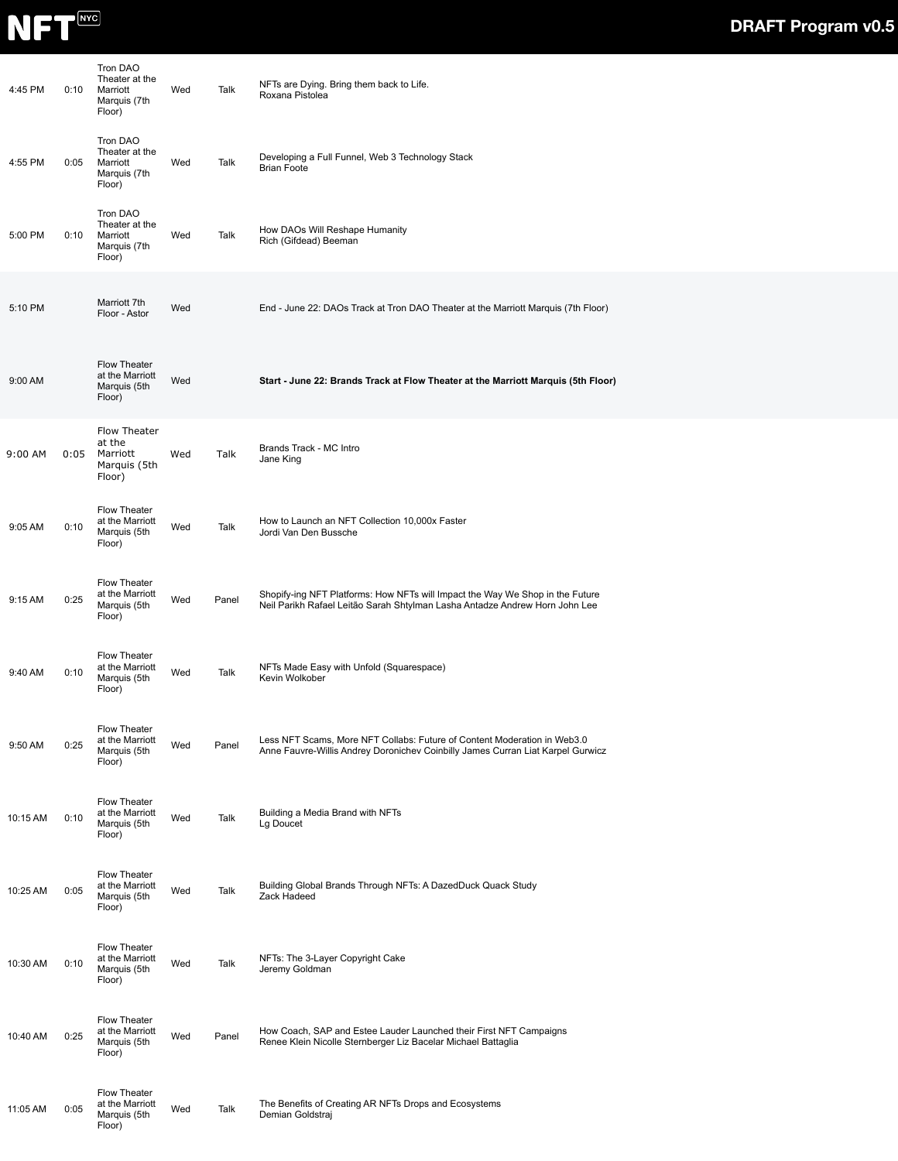

| 4:45 PM  | 0:10 | Tron DAO<br>Theater at the<br>Marriott<br>Marquis (7th<br>Floor)    | Wed | Talk  | NFTs are Dying. Bring them back to Life.<br>Roxana Pistolea                                                                                                  |
|----------|------|---------------------------------------------------------------------|-----|-------|--------------------------------------------------------------------------------------------------------------------------------------------------------------|
| 4:55 PM  | 0:05 | Tron DAO<br>Theater at the<br>Marriott<br>Marquis (7th<br>Floor)    | Wed | Talk  | Developing a Full Funnel, Web 3 Technology Stack<br><b>Brian Foote</b>                                                                                       |
| 5:00 PM  | 0:10 | Tron DAO<br>Theater at the<br>Marriott<br>Marquis (7th<br>Floor)    | Wed | Talk  | How DAOs Will Reshape Humanity<br>Rich (Gifdead) Beeman                                                                                                      |
| 5:10 PM  |      | Marriott 7th<br>Floor - Astor                                       | Wed |       | End - June 22: DAOs Track at Tron DAO Theater at the Marriott Marquis (7th Floor)                                                                            |
| 9:00 AM  |      | Flow Theater<br>at the Marriott<br>Marquis (5th<br>Floor)           | Wed |       | Start - June 22: Brands Track at Flow Theater at the Marriott Marquis (5th Floor)                                                                            |
| 9:00 AM  | 0:05 | <b>Flow Theater</b><br>at the<br>Marriott<br>Marquis (5th<br>Floor) | Wed | Talk  | Brands Track - MC Intro<br>Jane King                                                                                                                         |
| 9:05 AM  | 0:10 | Flow Theater<br>at the Marriott<br>Marquis (5th<br>Floor)           | Wed | Talk  | How to Launch an NFT Collection 10,000x Faster<br>Jordi Van Den Bussche                                                                                      |
| 9:15 AM  | 0:25 | Flow Theater<br>at the Marriott<br>Marquis (5th<br>Floor)           | Wed | Panel | Shopify-ing NFT Platforms: How NFTs will Impact the Way We Shop in the Future<br>Neil Parikh Rafael Leitão Sarah Shtylman Lasha Antadze Andrew Horn John Lee |
| 9:40 AM  | 0:10 | Flow Theater<br>at the Marriott<br>Marquis (5th<br>Floor)           | Wed | Talk  | NFTs Made Easy with Unfold (Squarespace)<br>Kevin Wolkober                                                                                                   |
| 9:50 AM  | 0:25 | Flow Theater<br>at the Marriott<br>Marquis (5th<br>Floor)           | Wed | Panel | Less NFT Scams, More NFT Collabs: Future of Content Moderation in Web3.0<br>Anne Fauvre-Willis Andrey Doronichev Coinbilly James Curran Liat Karpel Gurwicz  |
| 10:15 AM | 0:10 | Flow Theater<br>at the Marriott<br>Marquis (5th<br>Floor)           | Wed | Talk  | Building a Media Brand with NFTs<br>Lg Doucet                                                                                                                |
| 10:25 AM | 0:05 | Flow Theater<br>at the Marriott<br>Marquis (5th<br>Floor)           | Wed | Talk  | Building Global Brands Through NFTs: A DazedDuck Quack Study<br>Zack Hadeed                                                                                  |
| 10:30 AM | 0:10 | Flow Theater<br>at the Marriott<br>Marquis (5th<br>Floor)           | Wed | Talk  | NFTs: The 3-Layer Copyright Cake<br>Jeremy Goldman                                                                                                           |
| 10:40 AM | 0:25 | Flow Theater<br>at the Marriott<br>Marquis (5th<br>Floor)           | Wed | Panel | How Coach, SAP and Estee Lauder Launched their First NFT Campaigns<br>Renee Klein Nicolle Sternberger Liz Bacelar Michael Battaglia                          |
| 11:05 AM | 0:05 | Flow Theater<br>at the Marriott<br>Marquis (5th<br>Floor)           | Wed | Talk  | The Benefits of Creating AR NFTs Drops and Ecosystems<br>Demian Goldstraj                                                                                    |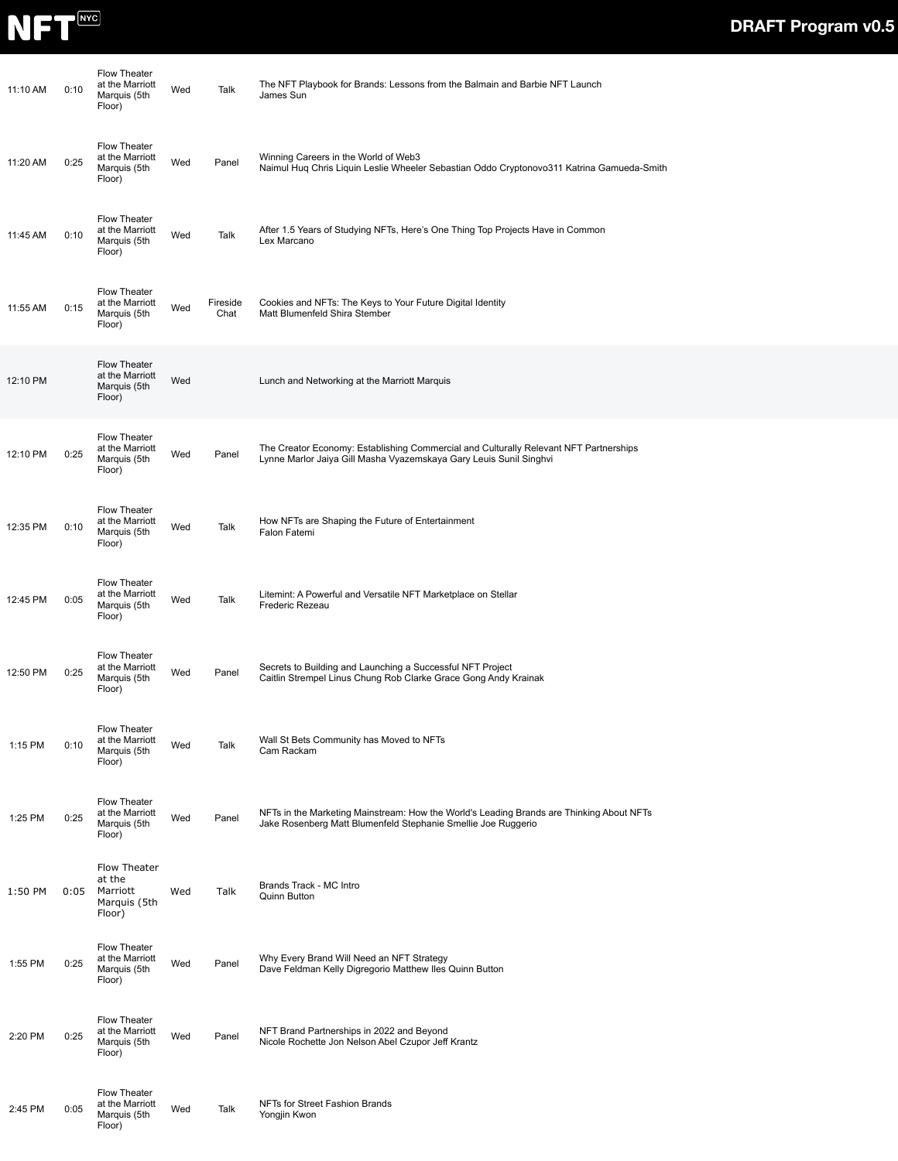

| 11:10 AM | 0:10 | Flow Theater<br>at the Marriott<br>Marquis (5th<br>Floor)    | Wed | Talk             | The NFT Playbook for Brands: Lessons from the Balmain and Barbie NFT Launch<br>James Sun                                                                    |
|----------|------|--------------------------------------------------------------|-----|------------------|-------------------------------------------------------------------------------------------------------------------------------------------------------------|
| 11:20 AM | 0:25 | Flow Theater<br>at the Marriott<br>Marquis (5th<br>Floor)    | Wed | Panel            | Winning Careers in the World of Web3<br>Naimul Huq Chris Liquin Leslie Wheeler Sebastian Oddo Cryptonovo311 Katrina Gamueda-Smith                           |
| 11:45 AM | 0:10 | Flow Theater<br>at the Marriott<br>Marquis (5th<br>Floor)    | Wed | Talk             | After 1.5 Years of Studying NFTs, Here's One Thing Top Projects Have in Common<br>Lex Marcano                                                               |
| 11:55 AM | 0:15 | Flow Theater<br>at the Marriott<br>Marquis (5th<br>Floor)    | Wed | Fireside<br>Chat | Cookies and NFTs: The Keys to Your Future Digital Identity<br>Matt Blumenfeld Shira Stember                                                                 |
| 12:10 PM |      | Flow Theater<br>at the Marriott<br>Marquis (5th<br>Floor)    | Wed |                  | Lunch and Networking at the Marriott Marquis                                                                                                                |
| 12:10 PM | 0:25 | Flow Theater<br>at the Marriott<br>Marquis (5th<br>Floor)    | Wed | Panel            | The Creator Economy: Establishing Commercial and Culturally Relevant NFT Partnerships<br>Lynne Marlor Jaiya Gill Masha Vyazemskaya Gary Leuis Sunil Singhvi |
| 12:35 PM | 0:10 | Flow Theater<br>at the Marriott<br>Marquis (5th<br>Floor)    | Wed | Talk             | How NFTs are Shaping the Future of Entertainment<br>Falon Fatemi                                                                                            |
| 12:45 PM | 0:05 | Flow Theater<br>at the Marriott<br>Marquis (5th<br>Floor)    | Wed | Talk             | Litemint: A Powerful and Versatile NFT Marketplace on Stellar<br>Frederic Rezeau                                                                            |
| 12:50 PM | 0:25 | Flow Theater<br>at the Marriott<br>Marquis (5th<br>Floor)    | Wed | Panel            | Secrets to Building and Launching a Successful NFT Project<br>Caitlin Strempel Linus Chung Rob Clarke Grace Gong Andy Krainak                               |
| 1:15 PM  | 0:10 | Flow Theater<br>at the Marriott<br>Marquis (5th<br>Floor)    | Wed | Talk             | Wall St Bets Community has Moved to NFTs<br>Cam Rackam                                                                                                      |
| 1:25 PM  | 0:25 | Flow Theater<br>at the Marriott<br>Marquis (5th<br>Floor)    | Wed | Panel            | NFTs in the Marketing Mainstream: How the World's Leading Brands are Thinking About NFTs<br>Jake Rosenberg Matt Blumenfeld Stephanie Smellie Joe Ruggerio   |
| 1:50 PM  | 0:05 | Flow Theater<br>at the<br>Marriott<br>Marquis (5th<br>Floor) | Wed | Talk             | Brands Track - MC Intro<br>Quinn Button                                                                                                                     |
| 1:55 PM  | 0:25 | Flow Theater<br>at the Marriott<br>Marquis (5th<br>Floor)    | Wed | Panel            | Why Every Brand Will Need an NFT Strategy<br>Dave Feldman Kelly Digregorio Matthew Iles Quinn Button                                                        |
| 2:20 PM  | 0:25 | Flow Theater<br>at the Marriott<br>Marquis (5th<br>Floor)    | Wed | Panel            | NFT Brand Partnerships in 2022 and Beyond<br>Nicole Rochette Jon Nelson Abel Czupor Jeff Krantz                                                             |
| 2:45 PM  | 0:05 | Flow Theater<br>at the Marriott<br>Marquis (5th<br>Floor)    | Wed | Talk             | NFTs for Street Fashion Brands<br>Yongjin Kwon                                                                                                              |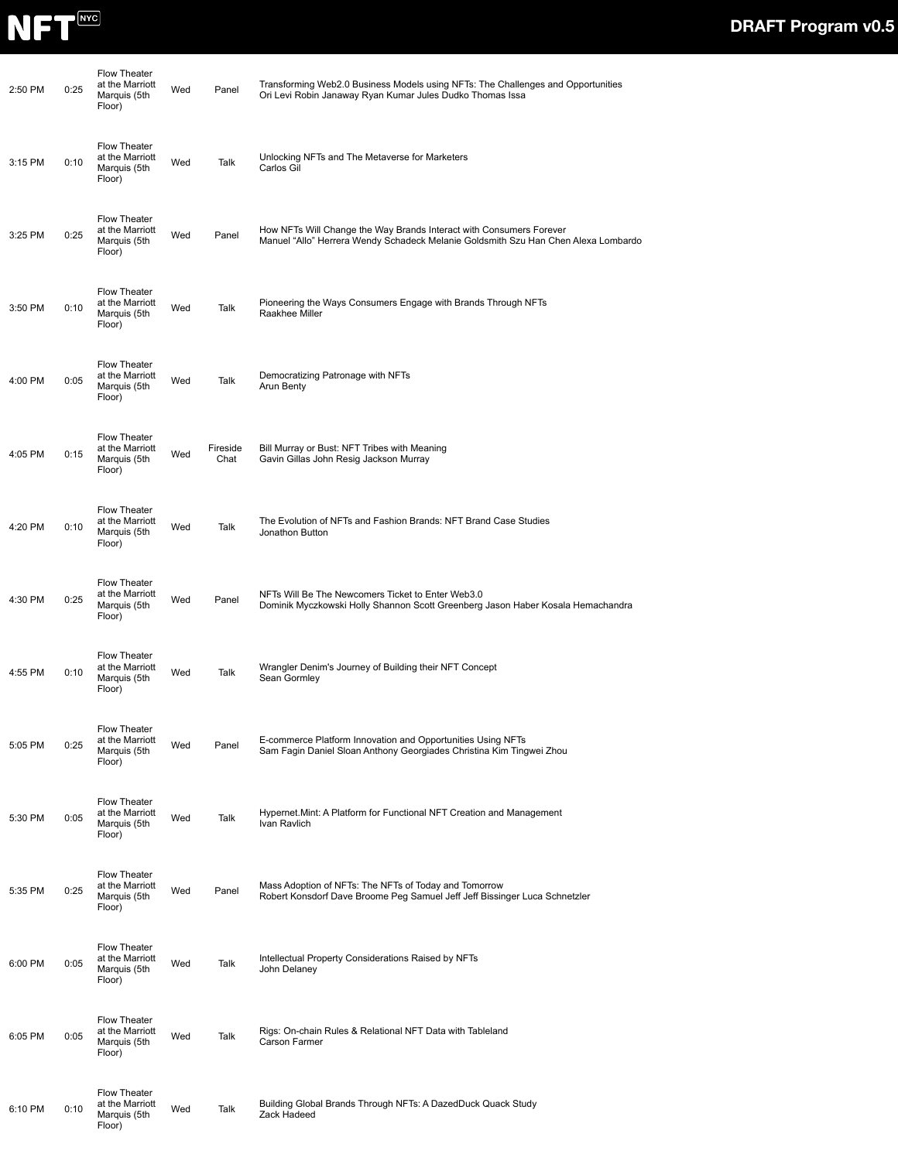

| 2:50 PM   | 0:25 | <b>Flow Theater</b><br>at the Marriott<br>Marquis (5th<br>Floor) | Wed | Panel            | Transforming Web2.0 Business Models using NFTs: The Challenges and Opportunities<br>Ori Levi Robin Janaway Ryan Kumar Jules Dudko Thomas Issa             |
|-----------|------|------------------------------------------------------------------|-----|------------------|-----------------------------------------------------------------------------------------------------------------------------------------------------------|
| $3:15$ PM | 0:10 | Flow Theater<br>at the Marriott<br>Marquis (5th<br>Floor)        | Wed | Talk             | Unlocking NFTs and The Metaverse for Marketers<br>Carlos Gil                                                                                              |
| 3:25 PM   | 0:25 | Flow Theater<br>at the Marriott<br>Marquis (5th<br>Floor)        | Wed | Panel            | How NFTs Will Change the Way Brands Interact with Consumers Forever<br>Manuel "Allo" Herrera Wendy Schadeck Melanie Goldsmith Szu Han Chen Alexa Lombardo |
| 3:50 PM   | 0:10 | <b>Flow Theater</b><br>at the Marriott<br>Marquis (5th<br>Floor) | Wed | Talk             | Pioneering the Ways Consumers Engage with Brands Through NFTs<br>Raakhee Miller                                                                           |
| 4:00 PM   | 0:05 | <b>Flow Theater</b><br>at the Marriott<br>Marquis (5th<br>Floor) | Wed | Talk             | Democratizing Patronage with NFTs<br>Arun Benty                                                                                                           |
| 4:05 PM   | 0:15 | Flow Theater<br>at the Marriott<br>Marquis (5th<br>Floor)        | Wed | Fireside<br>Chat | Bill Murray or Bust: NFT Tribes with Meaning<br>Gavin Gillas John Resig Jackson Murray                                                                    |
| 4:20 PM   | 0:10 | <b>Flow Theater</b><br>at the Marriott<br>Marquis (5th<br>Floor) | Wed | Talk             | The Evolution of NFTs and Fashion Brands: NFT Brand Case Studies<br>Jonathon Button                                                                       |
| 4:30 PM   | 0:25 | <b>Flow Theater</b><br>at the Marriott<br>Marquis (5th<br>Floor) | Wed | Panel            | NFTs Will Be The Newcomers Ticket to Enter Web3.0<br>Dominik Myczkowski Holly Shannon Scott Greenberg Jason Haber Kosala Hemachandra                      |
| 4:55 PM   | 0:10 | Flow Theater<br>at the Marriott<br>Marquis (5th<br>Floor)        | Wed | Talk             | Wrangler Denim's Journey of Building their NFT Concept<br>Sean Gormley                                                                                    |
| 5:05 PM   | 0:25 | <b>Flow Theater</b><br>at the Marriott<br>Marquis (5th<br>Floor) | Wed | Panel            | E-commerce Platform Innovation and Opportunities Using NFTs<br>Sam Fagin Daniel Sloan Anthony Georgiades Christina Kim Tingwei Zhou                       |
| 5:30 PM   | 0:05 | Flow Theater<br>at the Marriott<br>Marquis (5th<br>Floor)        | Wed | Talk             | Hypernet. Mint: A Platform for Functional NFT Creation and Management<br>Ivan Ravlich                                                                     |
| 5:35 PM   | 0:25 | Flow Theater<br>at the Marriott<br>Marquis (5th<br>Floor)        | Wed | Panel            | Mass Adoption of NFTs: The NFTs of Today and Tomorrow<br>Robert Konsdorf Dave Broome Peg Samuel Jeff Jeff Bissinger Luca Schnetzler                       |
| 6:00 PM   | 0:05 | Flow Theater<br>at the Marriott<br>Marquis (5th<br>Floor)        | Wed | Talk             | Intellectual Property Considerations Raised by NFTs<br>John Delaney                                                                                       |
| 6:05 PM   | 0:05 | <b>Flow Theater</b><br>at the Marriott<br>Marquis (5th<br>Floor) | Wed | Talk             | Rigs: On-chain Rules & Relational NFT Data with Tableland<br>Carson Farmer                                                                                |
| 6:10 PM   | 0:10 | <b>Flow Theater</b><br>at the Marriott<br>Marquis (5th<br>Floor) | Wed | Talk             | Building Global Brands Through NFTs: A DazedDuck Quack Study<br>Zack Hadeed                                                                               |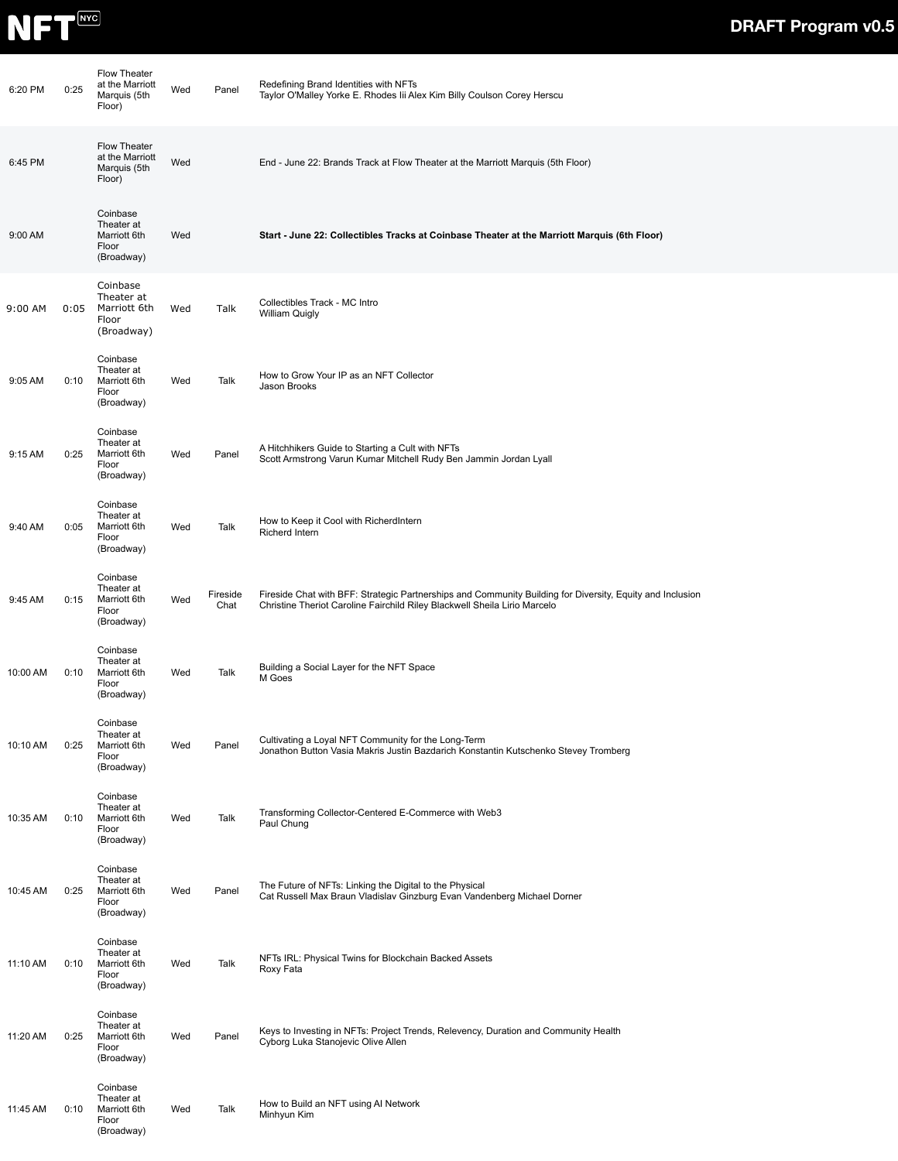

| 6:20 PM  | 0:25 | Flow Theater<br>at the Marriott<br>Marquis (5th<br>Floor)     | Wed | Panel            | Redefining Brand Identities with NFTs<br>Taylor O'Malley Yorke E. Rhodes lii Alex Kim Billy Coulson Corey Herscu                                                                       |
|----------|------|---------------------------------------------------------------|-----|------------------|----------------------------------------------------------------------------------------------------------------------------------------------------------------------------------------|
| 6:45 PM  |      | Flow Theater<br>at the Marriott<br>Marquis (5th<br>Floor)     | Wed |                  | End - June 22: Brands Track at Flow Theater at the Marriott Marquis (5th Floor)                                                                                                        |
| 9:00 AM  |      | Coinbase<br>Theater at<br>Marriott 6th<br>Floor<br>(Broadway) | Wed |                  | Start - June 22: Collectibles Tracks at Coinbase Theater at the Marriott Marquis (6th Floor)                                                                                           |
| 9:00 AM  | 0:05 | Coinbase<br>Theater at<br>Marriott 6th<br>Floor<br>(Broadway) | Wed | Talk             | Collectibles Track - MC Intro<br><b>William Quigly</b>                                                                                                                                 |
| 9:05 AM  | 0:10 | Coinbase<br>Theater at<br>Marriott 6th<br>Floor<br>(Broadway) | Wed | Talk             | How to Grow Your IP as an NFT Collector<br>Jason Brooks                                                                                                                                |
| 9:15 AM  | 0:25 | Coinbase<br>Theater at<br>Marriott 6th<br>Floor<br>(Broadway) | Wed | Panel            | A Hitchhikers Guide to Starting a Cult with NFTs<br>Scott Armstrong Varun Kumar Mitchell Rudy Ben Jammin Jordan Lyall                                                                  |
| 9:40 AM  | 0:05 | Coinbase<br>Theater at<br>Marriott 6th<br>Floor<br>(Broadway) | Wed | Talk             | How to Keep it Cool with RicherdIntern<br>Richerd Intern                                                                                                                               |
| 9:45 AM  | 0:15 | Coinbase<br>Theater at<br>Marriott 6th<br>Floor<br>(Broadway) | Wed | Fireside<br>Chat | Fireside Chat with BFF: Strategic Partnerships and Community Building for Diversity, Equity and Inclusion<br>Christine Theriot Caroline Fairchild Riley Blackwell Sheila Lirio Marcelo |
| 10:00 AM | 0:10 | Coinbase<br>Theater at<br>Marriott 6th<br>Floor<br>(Broadway) | Wed | Talk             | Building a Social Layer for the NFT Space<br>M Goes                                                                                                                                    |
| 10:10 AM | 0:25 | Coinbase<br>Theater at<br>Marriott 6th<br>Floor<br>(Broadway) | Wed | Panel            | Cultivating a Loyal NFT Community for the Long-Term<br>Jonathon Button Vasia Makris Justin Bazdarich Konstantin Kutschenko Stevey Tromberg                                             |
| 10:35 AM | 0:10 | Coinbase<br>Theater at<br>Marriott 6th<br>Floor<br>(Broadway) | Wed | Talk             | Transforming Collector-Centered E-Commerce with Web3<br>Paul Chung                                                                                                                     |
| 10:45 AM | 0:25 | Coinbase<br>Theater at<br>Marriott 6th<br>Floor<br>(Broadway) | Wed | Panel            | The Future of NFTs: Linking the Digital to the Physical<br>Cat Russell Max Braun Vladislav Ginzburg Evan Vandenberg Michael Dorner                                                     |
| 11:10 AM | 0:10 | Coinbase<br>Theater at<br>Marriott 6th<br>Floor<br>(Broadway) | Wed | Talk             | NFTs IRL: Physical Twins for Blockchain Backed Assets<br>Roxy Fata                                                                                                                     |
| 11:20 AM | 0:25 | Coinbase<br>Theater at<br>Marriott 6th<br>Floor<br>(Broadway) | Wed | Panel            | Keys to Investing in NFTs: Project Trends, Relevency, Duration and Community Health<br>Cyborg Luka Stanojevic Olive Allen                                                              |
| 11:45 AM | 0:10 | Coinbase<br>Theater at<br>Marriott 6th<br>Floor<br>(Broadway) | Wed | Talk             | How to Build an NFT using AI Network<br>Minhyun Kim                                                                                                                                    |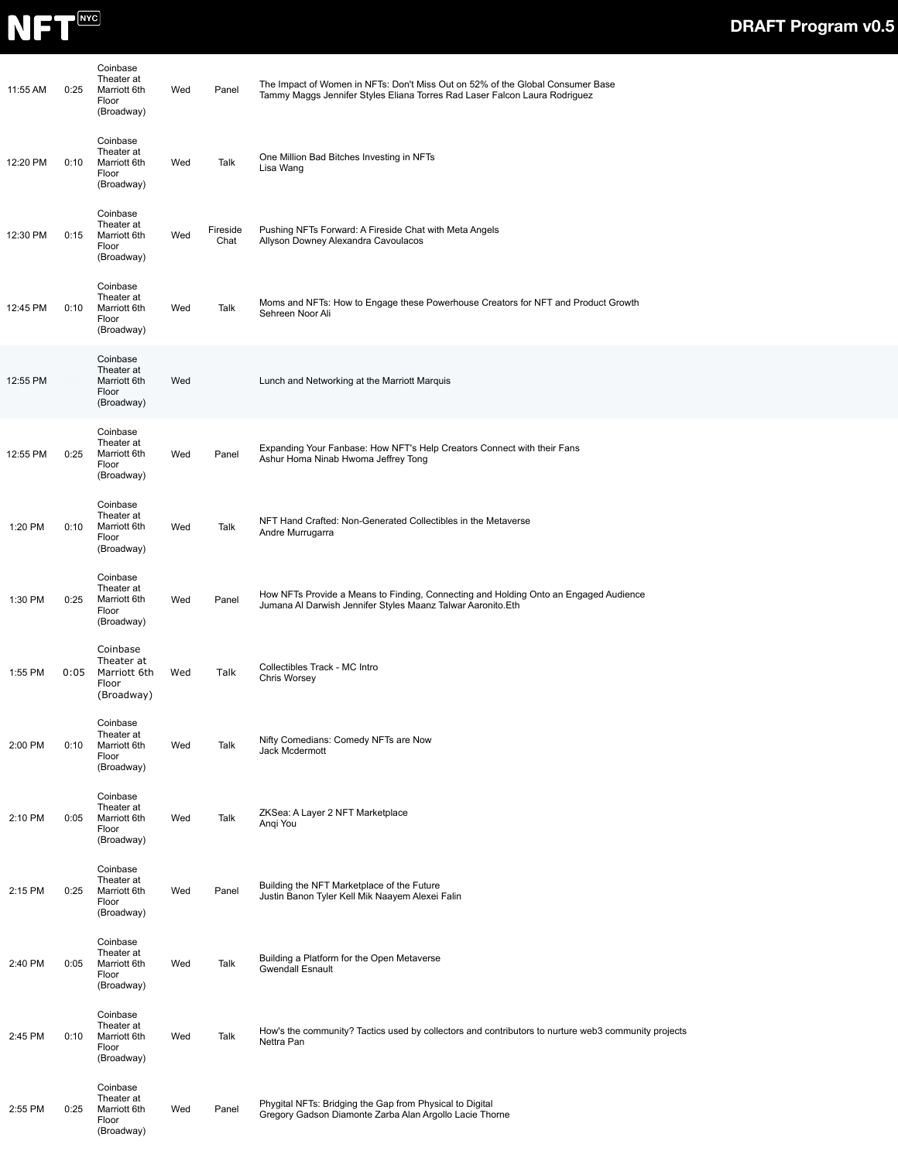

| 11:55 AM | 0:25 | Coinbase<br>Theater at<br>Marriott 6th<br>Floor<br>(Broadway) | Wed | Panel            | The Impact of Women in NFTs: Don't Miss Out on 52% of the Global Consumer Base<br>Tammy Maggs Jennifer Styles Eliana Torres Rad Laser Falcon Laura Rodriguez |
|----------|------|---------------------------------------------------------------|-----|------------------|--------------------------------------------------------------------------------------------------------------------------------------------------------------|
| 12:20 PM | 0:10 | Coinbase<br>Theater at<br>Marriott 6th<br>Floor<br>(Broadway) | Wed | Talk             | One Million Bad Bitches Investing in NFTs<br>Lisa Wang                                                                                                       |
| 12:30 PM | 0:15 | Coinbase<br>Theater at<br>Marriott 6th<br>Floor<br>(Broadway) | Wed | Fireside<br>Chat | Pushing NFTs Forward: A Fireside Chat with Meta Angels<br>Allyson Downey Alexandra Cavoulacos                                                                |
| 12:45 PM | 0:10 | Coinbase<br>Theater at<br>Marriott 6th<br>Floor<br>(Broadway) | Wed | Talk             | Moms and NFTs: How to Engage these Powerhouse Creators for NFT and Product Growth<br>Sehreen Noor Ali                                                        |
| 12:55 PM |      | Coinbase<br>Theater at<br>Marriott 6th<br>Floor<br>(Broadway) | Wed |                  | Lunch and Networking at the Marriott Marquis                                                                                                                 |
| 12:55 PM | 0:25 | Coinbase<br>Theater at<br>Marriott 6th<br>Floor<br>(Broadway) | Wed | Panel            | Expanding Your Fanbase: How NFT's Help Creators Connect with their Fans<br>Ashur Homa Ninab Hwoma Jeffrey Tong                                               |
| 1:20 PM  | 0:10 | Coinbase<br>Theater at<br>Marriott 6th<br>Floor<br>(Broadway) | Wed | Talk             | NFT Hand Crafted: Non-Generated Collectibles in the Metaverse<br>Andre Murrugarra                                                                            |
| 1:30 PM  | 0:25 | Coinbase<br>Theater at<br>Marriott 6th<br>Floor<br>(Broadway) | Wed | Panel            | How NFTs Provide a Means to Finding, Connecting and Holding Onto an Engaged Audience<br>Jumana Al Darwish Jennifer Styles Maanz Talwar Aaronito. Eth         |
| 1:55 PM  | 0:05 | Coinbase<br>Theater at<br>Marriott 6th<br>Floor<br>(Broadway) | Wed | Talk             | Collectibles Track - MC Intro<br>Chris Worsey                                                                                                                |
| 2:00 PM  | 0:10 | Coinbase<br>Theater at<br>Marriott 6th<br>Floor<br>(Broadway) | Wed | Talk             | Nifty Comedians: Comedy NFTs are Now<br>Jack Mcdermott                                                                                                       |
| 2:10 PM  | 0:05 | Coinbase<br>Theater at<br>Marriott 6th<br>Floor<br>(Broadway) | Wed | Talk             | ZKSea: A Layer 2 NFT Marketplace<br>Angi You                                                                                                                 |
| 2:15 PM  | 0:25 | Coinbase<br>Theater at<br>Marriott 6th<br>Floor<br>(Broadway) | Wed | Panel            | Building the NFT Marketplace of the Future<br>Justin Banon Tyler Kell Mik Naayem Alexei Falin                                                                |
| 2:40 PM  | 0:05 | Coinbase<br>Theater at<br>Marriott 6th<br>Floor<br>(Broadway) | Wed | Talk             | Building a Platform for the Open Metaverse<br><b>Gwendall Esnault</b>                                                                                        |
| 2:45 PM  | 0:10 | Coinbase<br>Theater at<br>Marriott 6th<br>Floor<br>(Broadway) | Wed | Talk             | How's the community? Tactics used by collectors and contributors to nurture web3 community projects<br>Nettra Pan                                            |
| 2:55 PM  | 0:25 | Coinbase<br>Theater at<br>Marriott 6th<br>Floor<br>(Broadway) | Wed | Panel            | Phygital NFTs: Bridging the Gap from Physical to Digital<br>Gregory Gadson Diamonte Zarba Alan Argollo Lacie Thorne                                          |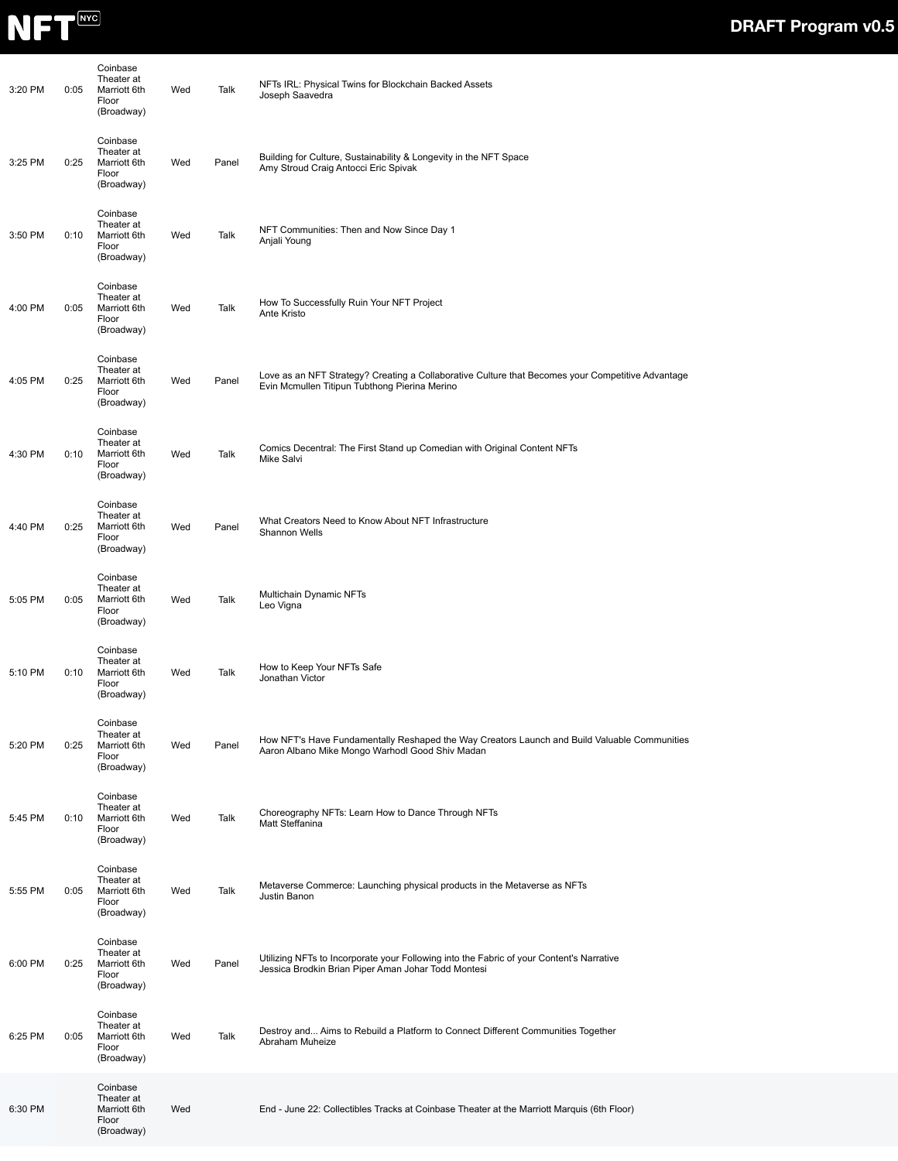

| 3:20 PM | 0:05 | Coinbase<br>Theater at<br>Marriott 6th<br>Floor<br>(Broadway) | Wed | Talk  | NFTs IRL: Physical Twins for Blockchain Backed Assets<br>Joseph Saavedra                                                                           |
|---------|------|---------------------------------------------------------------|-----|-------|----------------------------------------------------------------------------------------------------------------------------------------------------|
| 3:25 PM | 0:25 | Coinbase<br>Theater at<br>Marriott 6th<br>Floor<br>(Broadway) | Wed | Panel | Building for Culture, Sustainability & Longevity in the NFT Space<br>Amy Stroud Craig Antocci Eric Spivak                                          |
| 3:50 PM | 0:10 | Coinbase<br>Theater at<br>Marriott 6th<br>Floor<br>(Broadway) | Wed | Talk  | NFT Communities: Then and Now Since Day 1<br>Anjali Young                                                                                          |
| 4:00 PM | 0:05 | Coinbase<br>Theater at<br>Marriott 6th<br>Floor<br>(Broadway) | Wed | Talk  | How To Successfully Ruin Your NFT Project<br>Ante Kristo                                                                                           |
| 4:05 PM | 0:25 | Coinbase<br>Theater at<br>Marriott 6th<br>Floor<br>(Broadway) | Wed | Panel | Love as an NFT Strategy? Creating a Collaborative Culture that Becomes your Competitive Advantage<br>Evin Mcmullen Titipun Tubthong Pierina Merino |
| 4:30 PM | 0:10 | Coinbase<br>Theater at<br>Marriott 6th<br>Floor<br>(Broadway) | Wed | Talk  | Comics Decentral: The First Stand up Comedian with Original Content NFTs<br>Mike Salvi                                                             |
| 4:40 PM | 0:25 | Coinbase<br>Theater at<br>Marriott 6th<br>Floor<br>(Broadway) | Wed | Panel | What Creators Need to Know About NFT Infrastructure<br>Shannon Wells                                                                               |
| 5:05 PM | 0:05 | Coinbase<br>Theater at<br>Marriott 6th<br>Floor<br>(Broadway) | Wed | Talk  | Multichain Dynamic NFTs<br>Leo Vigna                                                                                                               |
| 5:10 PM | 0:10 | Coinbase<br>Theater at<br>Marriott 6th<br>Floor<br>(Broadway) | Wed | Talk  | How to Keep Your NFTs Safe<br>Jonathan Victor                                                                                                      |
| 5:20 PM | 0:25 | Coinbase<br>Theater at<br>Marriott 6th<br>Floor<br>(Broadway) | Wed | Panel | How NFT's Have Fundamentally Reshaped the Way Creators Launch and Build Valuable Communities<br>Aaron Albano Mike Mongo Warhodl Good Shiv Madan    |
| 5:45 PM | 0:10 | Coinbase<br>Theater at<br>Marriott 6th<br>Floor<br>(Broadway) | Wed | Talk  | Choreography NFTs: Learn How to Dance Through NFTs<br>Matt Steffanina                                                                              |
| 5:55 PM | 0:05 | Coinbase<br>Theater at<br>Marriott 6th<br>Floor<br>(Broadway) | Wed | Talk  | Metaverse Commerce: Launching physical products in the Metaverse as NFTs<br>Justin Banon                                                           |
| 6:00 PM | 0:25 | Coinbase<br>Theater at<br>Marriott 6th<br>Floor<br>(Broadway) | Wed | Panel | Utilizing NFTs to Incorporate your Following into the Fabric of your Content's Narrative<br>Jessica Brodkin Brian Piper Aman Johar Todd Montesi    |
| 6:25 PM | 0:05 | Coinbase<br>Theater at<br>Marriott 6th<br>Floor<br>(Broadway) | Wed | Talk  | Destroy and Aims to Rebuild a Platform to Connect Different Communities Together<br>Abraham Muheize                                                |
| 6:30 PM |      | Coinbase<br>Theater at<br>Marriott 6th<br>Floor<br>(Broadway) | Wed |       | End - June 22: Collectibles Tracks at Coinbase Theater at the Marriott Marquis (6th Floor)                                                         |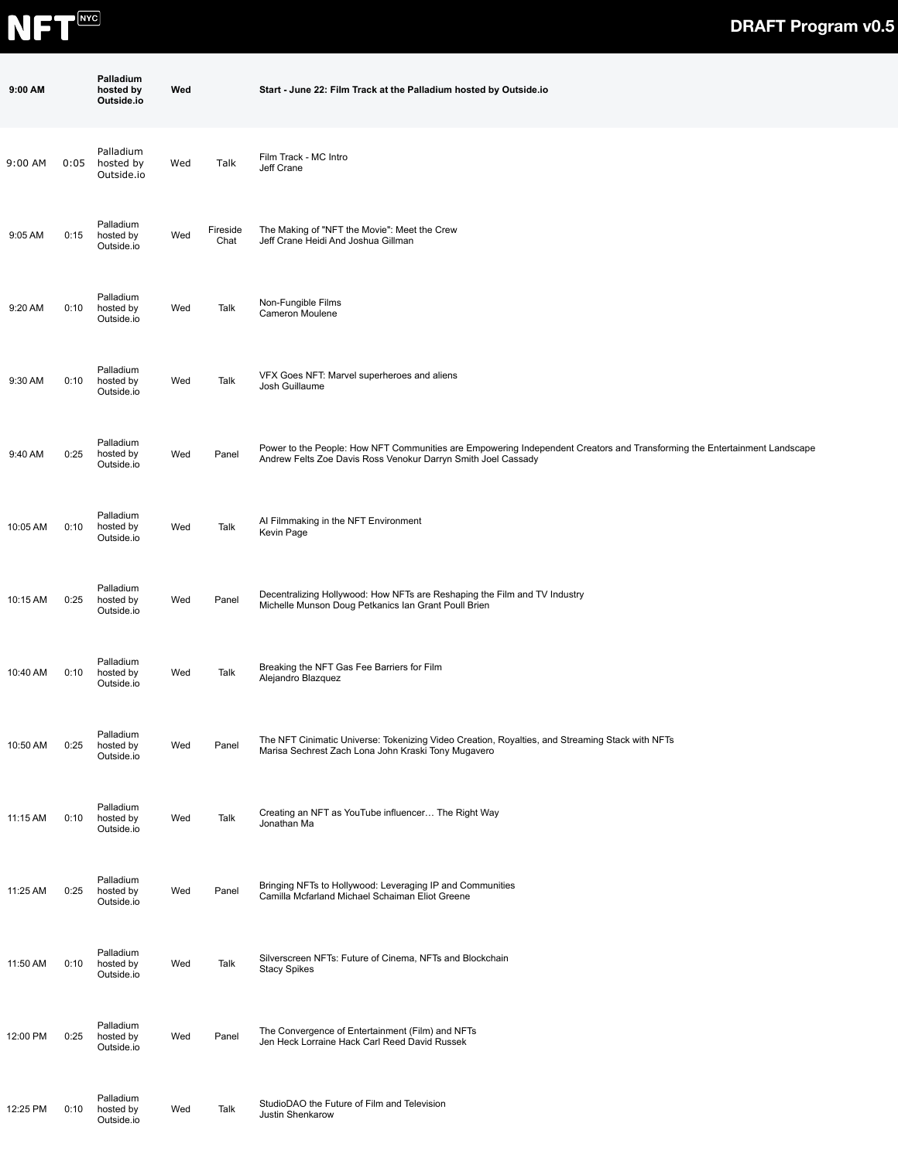

| 9:00 AM  |      | Palladium<br>hosted by<br>Outside.io | Wed |                  | Start - June 22: Film Track at the Palladium hosted by Outside.io                                                                                                                          |
|----------|------|--------------------------------------|-----|------------------|--------------------------------------------------------------------------------------------------------------------------------------------------------------------------------------------|
| 9:00 AM  | 0:05 | Palladium<br>hosted by<br>Outside.io | Wed | Talk             | Film Track - MC Intro<br>Jeff Crane                                                                                                                                                        |
| 9:05 AM  | 0:15 | Palladium<br>hosted by<br>Outside.io | Wed | Fireside<br>Chat | The Making of "NFT the Movie": Meet the Crew<br>Jeff Crane Heidi And Joshua Gillman                                                                                                        |
| 9:20 AM  | 0:10 | Palladium<br>hosted by<br>Outside.io | Wed | Talk             | Non-Fungible Films<br>Cameron Moulene                                                                                                                                                      |
| 9:30 AM  | 0:10 | Palladium<br>hosted by<br>Outside.io | Wed | Talk             | VFX Goes NFT: Marvel superheroes and aliens<br>Josh Guillaume                                                                                                                              |
| 9:40 AM  | 0:25 | Palladium<br>hosted by<br>Outside.io | Wed | Panel            | Power to the People: How NFT Communities are Empowering Independent Creators and Transforming the Entertainment Landscape<br>Andrew Felts Zoe Davis Ross Venokur Darryn Smith Joel Cassady |
| 10:05 AM | 0:10 | Palladium<br>hosted by<br>Outside.io | Wed | Talk             | Al Filmmaking in the NFT Environment<br>Kevin Page                                                                                                                                         |
| 10:15 AM | 0:25 | Palladium<br>hosted by<br>Outside.io | Wed | Panel            | Decentralizing Hollywood: How NFTs are Reshaping the Film and TV Industry<br>Michelle Munson Doug Petkanics Ian Grant Poull Brien                                                          |
| 10:40 AM | 0:10 | Palladium<br>hosted by<br>Outside.io | Wed | Talk             | Breaking the NFT Gas Fee Barriers for Film<br>Alejandro Blazquez                                                                                                                           |
| 10:50 AM | 0:25 | Palladium<br>hosted by<br>Outside.io | Wed | Panel            | The NFT Cinimatic Universe: Tokenizing Video Creation, Royalties, and Streaming Stack with NFTs<br>Marisa Sechrest Zach Lona John Kraski Tony Mugavero                                     |
| 11:15 AM | 0:10 | Palladium<br>hosted by<br>Outside.io | Wed | Talk             | Creating an NFT as YouTube influencer The Right Way<br>Jonathan Ma                                                                                                                         |
| 11:25 AM | 0:25 | Palladium<br>hosted by<br>Outside.io | Wed | Panel            | Bringing NFTs to Hollywood: Leveraging IP and Communities<br>Camilla Mcfarland Michael Schaiman Eliot Greene                                                                               |
| 11:50 AM | 0:10 | Palladium<br>hosted by<br>Outside.io | Wed | Talk             | Silverscreen NFTs: Future of Cinema, NFTs and Blockchain<br><b>Stacy Spikes</b>                                                                                                            |
| 12:00 PM | 0:25 | Palladium<br>hosted by<br>Outside.io | Wed | Panel            | The Convergence of Entertainment (Film) and NFTs<br>Jen Heck Lorraine Hack Carl Reed David Russek                                                                                          |
| 12:25 PM | 0:10 | Palladium<br>hosted by<br>Outside.io | Wed | Talk             | StudioDAO the Future of Film and Television<br>Justin Shenkarow                                                                                                                            |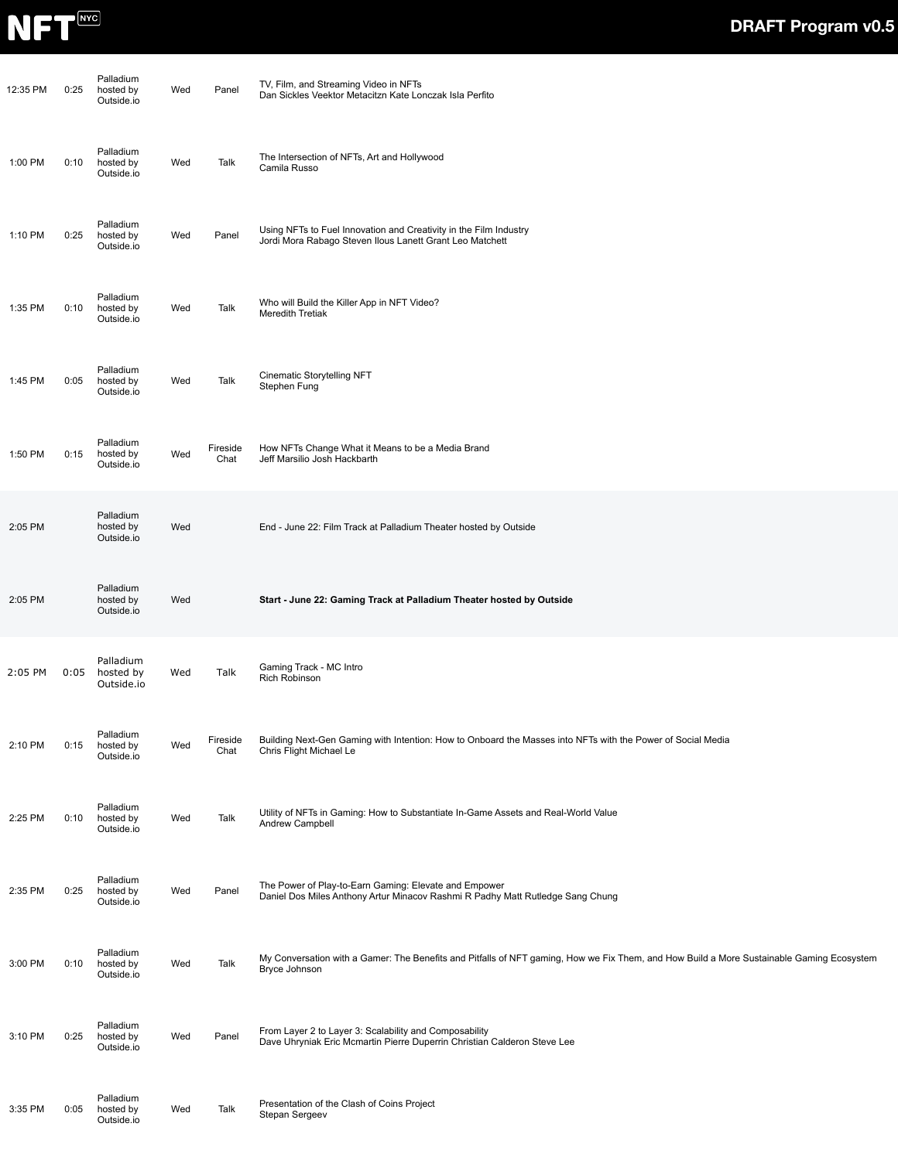

| 12:35 PM | 0:25 | Palladium<br>hosted by<br>Outside.io | Wed | Panel            | TV, Film, and Streaming Video in NFTs<br>Dan Sickles Veektor Metacitzn Kate Lonczak Isla Perfito                                                           |
|----------|------|--------------------------------------|-----|------------------|------------------------------------------------------------------------------------------------------------------------------------------------------------|
| 1:00 PM  | 0:10 | Palladium<br>hosted by<br>Outside.io | Wed | Talk             | The Intersection of NFTs, Art and Hollywood<br>Camila Russo                                                                                                |
| 1:10 PM  | 0:25 | Palladium<br>hosted by<br>Outside.io | Wed | Panel            | Using NFTs to Fuel Innovation and Creativity in the Film Industry<br>Jordi Mora Rabago Steven Ilous Lanett Grant Leo Matchett                              |
| 1:35 PM  | 0:10 | Palladium<br>hosted by<br>Outside.io | Wed | Talk             | Who will Build the Killer App in NFT Video?<br><b>Meredith Tretiak</b>                                                                                     |
| 1:45 PM  | 0:05 | Palladium<br>hosted by<br>Outside.io | Wed | Talk             | Cinematic Storytelling NFT<br>Stephen Fung                                                                                                                 |
| 1:50 PM  | 0:15 | Palladium<br>hosted by<br>Outside.io | Wed | Fireside<br>Chat | How NFTs Change What it Means to be a Media Brand<br>Jeff Marsilio Josh Hackbarth                                                                          |
| 2:05 PM  |      | Palladium<br>hosted by<br>Outside.io | Wed |                  | End - June 22: Film Track at Palladium Theater hosted by Outside                                                                                           |
| 2:05 PM  |      | Palladium<br>hosted by<br>Outside.io | Wed |                  | Start - June 22: Gaming Track at Palladium Theater hosted by Outside                                                                                       |
| 2:05 PM  | 0:05 | Palladium<br>hosted by<br>Outside.io | Wed | Talk             | Gaming Track - MC Intro<br><b>Rich Robinson</b>                                                                                                            |
| 2:10 PM  | 0:15 | Palladium<br>hosted by<br>Outside.io | Wed | Fireside<br>Chat | Building Next-Gen Gaming with Intention: How to Onboard the Masses into NFTs with the Power of Social Media<br>Chris Flight Michael Le                     |
| 2:25 PM  | 0:10 | Palladium<br>hosted by<br>Outside.io | Wed | Talk             | Utility of NFTs in Gaming: How to Substantiate In-Game Assets and Real-World Value<br>Andrew Campbell                                                      |
| 2:35 PM  | 0:25 | Palladium<br>hosted by<br>Outside.io | Wed | Panel            | The Power of Play-to-Earn Gaming: Elevate and Empower<br>Daniel Dos Miles Anthony Artur Minacov Rashmi R Padhy Matt Rutledge Sang Chung                    |
| 3:00 PM  | 0:10 | Palladium<br>hosted by<br>Outside.io | Wed | Talk             | My Conversation with a Gamer: The Benefits and Pitfalls of NFT gaming, How we Fix Them, and How Build a More Sustainable Gaming Ecosystem<br>Bryce Johnson |
| 3:10 PM  | 0:25 | Palladium<br>hosted by<br>Outside.io | Wed | Panel            | From Layer 2 to Layer 3: Scalability and Composability<br>Dave Uhryniak Eric Mcmartin Pierre Duperrin Christian Calderon Steve Lee                         |
| 3:35 PM  | 0:05 | Palladium<br>hosted by<br>Outside.io | Wed | Talk             | Presentation of the Clash of Coins Project<br>Stepan Sergeev                                                                                               |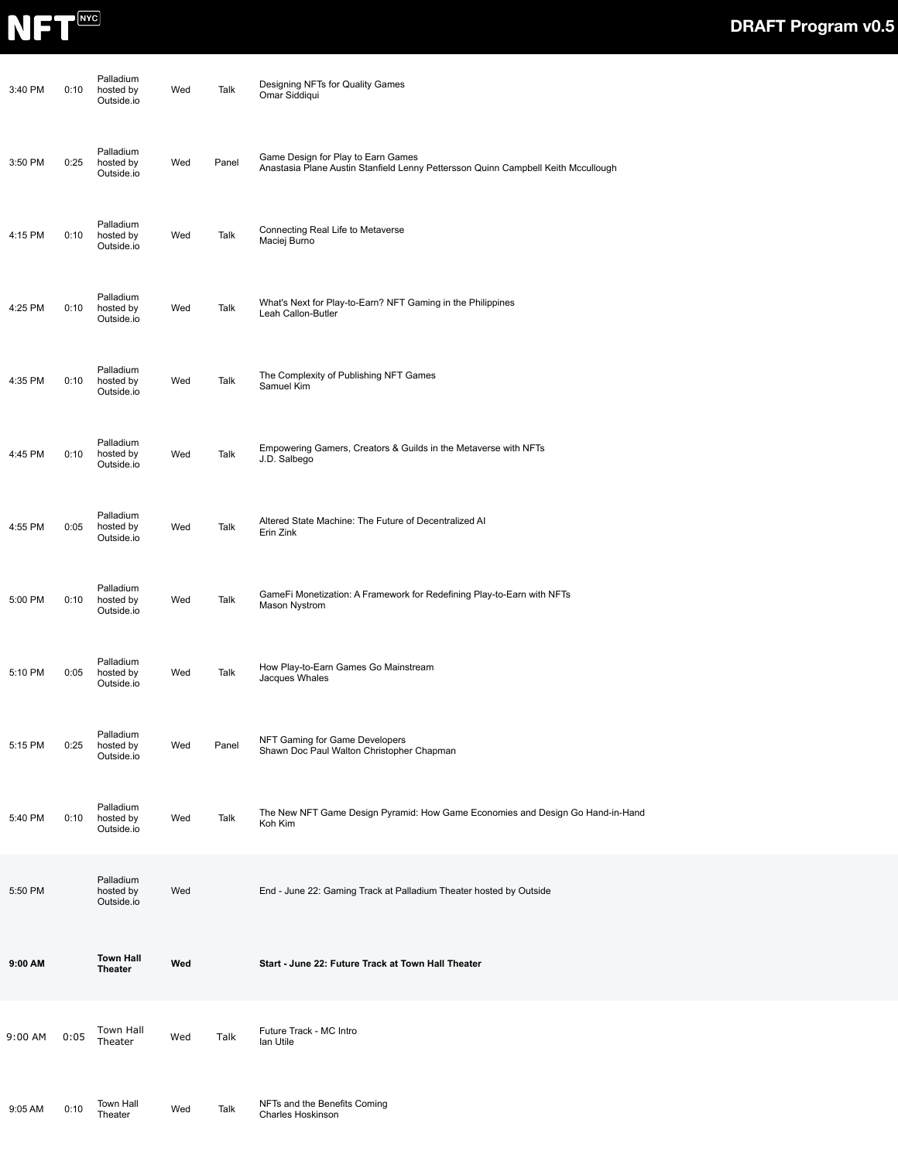

| 3:40 PM | 0:10 | Palladium<br>hosted by<br>Outside.io | Wed | Talk  | Designing NFTs for Quality Games<br>Omar Siddiqui                                                                       |
|---------|------|--------------------------------------|-----|-------|-------------------------------------------------------------------------------------------------------------------------|
| 3:50 PM | 0:25 | Palladium<br>hosted by<br>Outside.io | Wed | Panel | Game Design for Play to Earn Games<br>Anastasia Plane Austin Stanfield Lenny Pettersson Quinn Campbell Keith Mccullough |
| 4:15 PM | 0:10 | Palladium<br>hosted by<br>Outside.io | Wed | Talk  | Connecting Real Life to Metaverse<br>Maciej Burno                                                                       |
| 4:25 PM | 0:10 | Palladium<br>hosted by<br>Outside.io | Wed | Talk  | What's Next for Play-to-Earn? NFT Gaming in the Philippines<br>Leah Callon-Butler                                       |
| 4:35 PM | 0:10 | Palladium<br>hosted by<br>Outside.io | Wed | Talk  | The Complexity of Publishing NFT Games<br>Samuel Kim                                                                    |
| 4:45 PM | 0:10 | Palladium<br>hosted by<br>Outside.io | Wed | Talk  | Empowering Gamers, Creators & Guilds in the Metaverse with NFTs<br>J.D. Salbego                                         |
| 4:55 PM | 0:05 | Palladium<br>hosted by<br>Outside.io | Wed | Talk  | Altered State Machine: The Future of Decentralized Al<br>Erin Zink                                                      |
| 5:00 PM | 0:10 | Palladium<br>hosted by<br>Outside.io | Wed | Talk  | GameFi Monetization: A Framework for Redefining Play-to-Earn with NFTs<br>Mason Nystrom                                 |
| 5:10 PM | 0:05 | Palladium<br>hosted by<br>Outside.io | Wed | Talk  | How Play-to-Earn Games Go Mainstream<br>Jacques Whales                                                                  |
| 5:15 PM | 0:25 | Palladium<br>hosted by<br>Outside.io | Wed | Panel | NFT Gaming for Game Developers<br>Shawn Doc Paul Walton Christopher Chapman                                             |
| 5:40 PM | 0:10 | Palladium<br>hosted by<br>Outside.io | Wed | Talk  | The New NFT Game Design Pyramid: How Game Economies and Design Go Hand-in-Hand<br>Koh Kim                               |
| 5:50 PM |      | Palladium<br>hosted by<br>Outside.io | Wed |       | End - June 22: Gaming Track at Palladium Theater hosted by Outside                                                      |
| 9:00 AM |      | <b>Town Hall</b><br><b>Theater</b>   | Wed |       | Start - June 22: Future Track at Town Hall Theater                                                                      |
| 9:00 AM | 0:05 | Town Hall<br>Theater                 | Wed | Talk  | Future Track - MC Intro<br>lan Utile                                                                                    |
| 9:05 AM | 0:10 | Town Hall<br>Theater                 | Wed | Talk  | NFTs and the Benefits Coming<br>Charles Hoskinson                                                                       |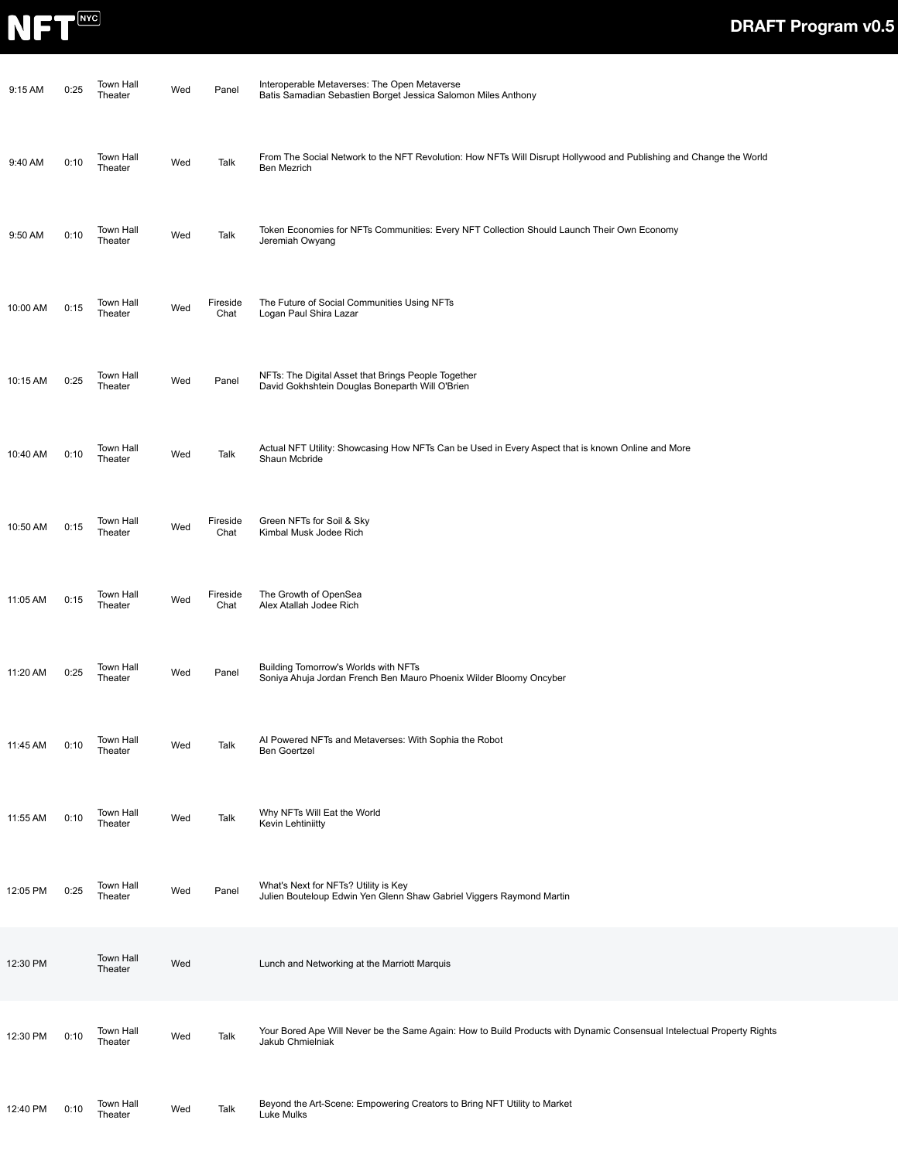

| 9:15 AM  | 0:25 | Town Hall<br>Theater        | Wed | Panel            | Interoperable Metaverses: The Open Metaverse<br>Batis Samadian Sebastien Borget Jessica Salomon Miles Anthony                              |
|----------|------|-----------------------------|-----|------------------|--------------------------------------------------------------------------------------------------------------------------------------------|
| 9:40 AM  | 0:10 | <b>Town Hall</b><br>Theater | Wed | Talk             | From The Social Network to the NFT Revolution: How NFTs Will Disrupt Hollywood and Publishing and Change the World<br>Ben Mezrich          |
| 9:50 AM  | 0:10 | <b>Town Hall</b><br>Theater | Wed | Talk             | Token Economies for NFTs Communities: Every NFT Collection Should Launch Their Own Economy<br>Jeremiah Owyang                              |
| 10:00 AM | 0:15 | <b>Town Hall</b><br>Theater | Wed | Fireside<br>Chat | The Future of Social Communities Using NFTs<br>Logan Paul Shira Lazar                                                                      |
| 10:15 AM | 0:25 | Town Hall<br>Theater        | Wed | Panel            | NFTs: The Digital Asset that Brings People Together<br>David Gokhshtein Douglas Boneparth Will O'Brien                                     |
| 10:40 AM | 0:10 | <b>Town Hall</b><br>Theater | Wed | Talk             | Actual NFT Utility: Showcasing How NFTs Can be Used in Every Aspect that is known Online and More<br>Shaun Mcbride                         |
| 10:50 AM | 0:15 | Town Hall<br>Theater        | Wed | Fireside<br>Chat | Green NFTs for Soil & Sky<br>Kimbal Musk Jodee Rich                                                                                        |
| 11:05 AM | 0:15 | <b>Town Hall</b><br>Theater | Wed | Fireside<br>Chat | The Growth of OpenSea<br>Alex Atallah Jodee Rich                                                                                           |
| 11:20 AM | 0:25 | <b>Town Hall</b><br>Theater | Wed | Panel            | Building Tomorrow's Worlds with NFTs<br>Soniya Ahuja Jordan French Ben Mauro Phoenix Wilder Bloomy Oncyber                                 |
| 11:45 AM | 0:10 | Town Hall<br>Theater        | Wed | Talk             | Al Powered NFTs and Metaverses: With Sophia the Robot<br><b>Ben Goertzel</b>                                                               |
| 11:55 AM | 0:10 | Town Hall<br>Theater        | Wed | Talk             | Why NFTs Will Eat the World<br>Kevin Lehtiniitty                                                                                           |
| 12:05 PM | 0:25 | Town Hall<br>Theater        | Wed | Panel            | What's Next for NFTs? Utility is Key<br>Julien Bouteloup Edwin Yen Glenn Shaw Gabriel Viggers Raymond Martin                               |
| 12:30 PM |      | Town Hall<br>Theater        | Wed |                  | Lunch and Networking at the Marriott Marquis                                                                                               |
| 12:30 PM | 0:10 | <b>Town Hall</b><br>Theater | Wed | Talk             | Your Bored Ape Will Never be the Same Again: How to Build Products with Dynamic Consensual Intelectual Property Rights<br>Jakub Chmielniak |
| 12:40 PM | 0:10 | <b>Town Hall</b><br>Theater | Wed | Talk             | Beyond the Art-Scene: Empowering Creators to Bring NFT Utility to Market<br>Luke Mulks                                                     |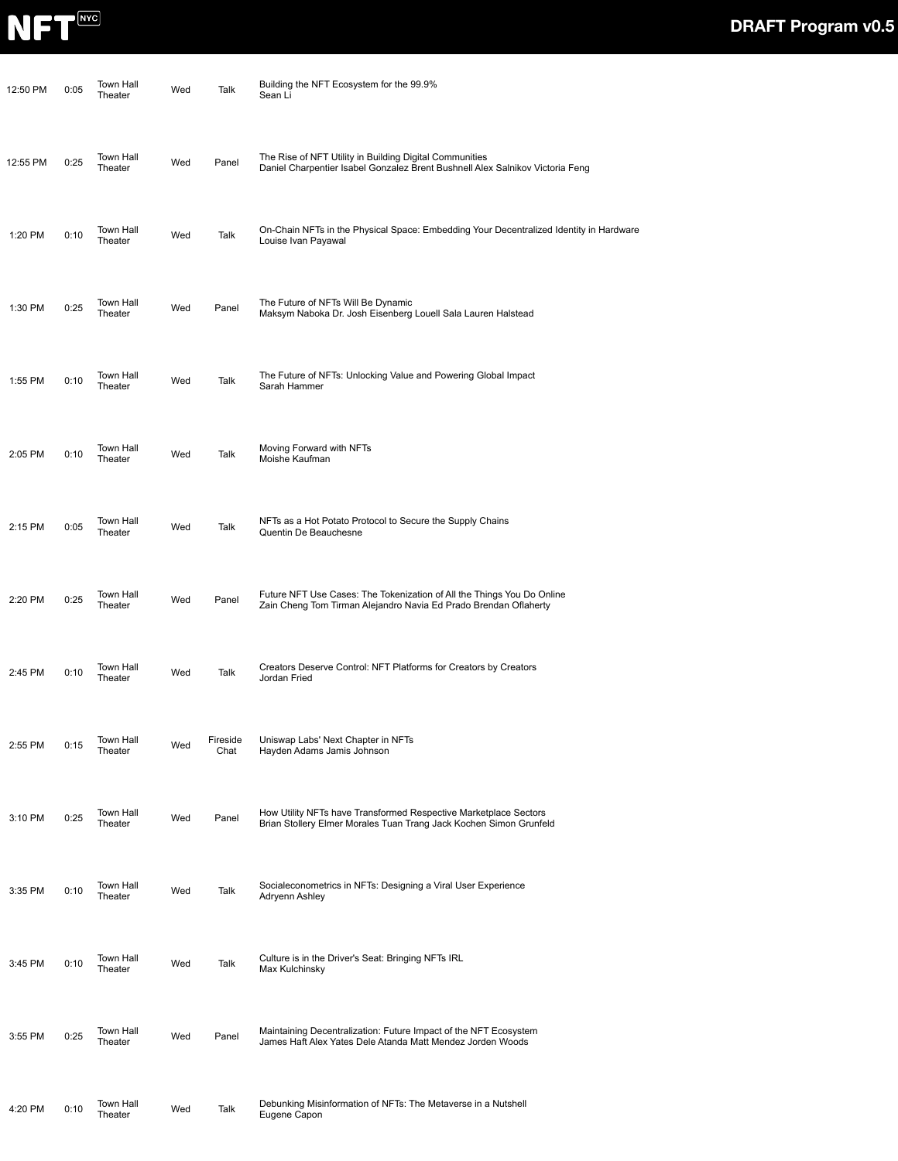

| 12:50 PM | 0:05 | Town Hall<br>Theater | Wed | Talk             | Building the NFT Ecosystem for the 99.9%<br>Sean Li                                                                                        |
|----------|------|----------------------|-----|------------------|--------------------------------------------------------------------------------------------------------------------------------------------|
| 12:55 PM | 0:25 | Town Hall<br>Theater | Wed | Panel            | The Rise of NFT Utility in Building Digital Communities<br>Daniel Charpentier Isabel Gonzalez Brent Bushnell Alex Salnikov Victoria Feng   |
| 1:20 PM  | 0:10 | Town Hall<br>Theater | Wed | Talk             | On-Chain NFTs in the Physical Space: Embedding Your Decentralized Identity in Hardware<br>Louise Ivan Payawal                              |
| 1:30 PM  | 0:25 | Town Hall<br>Theater | Wed | Panel            | The Future of NFTs Will Be Dynamic<br>Maksym Naboka Dr. Josh Eisenberg Louell Sala Lauren Halstead                                         |
| 1:55 PM  | 0:10 | Town Hall<br>Theater | Wed | Talk             | The Future of NFTs: Unlocking Value and Powering Global Impact<br>Sarah Hammer                                                             |
| 2:05 PM  | 0:10 | Town Hall<br>Theater | Wed | Talk             | Moving Forward with NFTs<br>Moishe Kaufman                                                                                                 |
| 2:15 PM  | 0:05 | Town Hall<br>Theater | Wed | Talk             | NFTs as a Hot Potato Protocol to Secure the Supply Chains<br>Quentin De Beauchesne                                                         |
| 2:20 PM  | 0:25 | Town Hall<br>Theater | Wed | Panel            | Future NFT Use Cases: The Tokenization of All the Things You Do Online<br>Zain Cheng Tom Tirman Alejandro Navia Ed Prado Brendan Oflaherty |
| 2:45 PM  | 0:10 | Town Hall<br>Theater | Wed | Talk             | Creators Deserve Control: NFT Platforms for Creators by Creators<br>Jordan Fried                                                           |
| 2:55 PM  | 0:15 | Town Hall<br>Theater | Wed | Fireside<br>Chat | Uniswap Labs' Next Chapter in NFTs<br>Hayden Adams Jamis Johnson                                                                           |
| 3:10 PM  | 0:25 | Town Hall<br>Theater | Wed | Panel            | How Utility NFTs have Transformed Respective Marketplace Sectors<br>Brian Stollery Elmer Morales Tuan Trang Jack Kochen Simon Grunfeld     |
| 3:35 PM  | 0:10 | Town Hall<br>Theater | Wed | Talk             | Socialeconometrics in NFTs: Designing a Viral User Experience<br>Adryenn Ashley                                                            |
| 3:45 PM  | 0:10 | Town Hall<br>Theater | Wed | Talk             | Culture is in the Driver's Seat: Bringing NFTs IRL<br>Max Kulchinsky                                                                       |
| 3:55 PM  | 0:25 | Town Hall<br>Theater | Wed | Panel            | Maintaining Decentralization: Future Impact of the NFT Ecosystem<br>James Haft Alex Yates Dele Atanda Matt Mendez Jorden Woods             |
| 4:20 PM  | 0:10 | Town Hall<br>Theater | Wed | Talk             | Debunking Misinformation of NFTs: The Metaverse in a Nutshell<br>Eugene Capon                                                              |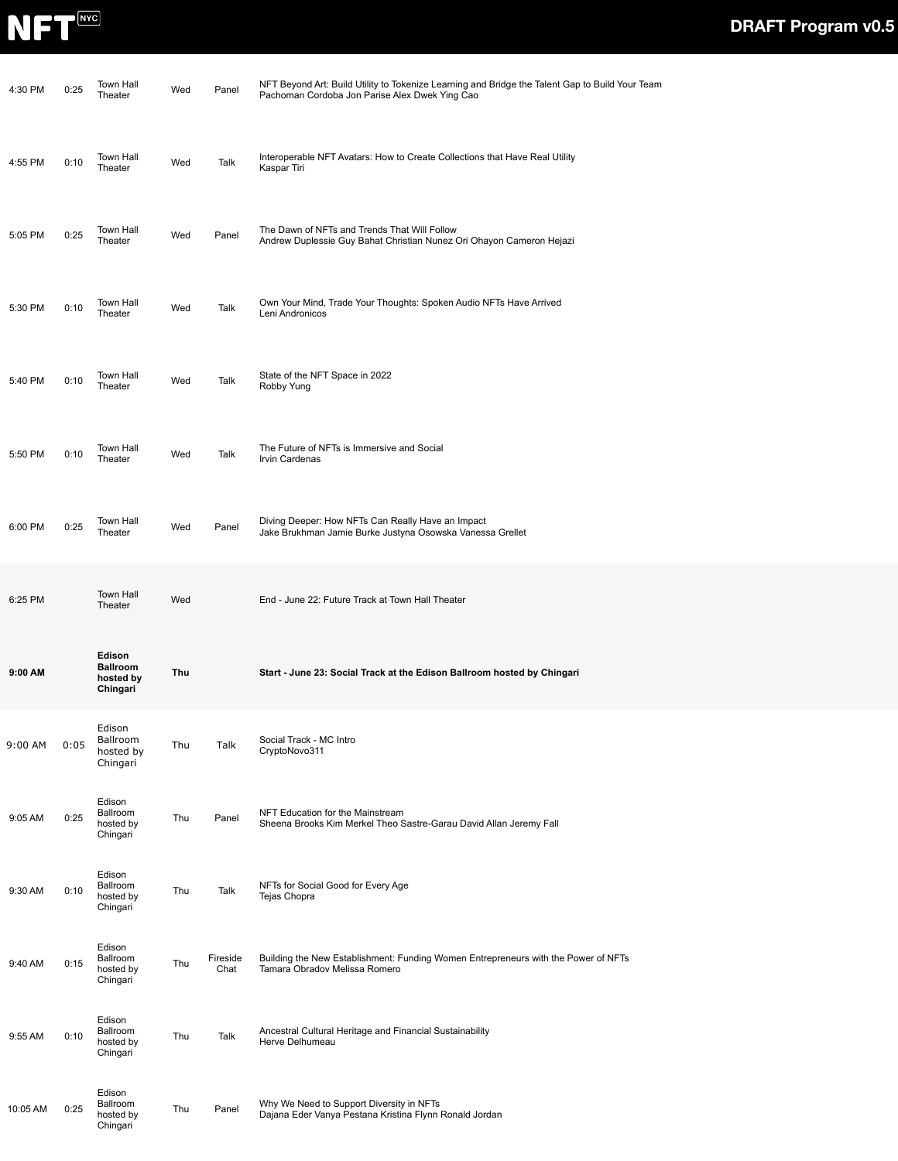

| 4:30 PM  | 0:25 | <b>Town Hall</b><br>Theater                        | Wed | Panel            | NFT Beyond Art: Build Utility to Tokenize Learning and Bridge the Talent Gap to Build Your Team<br>Pachoman Cordoba Jon Parise Alex Dwek Ying Cao |
|----------|------|----------------------------------------------------|-----|------------------|---------------------------------------------------------------------------------------------------------------------------------------------------|
| 4:55 PM  | 0:10 | Town Hall<br>Theater                               | Wed | Talk             | Interoperable NFT Avatars: How to Create Collections that Have Real Utility<br>Kaspar Tiri                                                        |
| 5:05 PM  | 0:25 | Town Hall<br>Theater                               | Wed | Panel            | The Dawn of NFTs and Trends That Will Follow<br>Andrew Duplessie Guy Bahat Christian Nunez Ori Ohayon Cameron Hejazi                              |
| 5:30 PM  | 0:10 | Town Hall<br>Theater                               | Wed | Talk             | Own Your Mind, Trade Your Thoughts: Spoken Audio NFTs Have Arrived<br>Leni Andronicos                                                             |
| 5:40 PM  | 0:10 | Town Hall<br>Theater                               | Wed | Talk             | State of the NFT Space in 2022<br>Robby Yung                                                                                                      |
| 5:50 PM  | 0:10 | Town Hall<br>Theater                               | Wed | Talk             | The Future of NFTs is Immersive and Social<br>Irvin Cardenas                                                                                      |
| 6:00 PM  | 0:25 | Town Hall<br>Theater                               | Wed | Panel            | Diving Deeper: How NFTs Can Really Have an Impact<br>Jake Brukhman Jamie Burke Justyna Osowska Vanessa Grellet                                    |
| 6:25 PM  |      | <b>Town Hall</b><br>Theater                        | Wed |                  | End - June 22: Future Track at Town Hall Theater                                                                                                  |
| 9:00 AM  |      | Edison<br><b>Ballroom</b><br>hosted by<br>Chingari | Thu |                  | Start - June 23: Social Track at the Edison Ballroom hosted by Chingari                                                                           |
| 9:00 AM  | 0:05 | Edison<br>Ballroom<br>hosted by<br>Chingari        | Thu | Talk             | Social Track - MC Intro<br>CryptoNovo311                                                                                                          |
| 9:05 AM  | 0:25 | Edison<br>Ballroom<br>hosted by<br>Chingari        | Thu | Panel            | NFT Education for the Mainstream<br>Sheena Brooks Kim Merkel Theo Sastre-Garau David Allan Jeremy Fall                                            |
| 9:30 AM  | 0:10 | Edison<br>Ballroom<br>hosted by<br>Chingari        | Thu | Talk             | NFTs for Social Good for Every Age<br>Tejas Chopra                                                                                                |
| 9:40 AM  | 0:15 | Edison<br>Ballroom<br>hosted by<br>Chingari        | Thu | Fireside<br>Chat | Building the New Establishment: Funding Women Entrepreneurs with the Power of NFTs<br>Tamara Obradov Melissa Romero                               |
| 9:55 AM  | 0:10 | Edison<br>Ballroom<br>hosted by<br>Chingari        | Thu | Talk             | Ancestral Cultural Heritage and Financial Sustainability<br>Herve Delhumeau                                                                       |
| 10:05 AM | 0:25 | Edison<br>Ballroom<br>hosted by<br>Chingari        | Thu | Panel            | Why We Need to Support Diversity in NFTs<br>Dajana Eder Vanya Pestana Kristina Flynn Ronald Jordan                                                |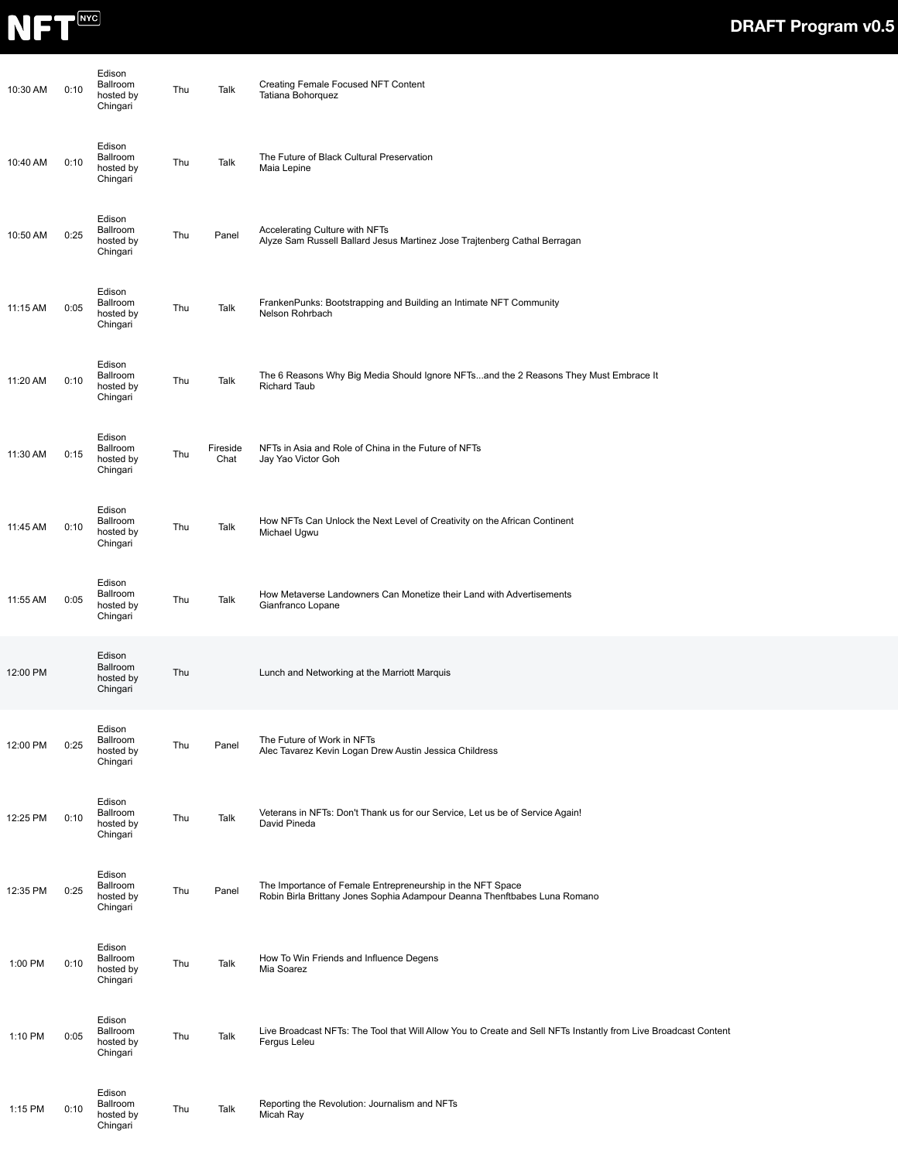

| 10:30 AM | 0:10 | Edison<br>Ballroom<br>hosted by<br>Chingari | Thu | Talk             | Creating Female Focused NFT Content<br>Tatiana Bohorquez                                                                                |
|----------|------|---------------------------------------------|-----|------------------|-----------------------------------------------------------------------------------------------------------------------------------------|
| 10:40 AM | 0:10 | Edison<br>Ballroom<br>hosted by<br>Chingari | Thu | Talk             | The Future of Black Cultural Preservation<br>Maia Lepine                                                                                |
| 10:50 AM | 0:25 | Edison<br>Ballroom<br>hosted by<br>Chingari | Thu | Panel            | Accelerating Culture with NFTs<br>Alyze Sam Russell Ballard Jesus Martinez Jose Trajtenberg Cathal Berragan                             |
| 11:15 AM | 0:05 | Edison<br>Ballroom<br>hosted by<br>Chingari | Thu | Talk             | FrankenPunks: Bootstrapping and Building an Intimate NFT Community<br>Nelson Rohrbach                                                   |
| 11:20 AM | 0:10 | Edison<br>Ballroom<br>hosted by<br>Chingari | Thu | Talk             | The 6 Reasons Why Big Media Should Ignore NFTsand the 2 Reasons They Must Embrace It<br><b>Richard Taub</b>                             |
| 11:30 AM | 0:15 | Edison<br>Ballroom<br>hosted by<br>Chingari | Thu | Fireside<br>Chat | NFTs in Asia and Role of China in the Future of NFTs<br>Jay Yao Victor Goh                                                              |
| 11:45 AM | 0:10 | Edison<br>Ballroom<br>hosted by<br>Chingari | Thu | Talk             | How NFTs Can Unlock the Next Level of Creativity on the African Continent<br>Michael Ugwu                                               |
| 11:55 AM | 0:05 | Edison<br>Ballroom<br>hosted by<br>Chingari | Thu | Talk             | How Metaverse Landowners Can Monetize their Land with Advertisements<br>Gianfranco Lopane                                               |
| 12:00 PM |      | Edison<br>Ballroom<br>hosted by<br>Chingari | Thu |                  | Lunch and Networking at the Marriott Marquis                                                                                            |
| 12:00 PM | 0:25 | Edison<br>Ballroom<br>hosted by<br>Chingari | Thu | Panel            | The Future of Work in NFTs<br>Alec Tavarez Kevin Logan Drew Austin Jessica Childress                                                    |
| 12:25 PM | 0:10 | Edison<br>Ballroom<br>hosted by<br>Chingari | Thu | Talk             | Veterans in NFTs: Don't Thank us for our Service, Let us be of Service Again!<br>David Pineda                                           |
| 12:35 PM | 0:25 | Edison<br>Ballroom<br>hosted by<br>Chingari | Thu | Panel            | The Importance of Female Entrepreneurship in the NFT Space<br>Robin Birla Brittany Jones Sophia Adampour Deanna Thenftbabes Luna Romano |
| 1:00 PM  | 0:10 | Edison<br>Ballroom<br>hosted by<br>Chingari | Thu | Talk             | How To Win Friends and Influence Degens<br>Mia Soarez                                                                                   |
| 1:10 PM  | 0:05 | Edison<br>Ballroom<br>hosted by<br>Chingari | Thu | Talk             | Live Broadcast NFTs: The Tool that Will Allow You to Create and Sell NFTs Instantly from Live Broadcast Content<br>Fergus Leleu         |
| 1:15 PM  | 0:10 | Edison<br>Ballroom<br>hosted by<br>Chingari | Thu | Talk             | Reporting the Revolution: Journalism and NFTs<br>Micah Ray                                                                              |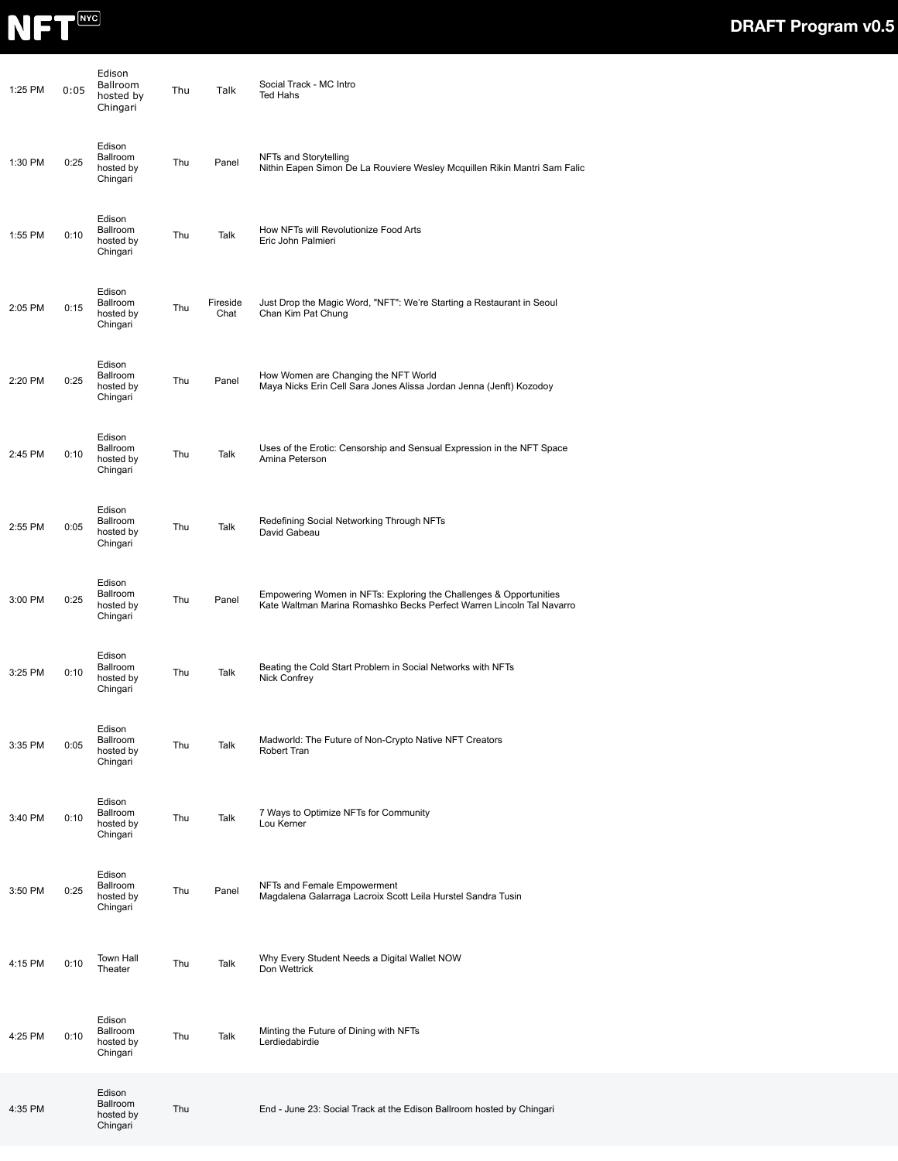

| 1:25 PM | 0:05 | Edison<br><b>Ballroom</b><br>hosted by<br>Chingari | Thu | Talk             | Social Track - MC Intro<br>Ted Hahs                                                                                                         |
|---------|------|----------------------------------------------------|-----|------------------|---------------------------------------------------------------------------------------------------------------------------------------------|
| 1:30 PM | 0:25 | Edison<br>Ballroom<br>hosted by<br>Chingari        | Thu | Panel            | NFTs and Storytelling<br>Nithin Eapen Simon De La Rouviere Wesley Mcquillen Rikin Mantri Sam Falic                                          |
| 1:55 PM | 0:10 | Edison<br>Ballroom<br>hosted by<br>Chingari        | Thu | Talk             | How NFTs will Revolutionize Food Arts<br>Eric John Palmieri                                                                                 |
| 2:05 PM | 0:15 | Edison<br>Ballroom<br>hosted by<br>Chingari        | Thu | Fireside<br>Chat | Just Drop the Magic Word, "NFT": We're Starting a Restaurant in Seoul<br>Chan Kim Pat Chung                                                 |
| 2:20 PM | 0:25 | Edison<br>Ballroom<br>hosted by<br>Chingari        | Thu | Panel            | How Women are Changing the NFT World<br>Maya Nicks Erin Cell Sara Jones Alissa Jordan Jenna (Jenft) Kozodoy                                 |
| 2:45 PM | 0:10 | Edison<br>Ballroom<br>hosted by<br>Chingari        | Thu | Talk             | Uses of the Erotic: Censorship and Sensual Expression in the NFT Space<br>Amina Peterson                                                    |
| 2:55 PM | 0:05 | Edison<br>Ballroom<br>hosted by<br>Chingari        | Thu | Talk             | Redefining Social Networking Through NFTs<br>David Gabeau                                                                                   |
| 3:00 PM | 0:25 | Edison<br>Ballroom<br>hosted by<br>Chingari        | Thu | Panel            | Empowering Women in NFTs: Exploring the Challenges & Opportunities<br>Kate Waltman Marina Romashko Becks Perfect Warren Lincoln Tal Navarro |
| 3:25 PM | 0:10 | Edison<br>Ballroom<br>hosted by<br>Chingari        | Thu | Talk             | Beating the Cold Start Problem in Social Networks with NFTs<br>Nick Confrey                                                                 |
| 3:35 PM | 0:05 | Edison<br>Ballroom<br>hosted by<br>Chingari        | Thu | Talk             | Madworld: The Future of Non-Crypto Native NFT Creators<br>Robert Tran                                                                       |
| 3:40 PM | 0:10 | Edison<br>Ballroom<br>hosted by<br>Chingari        | Thu | Talk             | 7 Ways to Optimize NFTs for Community<br>Lou Kerner                                                                                         |
| 3:50 PM | 0:25 | Edison<br>Ballroom<br>hosted by<br>Chingari        | Thu | Panel            | NFTs and Female Empowerment<br>Magdalena Galarraga Lacroix Scott Leila Hurstel Sandra Tusin                                                 |
| 4:15 PM | 0:10 | Town Hall<br>Theater                               | Thu | Talk             | Why Every Student Needs a Digital Wallet NOW<br>Don Wettrick                                                                                |
| 4:25 PM | 0:10 | Edison<br>Ballroom<br>hosted by<br>Chingari        | Thu | Talk             | Minting the Future of Dining with NFTs<br>Lerdiedabirdie                                                                                    |
| 4:35 PM |      | Edison<br>Ballroom<br>hosted by<br>Chingari        | Thu |                  | End - June 23: Social Track at the Edison Ballroom hosted by Chingari                                                                       |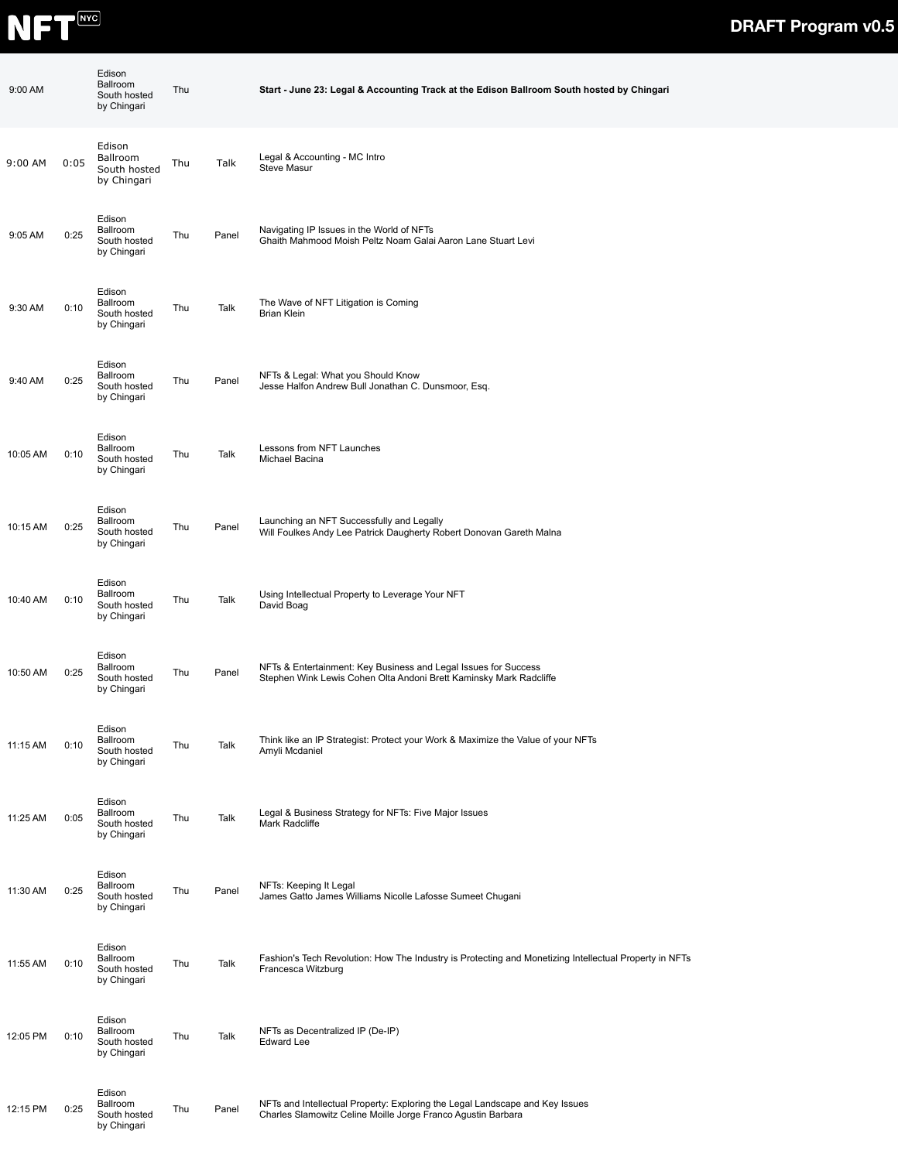

| 9:00 AM  |      | Edison<br>Ballroom<br>South hosted<br>by Chingari | Thu |       | Start - June 23: Legal & Accounting Track at the Edison Ballroom South hosted by Chingari                                                    |
|----------|------|---------------------------------------------------|-----|-------|----------------------------------------------------------------------------------------------------------------------------------------------|
| 9:00 AM  | 0:05 | Edison<br>Ballroom<br>South hosted<br>by Chingari | Thu | Talk  | Legal & Accounting - MC Intro<br><b>Steve Masur</b>                                                                                          |
| 9:05 AM  | 0:25 | Edison<br>Ballroom<br>South hosted<br>by Chingari | Thu | Panel | Navigating IP Issues in the World of NFTs<br>Ghaith Mahmood Moish Peltz Noam Galai Aaron Lane Stuart Levi                                    |
| 9:30 AM  | 0:10 | Edison<br>Ballroom<br>South hosted<br>by Chingari | Thu | Talk  | The Wave of NFT Litigation is Coming<br><b>Brian Klein</b>                                                                                   |
| 9:40 AM  | 0:25 | Edison<br>Ballroom<br>South hosted<br>by Chingari | Thu | Panel | NFTs & Legal: What you Should Know<br>Jesse Halfon Andrew Bull Jonathan C. Dunsmoor, Esq.                                                    |
| 10:05 AM | 0:10 | Edison<br>Ballroom<br>South hosted<br>by Chingari | Thu | Talk  | Lessons from NFT Launches<br>Michael Bacina                                                                                                  |
| 10:15 AM | 0:25 | Edison<br>Ballroom<br>South hosted<br>by Chingari | Thu | Panel | Launching an NFT Successfully and Legally<br>Will Foulkes Andy Lee Patrick Daugherty Robert Donovan Gareth Malna                             |
| 10:40 AM | 0:10 | Edison<br>Ballroom<br>South hosted<br>by Chingari | Thu | Talk  | Using Intellectual Property to Leverage Your NFT<br>David Boag                                                                               |
| 10:50 AM | 0:25 | Edison<br>Ballroom<br>South hosted<br>by Chingari | Thu | Panel | NFTs & Entertainment: Key Business and Legal Issues for Success<br>Stephen Wink Lewis Cohen Olta Andoni Brett Kaminsky Mark Radcliffe        |
| 11:15 AM | 0:10 | Edison<br>Ballroom<br>South hosted<br>by Chingari | Thu | Talk  | Think like an IP Strategist: Protect your Work & Maximize the Value of your NFTs<br>Amyli Mcdaniel                                           |
| 11:25 AM | 0:05 | Edison<br>Ballroom<br>South hosted<br>by Chingari | Thu | Talk  | Legal & Business Strategy for NFTs: Five Major Issues<br>Mark Radcliffe                                                                      |
| 11:30 AM | 0:25 | Edison<br>Ballroom<br>South hosted<br>by Chingari | Thu | Panel | NFTs: Keeping It Legal<br>James Gatto James Williams Nicolle Lafosse Sumeet Chugani                                                          |
| 11:55 AM | 0:10 | Edison<br>Ballroom<br>South hosted<br>by Chingari | Thu | Talk  | Fashion's Tech Revolution: How The Industry is Protecting and Monetizing Intellectual Property in NFTs<br>Francesca Witzburg                 |
| 12:05 PM | 0:10 | Edison<br>Ballroom<br>South hosted<br>by Chingari | Thu | Talk  | NFTs as Decentralized IP (De-IP)<br><b>Edward Lee</b>                                                                                        |
| 12:15 PM | 0:25 | Edison<br>Ballroom<br>South hosted<br>by Chingari | Thu | Panel | NFTs and Intellectual Property: Exploring the Legal Landscape and Key Issues<br>Charles Slamowitz Celine Moille Jorge Franco Agustin Barbara |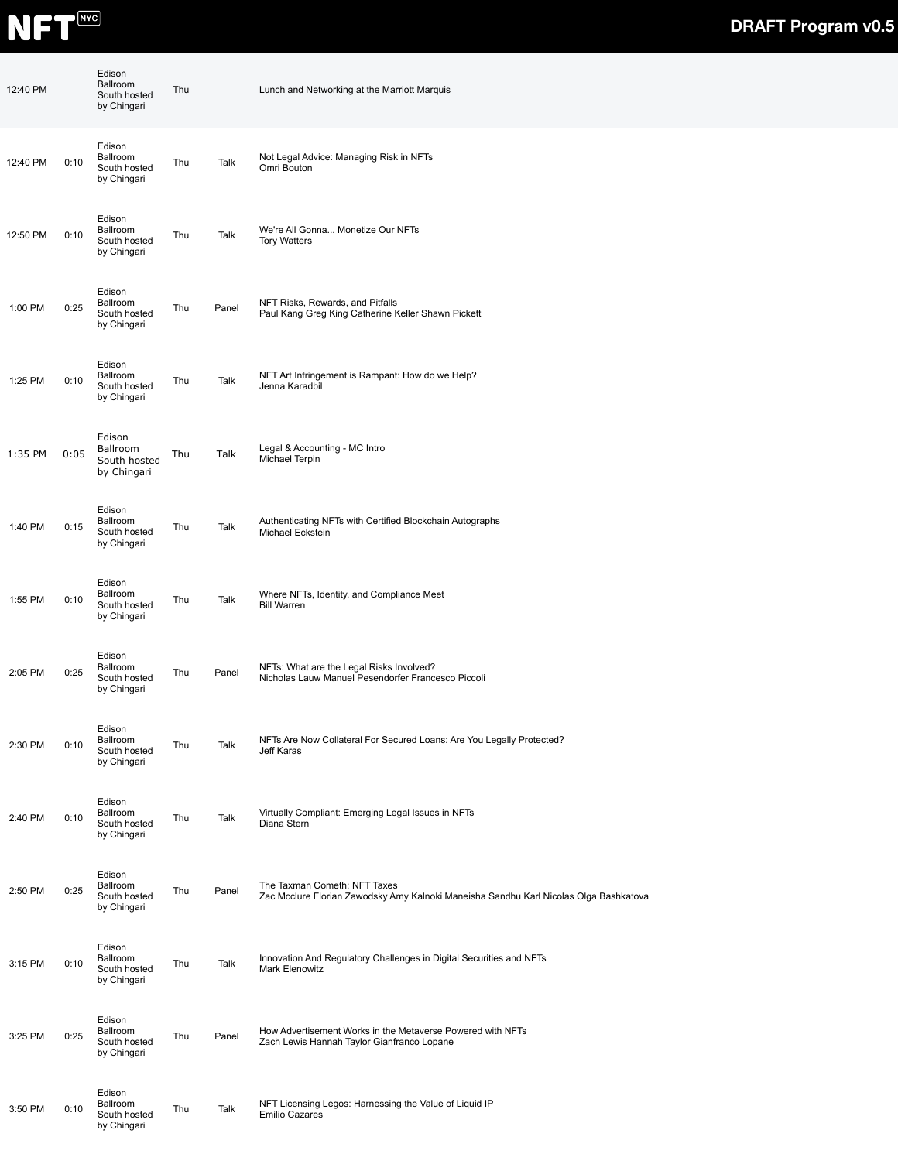

| 12:40 PM |      | Edison<br>Ballroom<br>South hosted<br>by Chingari | Thu |       | Lunch and Networking at the Marriott Marquis                                                                          |
|----------|------|---------------------------------------------------|-----|-------|-----------------------------------------------------------------------------------------------------------------------|
| 12:40 PM | 0:10 | Edison<br>Ballroom<br>South hosted<br>by Chingari | Thu | Talk  | Not Legal Advice: Managing Risk in NFTs<br>Omri Bouton                                                                |
| 12:50 PM | 0:10 | Edison<br>Ballroom<br>South hosted<br>by Chingari | Thu | Talk  | We're All Gonna Monetize Our NFTs<br><b>Tory Watters</b>                                                              |
| 1:00 PM  | 0:25 | Edison<br>Ballroom<br>South hosted<br>by Chingari | Thu | Panel | NFT Risks, Rewards, and Pitfalls<br>Paul Kang Greg King Catherine Keller Shawn Pickett                                |
| 1:25 PM  | 0:10 | Edison<br>Ballroom<br>South hosted<br>by Chingari | Thu | Talk  | NFT Art Infringement is Rampant: How do we Help?<br>Jenna Karadbil                                                    |
| 1:35 PM  | 0:05 | Edison<br>Ballroom<br>South hosted<br>by Chingari | Thu | Talk  | Legal & Accounting - MC Intro<br>Michael Terpin                                                                       |
| 1:40 PM  | 0:15 | Edison<br>Ballroom<br>South hosted<br>by Chingari | Thu | Talk  | Authenticating NFTs with Certified Blockchain Autographs<br>Michael Eckstein                                          |
| 1:55 PM  | 0:10 | Edison<br>Ballroom<br>South hosted<br>by Chingari | Thu | Talk  | Where NFTs, Identity, and Compliance Meet<br><b>Bill Warren</b>                                                       |
| 2:05 PM  | 0:25 | Edison<br>Ballroom<br>South hosted<br>by Chingari | Thu | Panel | NFTs: What are the Legal Risks Involved?<br>Nicholas Lauw Manuel Pesendorfer Francesco Piccoli                        |
| 2:30 PM  | 0:10 | Edison<br>Ballroom<br>South hosted<br>by Chingari | Thu | Talk  | NFTs Are Now Collateral For Secured Loans: Are You Legally Protected?<br>Jeff Karas                                   |
| 2:40 PM  | 0:10 | Edison<br>Ballroom<br>South hosted<br>by Chingari | Thu | Talk  | Virtually Compliant: Emerging Legal Issues in NFTs<br>Diana Stern                                                     |
| 2:50 PM  | 0:25 | Edison<br>Ballroom<br>South hosted<br>by Chingari | Thu | Panel | The Taxman Cometh: NFT Taxes<br>Zac Mcclure Florian Zawodsky Amy Kalnoki Maneisha Sandhu Karl Nicolas Olga Bashkatova |
| 3:15 PM  | 0:10 | Edison<br>Ballroom<br>South hosted<br>by Chingari | Thu | Talk  | Innovation And Regulatory Challenges in Digital Securities and NFTs<br>Mark Elenowitz                                 |
| 3:25 PM  | 0:25 | Edison<br>Ballroom<br>South hosted<br>by Chingari | Thu | Panel | How Advertisement Works in the Metaverse Powered with NFTs<br>Zach Lewis Hannah Taylor Gianfranco Lopane              |
| 3:50 PM  | 0:10 | Edison<br>Ballroom<br>South hosted<br>by Chingari | Thu | Talk  | NFT Licensing Legos: Harnessing the Value of Liquid IP<br><b>Emilio Cazares</b>                                       |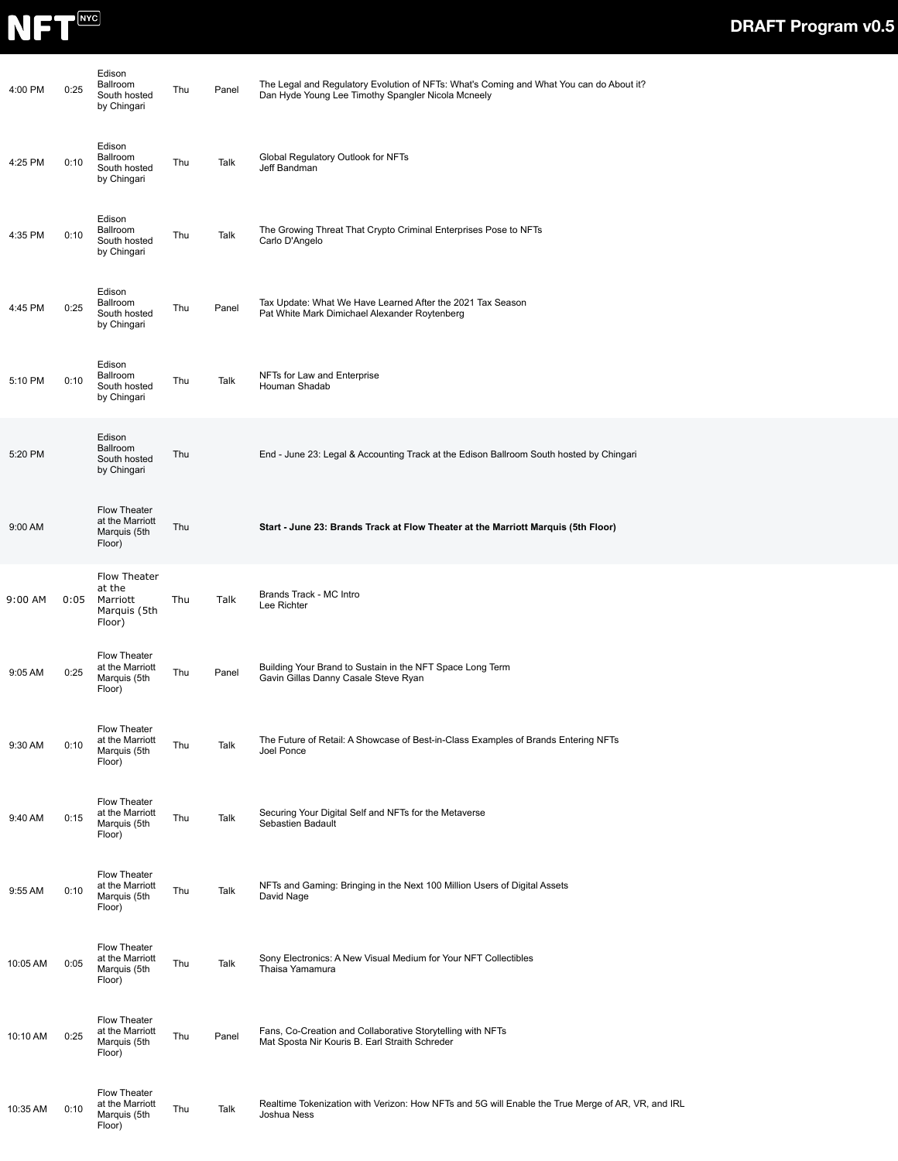

| 4:00 PM  | 0:25 | Edison<br>Ballroom<br>South hosted<br>by Chingari            | Thu | Panel | The Legal and Regulatory Evolution of NFTs: What's Coming and What You can do About it?<br>Dan Hyde Young Lee Timothy Spangler Nicola Mcneely |
|----------|------|--------------------------------------------------------------|-----|-------|-----------------------------------------------------------------------------------------------------------------------------------------------|
| 4:25 PM  | 0:10 | Edison<br>Ballroom<br>South hosted<br>by Chingari            | Thu | Talk  | Global Regulatory Outlook for NFTs<br>Jeff Bandman                                                                                            |
| 4:35 PM  | 0:10 | Edison<br>Ballroom<br>South hosted<br>by Chingari            | Thu | Talk  | The Growing Threat That Crypto Criminal Enterprises Pose to NFTs<br>Carlo D'Angelo                                                            |
| 4:45 PM  | 0:25 | Edison<br>Ballroom<br>South hosted<br>by Chingari            | Thu | Panel | Tax Update: What We Have Learned After the 2021 Tax Season<br>Pat White Mark Dimichael Alexander Roytenberg                                   |
| 5:10 PM  | 0:10 | Edison<br>Ballroom<br>South hosted<br>by Chingari            | Thu | Talk  | NFTs for Law and Enterprise<br>Houman Shadab                                                                                                  |
| 5:20 PM  |      | Edison<br>Ballroom<br>South hosted<br>by Chingari            | Thu |       | End - June 23: Legal & Accounting Track at the Edison Ballroom South hosted by Chingari                                                       |
| 9:00 AM  |      | Flow Theater<br>at the Marriott<br>Marquis (5th<br>Floor)    | Thu |       | Start - June 23: Brands Track at Flow Theater at the Marriott Marquis (5th Floor)                                                             |
| 9:00 AM  | 0:05 | Flow Theater<br>at the<br>Marriott<br>Marquis (5th<br>Floor) | Thu | Talk  | Brands Track - MC Intro<br>Lee Richter                                                                                                        |
| 9:05 AM  | 0:25 | Flow Theater<br>at the Marriott<br>Marquis (5th<br>Floor)    | Thu | Panel | Building Your Brand to Sustain in the NFT Space Long Term<br>Gavin Gillas Danny Casale Steve Ryan                                             |
| 9:30 AM  | 0:10 | Flow Theater<br>at the Marriott<br>Marquis (5th<br>Floor)    | Thu | Talk  | The Future of Retail: A Showcase of Best-in-Class Examples of Brands Entering NFTs<br>Joel Ponce                                              |
| 9:40 AM  | 0:15 | Flow Theater<br>at the Marriott<br>Marquis (5th<br>Floor)    | Thu | Talk  | Securing Your Digital Self and NFTs for the Metaverse<br>Sebastien Badault                                                                    |
| 9:55 AM  | 0:10 | Flow Theater<br>at the Marriott<br>Marquis (5th<br>Floor)    | Thu | Talk  | NFTs and Gaming: Bringing in the Next 100 Million Users of Digital Assets<br>David Nage                                                       |
| 10:05 AM | 0:05 | Flow Theater<br>at the Marriott<br>Marquis (5th<br>Floor)    | Thu | Talk  | Sony Electronics: A New Visual Medium for Your NFT Collectibles<br>Thaisa Yamamura                                                            |
| 10:10 AM | 0:25 | Flow Theater<br>at the Marriott<br>Marquis (5th<br>Floor)    | Thu | Panel | Fans, Co-Creation and Collaborative Storytelling with NFTs<br>Mat Sposta Nir Kouris B. Earl Straith Schreder                                  |
| 10:35 AM | 0:10 | Flow Theater<br>at the Marriott<br>Marquis (5th<br>Floor)    | Thu | Talk  | Realtime Tokenization with Verizon: How NFTs and 5G will Enable the True Merge of AR, VR, and IRL<br>Joshua Ness                              |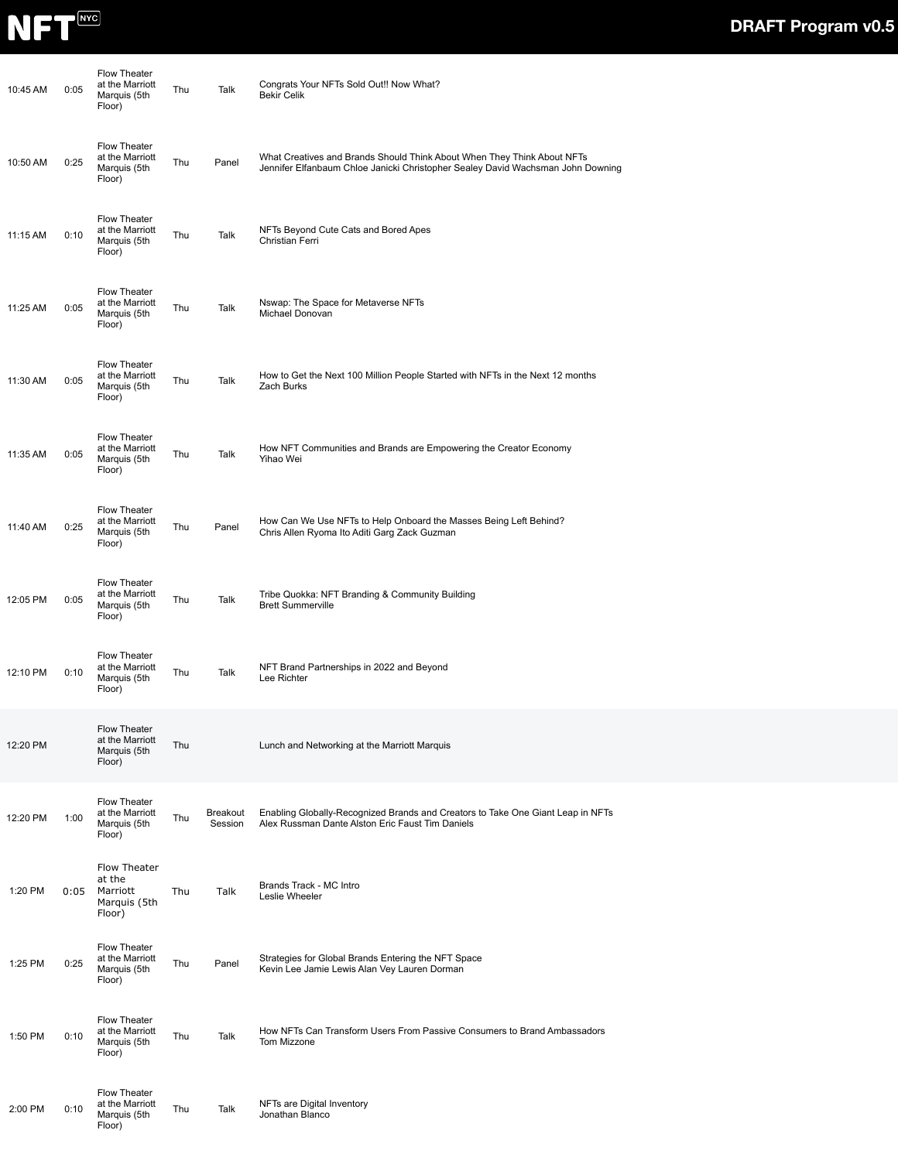

| 10:45 AM | 0:05 | <b>Flow Theater</b><br>at the Marriott<br>Marquis (5th<br>Floor) | Thu | Talk                       | Congrats Your NFTs Sold Out!! Now What?<br><b>Bekir Celik</b>                                                                                              |
|----------|------|------------------------------------------------------------------|-----|----------------------------|------------------------------------------------------------------------------------------------------------------------------------------------------------|
| 10:50 AM | 0:25 | <b>Flow Theater</b><br>at the Marriott<br>Marquis (5th<br>Floor) | Thu | Panel                      | What Creatives and Brands Should Think About When They Think About NFTs<br>Jennifer Elfanbaum Chloe Janicki Christopher Sealey David Wachsman John Downing |
| 11:15 AM | 0:10 | <b>Flow Theater</b><br>at the Marriott<br>Marquis (5th<br>Floor) | Thu | Talk                       | NFTs Beyond Cute Cats and Bored Apes<br>Christian Ferri                                                                                                    |
| 11:25 AM | 0:05 | Flow Theater<br>at the Marriott<br>Marquis (5th<br>Floor)        | Thu | Talk                       | Nswap: The Space for Metaverse NFTs<br>Michael Donovan                                                                                                     |
| 11:30 AM | 0:05 | <b>Flow Theater</b><br>at the Marriott<br>Marquis (5th<br>Floor) | Thu | Talk                       | How to Get the Next 100 Million People Started with NFTs in the Next 12 months<br>Zach Burks                                                               |
| 11:35 AM | 0:05 | <b>Flow Theater</b><br>at the Marriott<br>Marquis (5th<br>Floor) | Thu | Talk                       | How NFT Communities and Brands are Empowering the Creator Economy<br>Yihao Wei                                                                             |
| 11:40 AM | 0:25 | <b>Flow Theater</b><br>at the Marriott<br>Marquis (5th<br>Floor) | Thu | Panel                      | How Can We Use NFTs to Help Onboard the Masses Being Left Behind?<br>Chris Allen Ryoma Ito Aditi Garg Zack Guzman                                          |
| 12:05 PM | 0:05 | <b>Flow Theater</b><br>at the Marriott<br>Marquis (5th<br>Floor) | Thu | Talk                       | Tribe Quokka: NFT Branding & Community Building<br><b>Brett Summerville</b>                                                                                |
| 12:10 PM | 0:10 | <b>Flow Theater</b><br>at the Marriott<br>Marquis (5th<br>Floor) | Thu | Talk                       | NFT Brand Partnerships in 2022 and Beyond<br>Lee Richter                                                                                                   |
| 12:20 PM |      | Flow Theater<br>at the Marriott<br>Marquis (5th<br>Floor)        | Thu |                            | Lunch and Networking at the Marriott Marquis                                                                                                               |
| 12:20 PM | 1:00 | <b>Flow Theater</b><br>at the Marriott<br>Marquis (5th<br>Floor) | Thu | <b>Breakout</b><br>Session | Enabling Globally-Recognized Brands and Creators to Take One Giant Leap in NFTs<br>Alex Russman Dante Alston Eric Faust Tim Daniels                        |
| 1:20 PM  | 0:05 | Flow Theater<br>at the<br>Marriott<br>Marquis (5th<br>Floor)     | Thu | Talk                       | Brands Track - MC Intro<br>Leslie Wheeler                                                                                                                  |
| 1:25 PM  | 0:25 | <b>Flow Theater</b><br>at the Marriott<br>Marquis (5th<br>Floor) | Thu | Panel                      | Strategies for Global Brands Entering the NFT Space<br>Kevin Lee Jamie Lewis Alan Vey Lauren Dorman                                                        |
| 1:50 PM  | 0:10 | <b>Flow Theater</b><br>at the Marriott<br>Marquis (5th<br>Floor) | Thu | Talk                       | How NFTs Can Transform Users From Passive Consumers to Brand Ambassadors<br>Tom Mizzone                                                                    |
| 2:00 PM  | 0:10 | <b>Flow Theater</b><br>at the Marriott<br>Marquis (5th<br>Floor) | Thu | Talk                       | NFTs are Digital Inventory<br>Jonathan Blanco                                                                                                              |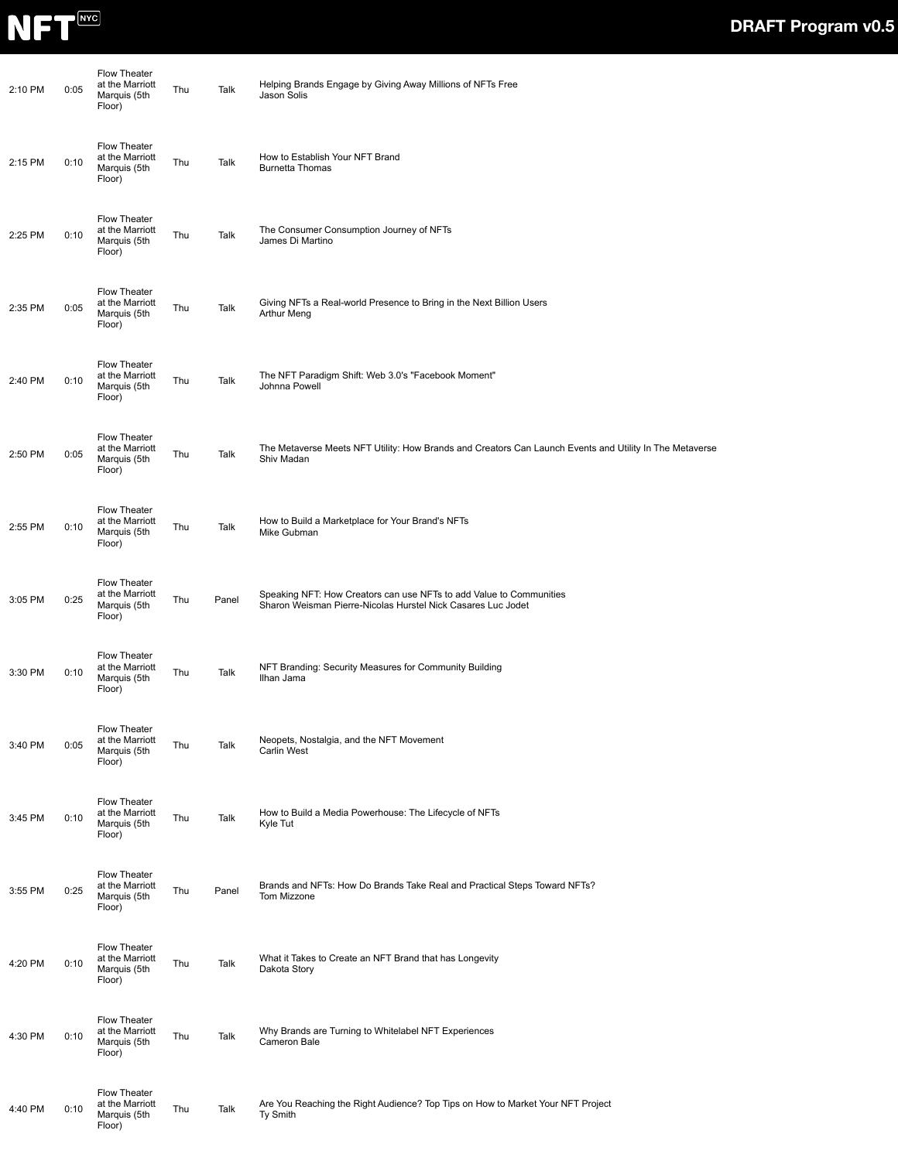

| 2:10 PM | 0:05 | Flow Theater<br>at the Marriott<br>Marquis (5th<br>Floor) | Thu | Talk  | Helping Brands Engage by Giving Away Millions of NFTs Free<br>Jason Solis                                                           |
|---------|------|-----------------------------------------------------------|-----|-------|-------------------------------------------------------------------------------------------------------------------------------------|
| 2:15 PM | 0:10 | Flow Theater<br>at the Marriott<br>Marquis (5th<br>Floor) | Thu | Talk  | How to Establish Your NFT Brand<br><b>Burnetta Thomas</b>                                                                           |
| 2:25 PM | 0:10 | Flow Theater<br>at the Marriott<br>Marquis (5th<br>Floor) | Thu | Talk  | The Consumer Consumption Journey of NFTs<br>James Di Martino                                                                        |
| 2:35 PM | 0:05 | Flow Theater<br>at the Marriott<br>Marquis (5th<br>Floor) | Thu | Talk  | Giving NFTs a Real-world Presence to Bring in the Next Billion Users<br>Arthur Meng                                                 |
| 2:40 PM | 0:10 | Flow Theater<br>at the Marriott<br>Marquis (5th<br>Floor) | Thu | Talk  | The NFT Paradigm Shift: Web 3.0's "Facebook Moment"<br>Johnna Powell                                                                |
| 2:50 PM | 0:05 | Flow Theater<br>at the Marriott<br>Marquis (5th<br>Floor) | Thu | Talk  | The Metaverse Meets NFT Utility: How Brands and Creators Can Launch Events and Utility In The Metaverse<br>Shiv Madan               |
| 2:55 PM | 0:10 | Flow Theater<br>at the Marriott<br>Marquis (5th<br>Floor) | Thu | Talk  | How to Build a Marketplace for Your Brand's NFTs<br>Mike Gubman                                                                     |
| 3:05 PM | 0:25 | Flow Theater<br>at the Marriott<br>Marquis (5th<br>Floor) | Thu | Panel | Speaking NFT: How Creators can use NFTs to add Value to Communities<br>Sharon Weisman Pierre-Nicolas Hurstel Nick Casares Luc Jodet |
| 3:30 PM | 0:10 | Flow Theater<br>at the Marriott<br>Marquis (5th<br>Floor) | Thu | Talk  | NFT Branding: Security Measures for Community Building<br>Ilhan Jama                                                                |
| 3:40 PM | 0:05 | Flow Theater<br>at the Marriott<br>Marquis (5th<br>Floor) | Thu | Talk  | Neopets, Nostalgia, and the NFT Movement<br><b>Carlin West</b>                                                                      |
| 3:45 PM | 0:10 | Flow Theater<br>at the Marriott<br>Marquis (5th<br>Floor) | Thu | Talk  | How to Build a Media Powerhouse: The Lifecycle of NFTs<br>Kyle Tut                                                                  |
| 3:55 PM | 0:25 | Flow Theater<br>at the Marriott<br>Marquis (5th<br>Floor) | Thu | Panel | Brands and NFTs: How Do Brands Take Real and Practical Steps Toward NFTs?<br>Tom Mizzone                                            |
| 4:20 PM | 0:10 | Flow Theater<br>at the Marriott<br>Marquis (5th<br>Floor) | Thu | Talk  | What it Takes to Create an NFT Brand that has Longevity<br>Dakota Story                                                             |
| 4:30 PM | 0:10 | Flow Theater<br>at the Marriott<br>Marquis (5th<br>Floor) | Thu | Talk  | Why Brands are Turning to Whitelabel NFT Experiences<br>Cameron Bale                                                                |
| 4:40 PM | 0:10 | Flow Theater<br>at the Marriott<br>Marquis (5th<br>Floor) | Thu | Talk  | Are You Reaching the Right Audience? Top Tips on How to Market Your NFT Project<br>Ty Smith                                         |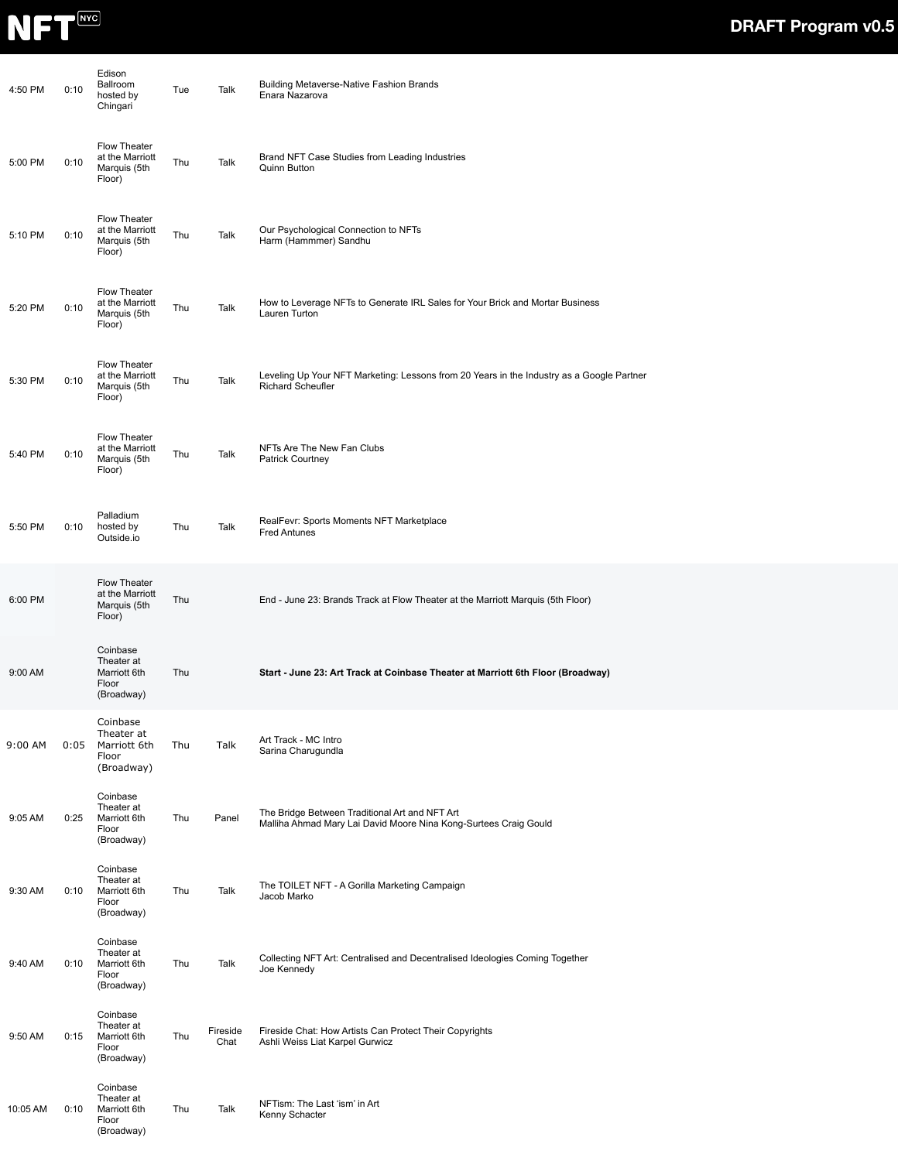

| 4:50 PM  | 0:10 | Edison<br>Ballroom<br>hosted by<br>Chingari                      | Tue | Talk             | <b>Building Metaverse-Native Fashion Brands</b><br>Enara Nazarova                                                     |
|----------|------|------------------------------------------------------------------|-----|------------------|-----------------------------------------------------------------------------------------------------------------------|
| 5:00 PM  | 0:10 | <b>Flow Theater</b><br>at the Marriott<br>Marquis (5th<br>Floor) | Thu | Talk             | Brand NFT Case Studies from Leading Industries<br>Quinn Button                                                        |
| 5:10 PM  | 0:10 | Flow Theater<br>at the Marriott<br>Marquis (5th<br>Floor)        | Thu | Talk             | Our Psychological Connection to NFTs<br>Harm (Hammmer) Sandhu                                                         |
| 5:20 PM  | 0:10 | Flow Theater<br>at the Marriott<br>Marquis (5th<br>Floor)        | Thu | Talk             | How to Leverage NFTs to Generate IRL Sales for Your Brick and Mortar Business<br>Lauren Turton                        |
| 5:30 PM  | 0:10 | Flow Theater<br>at the Marriott<br>Marquis (5th<br>Floor)        | Thu | Talk             | Leveling Up Your NFT Marketing: Lessons from 20 Years in the Industry as a Google Partner<br><b>Richard Scheufler</b> |
| 5:40 PM  | 0:10 | Flow Theater<br>at the Marriott<br>Marquis (5th<br>Floor)        | Thu | Talk             | NFTs Are The New Fan Clubs<br><b>Patrick Courtney</b>                                                                 |
| 5:50 PM  | 0:10 | Palladium<br>hosted by<br>Outside.io                             | Thu | Talk             | RealFevr: Sports Moments NFT Marketplace<br><b>Fred Antunes</b>                                                       |
| 6:00 PM  |      | <b>Flow Theater</b><br>at the Marriott<br>Marquis (5th<br>Floor) | Thu |                  | End - June 23: Brands Track at Flow Theater at the Marriott Marquis (5th Floor)                                       |
| 9:00 AM  |      | Coinbase<br>Theater at<br>Marriott 6th<br>Floor<br>(Broadway)    | Thu |                  | Start - June 23: Art Track at Coinbase Theater at Marriott 6th Floor (Broadway)                                       |
| 9:00 AM  | 0:05 | Coinbase<br>Theater at<br>Marriott 6th<br>Floor<br>(Broadway)    | Thu | Talk             | Art Track - MC Intro<br>Sarina Charugundla                                                                            |
| 9:05 AM  | 0:25 | Coinbase<br>Theater at<br>Marriott 6th<br>Floor<br>(Broadway)    | Thu | Panel            | The Bridge Between Traditional Art and NFT Art<br>Malliha Ahmad Mary Lai David Moore Nina Kong-Surtees Craig Gould    |
| 9:30 AM  | 0:10 | Coinbase<br>Theater at<br>Marriott 6th<br>Floor<br>(Broadway)    | Thu | Talk             | The TOILET NFT - A Gorilla Marketing Campaign<br>Jacob Marko                                                          |
| 9:40 AM  | 0:10 | Coinbase<br>Theater at<br>Marriott 6th<br>Floor<br>(Broadway)    | Thu | Talk             | Collecting NFT Art: Centralised and Decentralised Ideologies Coming Together<br>Joe Kennedy                           |
| 9:50 AM  | 0:15 | Coinbase<br>Theater at<br>Marriott 6th<br>Floor<br>(Broadway)    | Thu | Fireside<br>Chat | Fireside Chat: How Artists Can Protect Their Copyrights<br>Ashli Weiss Liat Karpel Gurwicz                            |
| 10:05 AM | 0:10 | Coinbase<br>Theater at<br>Marriott 6th<br>Floor<br>(Broadway)    | Thu | Talk             | NFTism: The Last 'ism' in Art<br>Kenny Schacter                                                                       |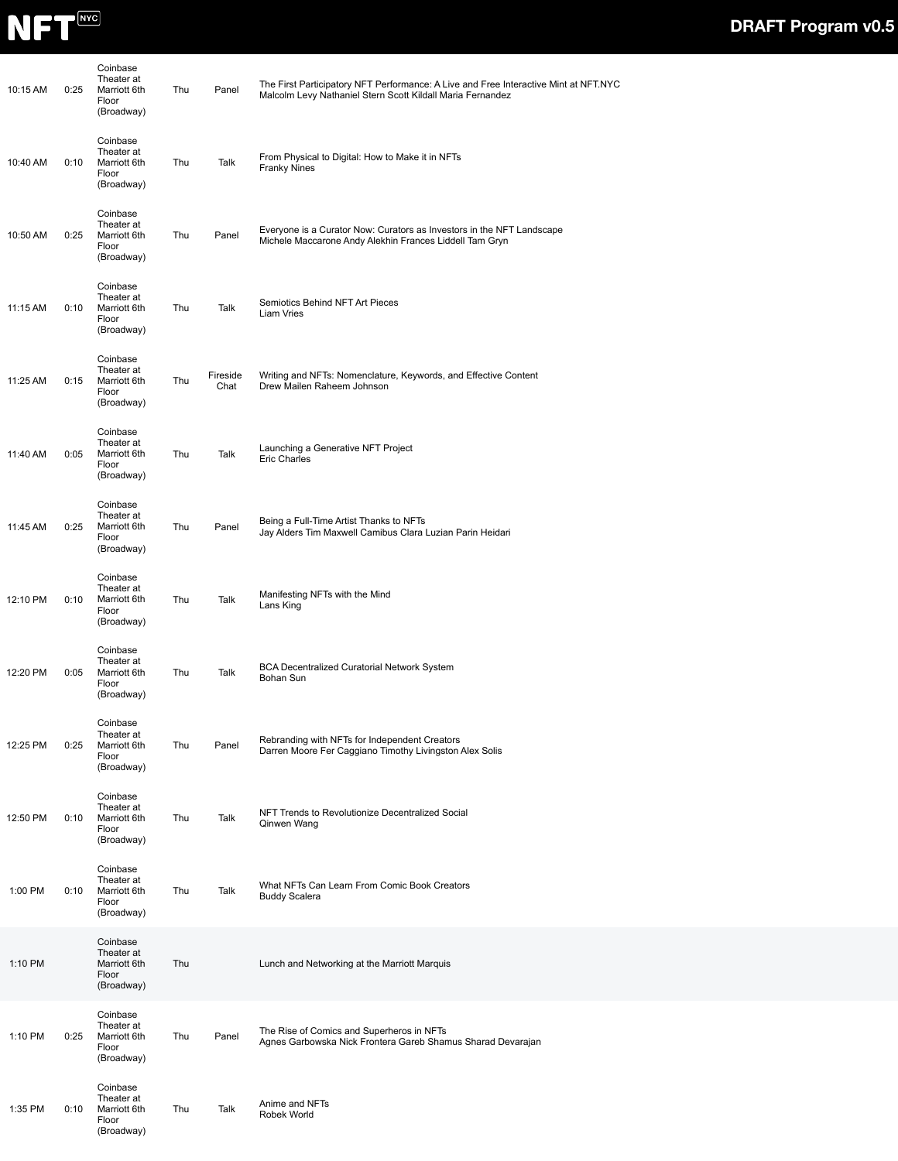

| 10:15 AM | 0:25 | Coinbase<br>Theater at<br>Marriott 6th<br>Floor<br>(Broadway) | Thu | Panel            | The First Participatory NFT Performance: A Live and Free Interactive Mint at NFT.NYC<br>Malcolm Levy Nathaniel Stern Scott Kildall Maria Fernandez |
|----------|------|---------------------------------------------------------------|-----|------------------|----------------------------------------------------------------------------------------------------------------------------------------------------|
| 10:40 AM | 0:10 | Coinbase<br>Theater at<br>Marriott 6th<br>Floor<br>(Broadway) | Thu | Talk             | From Physical to Digital: How to Make it in NFTs<br><b>Franky Nines</b>                                                                            |
| 10:50 AM | 0:25 | Coinbase<br>Theater at<br>Marriott 6th<br>Floor<br>(Broadway) | Thu | Panel            | Everyone is a Curator Now: Curators as Investors in the NFT Landscape<br>Michele Maccarone Andy Alekhin Frances Liddell Tam Gryn                   |
| 11:15 AM | 0:10 | Coinbase<br>Theater at<br>Marriott 6th<br>Floor<br>(Broadway) | Thu | Talk             | Semiotics Behind NFT Art Pieces<br>Liam Vries                                                                                                      |
| 11:25 AM | 0:15 | Coinbase<br>Theater at<br>Marriott 6th<br>Floor<br>(Broadway) | Thu | Fireside<br>Chat | Writing and NFTs: Nomenclature, Keywords, and Effective Content<br>Drew Mailen Raheem Johnson                                                      |
| 11:40 AM | 0:05 | Coinbase<br>Theater at<br>Marriott 6th<br>Floor<br>(Broadway) | Thu | Talk             | Launching a Generative NFT Project<br><b>Eric Charles</b>                                                                                          |
| 11:45 AM | 0:25 | Coinbase<br>Theater at<br>Marriott 6th<br>Floor<br>(Broadway) | Thu | Panel            | Being a Full-Time Artist Thanks to NFTs<br>Jay Alders Tim Maxwell Camibus Clara Luzian Parin Heidari                                               |
| 12:10 PM | 0:10 | Coinbase<br>Theater at<br>Marriott 6th<br>Floor<br>(Broadway) | Thu | Talk             | Manifesting NFTs with the Mind<br>Lans King                                                                                                        |
| 12:20 PM | 0:05 | Coinbase<br>Theater at<br>Marriott 6th<br>Floor<br>(Broadway) | Thu | Talk             | <b>BCA Decentralized Curatorial Network System</b><br>Bohan Sun                                                                                    |
| 12:25 PM | 0:25 | Coinbase<br>Theater at<br>Marriott 6th<br>Floor<br>(Broadway) | Thu | Panel            | Rebranding with NFTs for Independent Creators<br>Darren Moore Fer Caggiano Timothy Livingston Alex Solis                                           |
| 12:50 PM | 0:10 | Coinbase<br>Theater at<br>Marriott 6th<br>Floor<br>(Broadway) | Thu | Talk             | NFT Trends to Revolutionize Decentralized Social<br>Qinwen Wang                                                                                    |
| 1:00 PM  | 0:10 | Coinbase<br>Theater at<br>Marriott 6th<br>Floor<br>(Broadway) | Thu | Talk             | What NFTs Can Learn From Comic Book Creators<br><b>Buddy Scalera</b>                                                                               |
| 1:10 PM  |      | Coinbase<br>Theater at<br>Marriott 6th<br>Floor<br>(Broadway) | Thu |                  | Lunch and Networking at the Marriott Marquis                                                                                                       |
| 1:10 PM  | 0:25 | Coinbase<br>Theater at<br>Marriott 6th<br>Floor<br>(Broadway) | Thu | Panel            | The Rise of Comics and Superheros in NFTs<br>Agnes Garbowska Nick Frontera Gareb Shamus Sharad Devarajan                                           |
| 1:35 PM  | 0:10 | Coinbase<br>Theater at<br>Marriott 6th<br>Floor<br>(Broadway) | Thu | Talk             | Anime and NFTs<br>Robek World                                                                                                                      |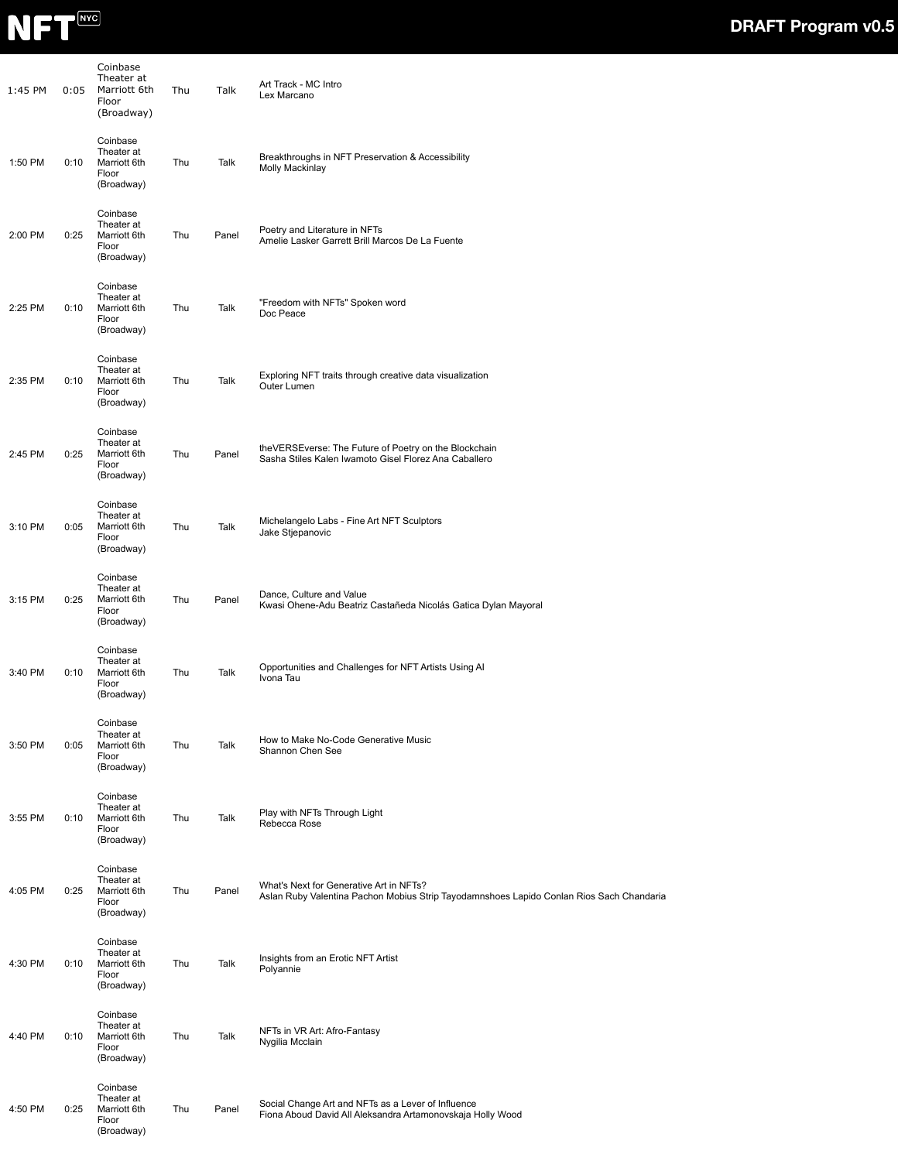

| 1:45 PM | 0:05 | Coinbase<br>Theater at<br>Marriott 6th<br>Floor<br>(Broadway) | Thu | Talk  | Art Track - MC Intro<br>Lex Marcano                                                                                                 |
|---------|------|---------------------------------------------------------------|-----|-------|-------------------------------------------------------------------------------------------------------------------------------------|
| 1:50 PM | 0:10 | Coinbase<br>Theater at<br>Marriott 6th<br>Floor<br>(Broadway) | Thu | Talk  | Breakthroughs in NFT Preservation & Accessibility<br>Molly Mackinlay                                                                |
| 2:00 PM | 0:25 | Coinbase<br>Theater at<br>Marriott 6th<br>Floor<br>(Broadway) | Thu | Panel | Poetry and Literature in NFTs<br>Amelie Lasker Garrett Brill Marcos De La Fuente                                                    |
| 2:25 PM | 0:10 | Coinbase<br>Theater at<br>Marriott 6th<br>Floor<br>(Broadway) | Thu | Talk  | "Freedom with NFTs" Spoken word<br>Doc Peace                                                                                        |
| 2:35 PM | 0:10 | Coinbase<br>Theater at<br>Marriott 6th<br>Floor<br>(Broadway) | Thu | Talk  | Exploring NFT traits through creative data visualization<br>Outer Lumen                                                             |
| 2:45 PM | 0:25 | Coinbase<br>Theater at<br>Marriott 6th<br>Floor<br>(Broadway) | Thu | Panel | theVERSEverse: The Future of Poetry on the Blockchain<br>Sasha Stiles Kalen Iwamoto Gisel Florez Ana Caballero                      |
| 3:10 PM | 0:05 | Coinbase<br>Theater at<br>Marriott 6th<br>Floor<br>(Broadway) | Thu | Talk  | Michelangelo Labs - Fine Art NFT Sculptors<br>Jake Stjepanovic                                                                      |
| 3:15 PM | 0:25 | Coinbase<br>Theater at<br>Marriott 6th<br>Floor<br>(Broadway) | Thu | Panel | Dance, Culture and Value<br>Kwasi Ohene-Adu Beatriz Castañeda Nicolás Gatica Dylan Mayoral                                          |
| 3:40 PM | 0:10 | Coinbase<br>Theater at<br>Marriott 6th<br>Floor<br>(Broadway) | Thu | Talk  | Opportunities and Challenges for NFT Artists Using AI<br>Ivona Tau                                                                  |
| 3:50 PM | 0:05 | Coinbase<br>Theater at<br>Marriott 6th<br>Floor<br>(Broadway) | Thu | Talk  | How to Make No-Code Generative Music<br>Shannon Chen See                                                                            |
| 3:55 PM | 0:10 | Coinbase<br>Theater at<br>Marriott 6th<br>Floor<br>(Broadway) | Thu | Talk  | Play with NFTs Through Light<br>Rebecca Rose                                                                                        |
| 4:05 PM | 0:25 | Coinbase<br>Theater at<br>Marriott 6th<br>Floor<br>(Broadway) | Thu | Panel | What's Next for Generative Art in NFTs?<br>Aslan Ruby Valentina Pachon Mobius Strip Tayodamnshoes Lapido Conlan Rios Sach Chandaria |
| 4:30 PM | 0:10 | Coinbase<br>Theater at<br>Marriott 6th<br>Floor<br>(Broadway) | Thu | Talk  | Insights from an Erotic NFT Artist<br>Polyannie                                                                                     |
| 4:40 PM | 0:10 | Coinbase<br>Theater at<br>Marriott 6th<br>Floor<br>(Broadway) | Thu | Talk  | NFTs in VR Art: Afro-Fantasy<br>Nygilia Mcclain                                                                                     |
| 4:50 PM | 0:25 | Coinbase<br>Theater at<br>Marriott 6th<br>Floor<br>(Broadway) | Thu | Panel | Social Change Art and NFTs as a Lever of Influence<br>Fiona Aboud David All Aleksandra Artamonovskaja Holly Wood                    |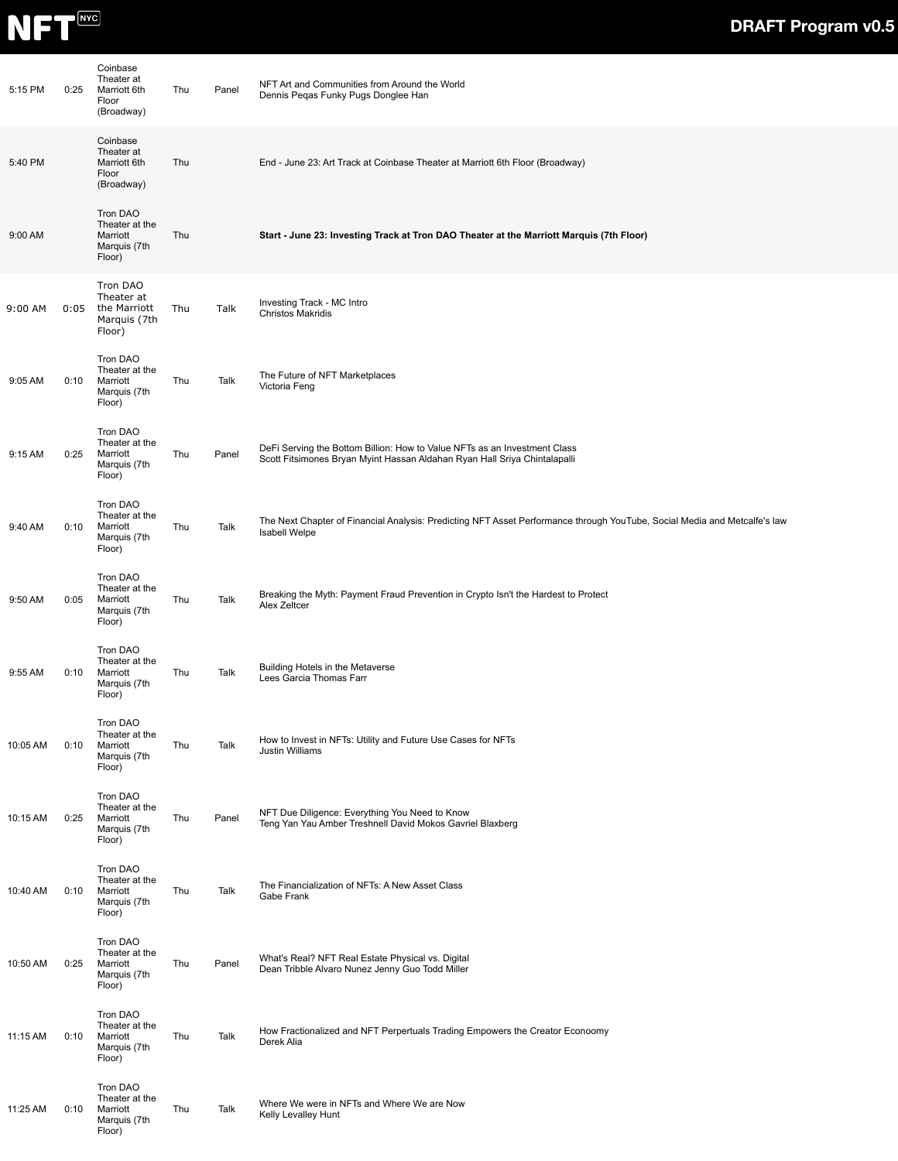

| 5:15 PM  | 0:25 | Coinbase<br>Theater at<br>Marriott 6th<br>Floor<br>(Broadway)    | Thu | Panel | NFT Art and Communities from Around the World<br>Dennis Peqas Funky Pugs Donglee Han                                                                   |
|----------|------|------------------------------------------------------------------|-----|-------|--------------------------------------------------------------------------------------------------------------------------------------------------------|
| 5:40 PM  |      | Coinbase<br>Theater at<br>Marriott 6th<br>Floor<br>(Broadway)    | Thu |       | End - June 23: Art Track at Coinbase Theater at Marriott 6th Floor (Broadway)                                                                          |
| 9:00 AM  |      | Tron DAO<br>Theater at the<br>Marriott<br>Marquis (7th<br>Floor) | Thu |       | Start - June 23: Investing Track at Tron DAO Theater at the Marriott Marquis (7th Floor)                                                               |
| 9:00 AM  | 0:05 | Tron DAO<br>Theater at<br>the Marriott<br>Marquis (7th<br>Floor) | Thu | Talk  | Investing Track - MC Intro<br><b>Christos Makridis</b>                                                                                                 |
| 9:05 AM  | 0:10 | Tron DAO<br>Theater at the<br>Marriott<br>Marquis (7th<br>Floor) | Thu | Talk  | The Future of NFT Marketplaces<br>Victoria Feng                                                                                                        |
| 9:15 AM  | 0:25 | Tron DAO<br>Theater at the<br>Marriott<br>Marquis (7th<br>Floor) | Thu | Panel | DeFi Serving the Bottom Billion: How to Value NFTs as an Investment Class<br>Scott Fitsimones Bryan Myint Hassan Aldahan Ryan Hall Sriya Chintalapalli |
| 9:40 AM  | 0:10 | Tron DAO<br>Theater at the<br>Marriott<br>Marquis (7th<br>Floor) | Thu | Talk  | The Next Chapter of Financial Analysis: Predicting NFT Asset Performance through YouTube, Social Media and Metcalfe's law<br>Isabell Welpe             |
| 9:50 AM  | 0:05 | Tron DAO<br>Theater at the<br>Marriott<br>Marquis (7th<br>Floor) | Thu | Talk  | Breaking the Myth: Payment Fraud Prevention in Crypto Isn't the Hardest to Protect<br>Alex Zeltcer                                                     |
| 9:55 AM  | 0:10 | Tron DAO<br>Theater at the<br>Marriott<br>Marquis (7th<br>Floor) | Thu | Talk  | Building Hotels in the Metaverse<br>Lees Garcia Thomas Farr                                                                                            |
| 10:05 AM | 0:10 | Tron DAO<br>Theater at the<br>Marriott<br>Marquis (7th<br>Floor) | Thu | Talk  | How to Invest in NFTs: Utility and Future Use Cases for NFTs<br>Justin Williams                                                                        |
| 10:15 AM | 0:25 | Tron DAO<br>Theater at the<br>Marriott<br>Marquis (7th<br>Floor) | Thu | Panel | NFT Due Diligence: Everything You Need to Know<br>Teng Yan Yau Amber Treshnell David Mokos Gavriel Blaxberg                                            |
| 10:40 AM | 0:10 | Tron DAO<br>Theater at the<br>Marriott<br>Marquis (7th<br>Floor) | Thu | Talk  | The Financialization of NFTs: A New Asset Class<br>Gabe Frank                                                                                          |
| 10:50 AM | 0:25 | Tron DAO<br>Theater at the<br>Marriott<br>Marquis (7th<br>Floor) | Thu | Panel | What's Real? NFT Real Estate Physical vs. Digital<br>Dean Tribble Alvaro Nunez Jenny Guo Todd Miller                                                   |
| 11:15 AM | 0:10 | Tron DAO<br>Theater at the<br>Marriott<br>Marquis (7th<br>Floor) | Thu | Talk  | How Fractionalized and NFT Perpertuals Trading Empowers the Creator Econoomy<br>Derek Alia                                                             |
| 11:25 AM | 0:10 | Tron DAO<br>Theater at the<br>Marriott<br>Marquis (7th<br>Floor) | Thu | Talk  | Where We were in NFTs and Where We are Now<br>Kelly Levalley Hunt                                                                                      |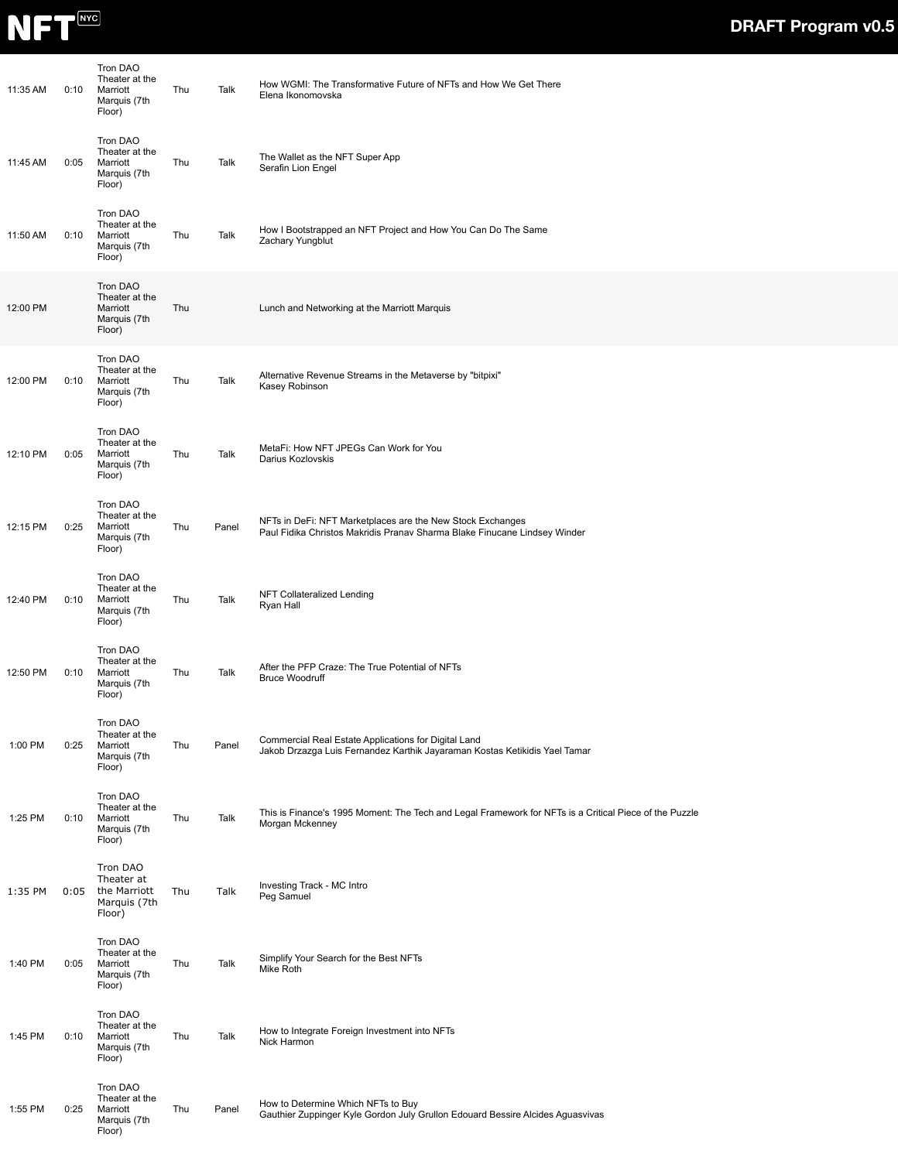

| 11:35 AM | 0:10 | Tron DAO<br>Theater at the<br>Marriott<br>Marquis (7th<br>Floor) | Thu | Talk  | How WGMI: The Transformative Future of NFTs and How We Get There<br>Elena Ikonomovska                                                   |
|----------|------|------------------------------------------------------------------|-----|-------|-----------------------------------------------------------------------------------------------------------------------------------------|
| 11:45 AM | 0:05 | Tron DAO<br>Theater at the<br>Marriott<br>Marquis (7th<br>Floor) | Thu | Talk  | The Wallet as the NFT Super App<br>Serafin Lion Engel                                                                                   |
| 11:50 AM | 0:10 | Tron DAO<br>Theater at the<br>Marriott<br>Marquis (7th<br>Floor) | Thu | Talk  | How I Bootstrapped an NFT Project and How You Can Do The Same<br>Zachary Yungblut                                                       |
| 12:00 PM |      | Tron DAO<br>Theater at the<br>Marriott<br>Marquis (7th<br>Floor) | Thu |       | Lunch and Networking at the Marriott Marquis                                                                                            |
| 12:00 PM | 0:10 | Tron DAO<br>Theater at the<br>Marriott<br>Marquis (7th<br>Floor) | Thu | Talk  | Alternative Revenue Streams in the Metaverse by "bitpixi"<br>Kasey Robinson                                                             |
| 12:10 PM | 0:05 | Tron DAO<br>Theater at the<br>Marriott<br>Marquis (7th<br>Floor) | Thu | Talk  | MetaFi: How NFT JPEGs Can Work for You<br>Darius Kozlovskis                                                                             |
| 12:15 PM | 0:25 | Tron DAO<br>Theater at the<br>Marriott<br>Marquis (7th<br>Floor) | Thu | Panel | NFTs in DeFi: NFT Marketplaces are the New Stock Exchanges<br>Paul Fidika Christos Makridis Pranav Sharma Blake Finucane Lindsey Winder |
| 12:40 PM | 0:10 | Tron DAO<br>Theater at the<br>Marriott<br>Marquis (7th<br>Floor) | Thu | Talk  | NFT Collateralized Lending<br>Ryan Hall                                                                                                 |
| 12:50 PM | 0:10 | Tron DAO<br>Theater at the<br>Marriott<br>Marquis (7th<br>Floor) | Thu | Talk  | After the PFP Craze: The True Potential of NFTs<br><b>Bruce Woodruff</b>                                                                |
| 1:00 PM  | 0:25 | Tron DAO<br>Theater at the<br>Marriott<br>Marquis (7th<br>Floor) | Thu | Panel | Commercial Real Estate Applications for Digital Land<br>Jakob Drzazga Luis Fernandez Karthik Jayaraman Kostas Ketikidis Yael Tamar      |
| 1:25 PM  | 0:10 | Tron DAO<br>Theater at the<br>Marriott<br>Marquis (7th<br>Floor) | Thu | Talk  | This is Finance's 1995 Moment: The Tech and Legal Framework for NFTs is a Critical Piece of the Puzzle<br>Morgan Mckenney               |
| 1:35 PM  | 0:05 | Tron DAO<br>Theater at<br>the Marriott<br>Marquis (7th<br>Floor) | Thu | Talk  | Investing Track - MC Intro<br>Peg Samuel                                                                                                |
| 1:40 PM  | 0:05 | Tron DAO<br>Theater at the<br>Marriott<br>Marquis (7th<br>Floor) | Thu | Talk  | Simplify Your Search for the Best NFTs<br>Mike Roth                                                                                     |
| 1:45 PM  | 0:10 | Tron DAO<br>Theater at the<br>Marriott<br>Marquis (7th<br>Floor) | Thu | Talk  | How to Integrate Foreign Investment into NFTs<br>Nick Harmon                                                                            |
| 1:55 PM  | 0:25 | Tron DAO<br>Theater at the<br>Marriott<br>Marquis (7th<br>Floor) | Thu | Panel | How to Determine Which NFTs to Buy<br>Gauthier Zuppinger Kyle Gordon July Grullon Edouard Bessire Alcides Aguasvivas                    |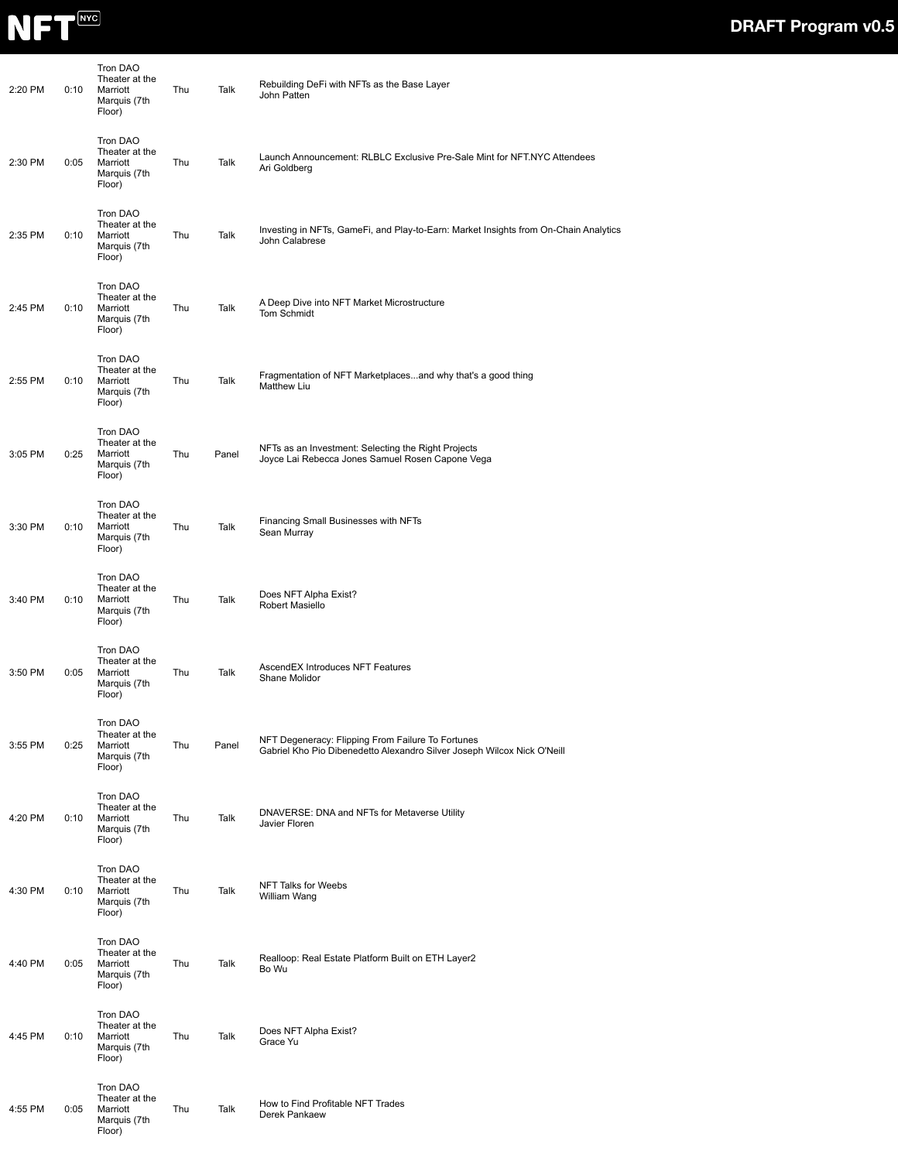

| 2:20 PM | 0:10 | Tron DAO<br>Theater at the<br>Marriott<br>Marquis (7th<br>Floor) | Thu | Talk  | Rebuilding DeFi with NFTs as the Base Layer<br>John Patten                                                                   |
|---------|------|------------------------------------------------------------------|-----|-------|------------------------------------------------------------------------------------------------------------------------------|
| 2:30 PM | 0:05 | Tron DAO<br>Theater at the<br>Marriott<br>Marquis (7th<br>Floor) | Thu | Talk  | Launch Announcement: RLBLC Exclusive Pre-Sale Mint for NFT.NYC Attendees<br>Ari Goldberg                                     |
| 2:35 PM | 0:10 | Tron DAO<br>Theater at the<br>Marriott<br>Marquis (7th<br>Floor) | Thu | Talk  | Investing in NFTs, GameFi, and Play-to-Earn: Market Insights from On-Chain Analytics<br>John Calabrese                       |
| 2:45 PM | 0:10 | Tron DAO<br>Theater at the<br>Marriott<br>Marquis (7th<br>Floor) | Thu | Talk  | A Deep Dive into NFT Market Microstructure<br>Tom Schmidt                                                                    |
| 2:55 PM | 0:10 | Tron DAO<br>Theater at the<br>Marriott<br>Marquis (7th<br>Floor) | Thu | Talk  | Fragmentation of NFT Marketplacesand why that's a good thing<br><b>Matthew Liu</b>                                           |
| 3:05 PM | 0:25 | Tron DAO<br>Theater at the<br>Marriott<br>Marquis (7th<br>Floor) | Thu | Panel | NFTs as an Investment: Selecting the Right Projects<br>Joyce Lai Rebecca Jones Samuel Rosen Capone Vega                      |
| 3:30 PM | 0:10 | Tron DAO<br>Theater at the<br>Marriott<br>Marquis (7th<br>Floor) | Thu | Talk  | Financing Small Businesses with NFTs<br>Sean Murray                                                                          |
| 3:40 PM | 0:10 | Tron DAO<br>Theater at the<br>Marriott<br>Marquis (7th<br>Floor) | Thu | Talk  | Does NFT Alpha Exist?<br>Robert Masiello                                                                                     |
| 3:50 PM | 0:05 | Tron DAO<br>Theater at the<br>Marriott<br>Marquis (7th<br>Floor) | Thu | Talk  | AscendEX Introduces NFT Features<br>Shane Molidor                                                                            |
| 3:55 PM | 0:25 | Tron DAO<br>Theater at the<br>Marriott<br>Marquis (7th<br>Floor) | Thu | Panel | NFT Degeneracy: Flipping From Failure To Fortunes<br>Gabriel Kho Pio Dibenedetto Alexandro Silver Joseph Wilcox Nick O'Neill |
| 4:20 PM | 0:10 | Tron DAO<br>Theater at the<br>Marriott<br>Marquis (7th<br>Floor) | Thu | Talk  | DNAVERSE: DNA and NFTs for Metaverse Utility<br>Javier Floren                                                                |
| 4:30 PM | 0:10 | Tron DAO<br>Theater at the<br>Marriott<br>Marquis (7th<br>Floor) | Thu | Talk  | NFT Talks for Weebs<br>William Wang                                                                                          |
| 4:40 PM | 0:05 | Tron DAO<br>Theater at the<br>Marriott<br>Marquis (7th<br>Floor) | Thu | Talk  | Realloop: Real Estate Platform Built on ETH Layer2<br>Bo Wu                                                                  |
| 4:45 PM | 0:10 | Tron DAO<br>Theater at the<br>Marriott<br>Marquis (7th<br>Floor) | Thu | Talk  | Does NFT Alpha Exist?<br>Grace Yu                                                                                            |
| 4:55 PM | 0:05 | Tron DAO<br>Theater at the<br>Marriott<br>Marquis (7th<br>Floor) | Thu | Talk  | How to Find Profitable NFT Trades<br>Derek Pankaew                                                                           |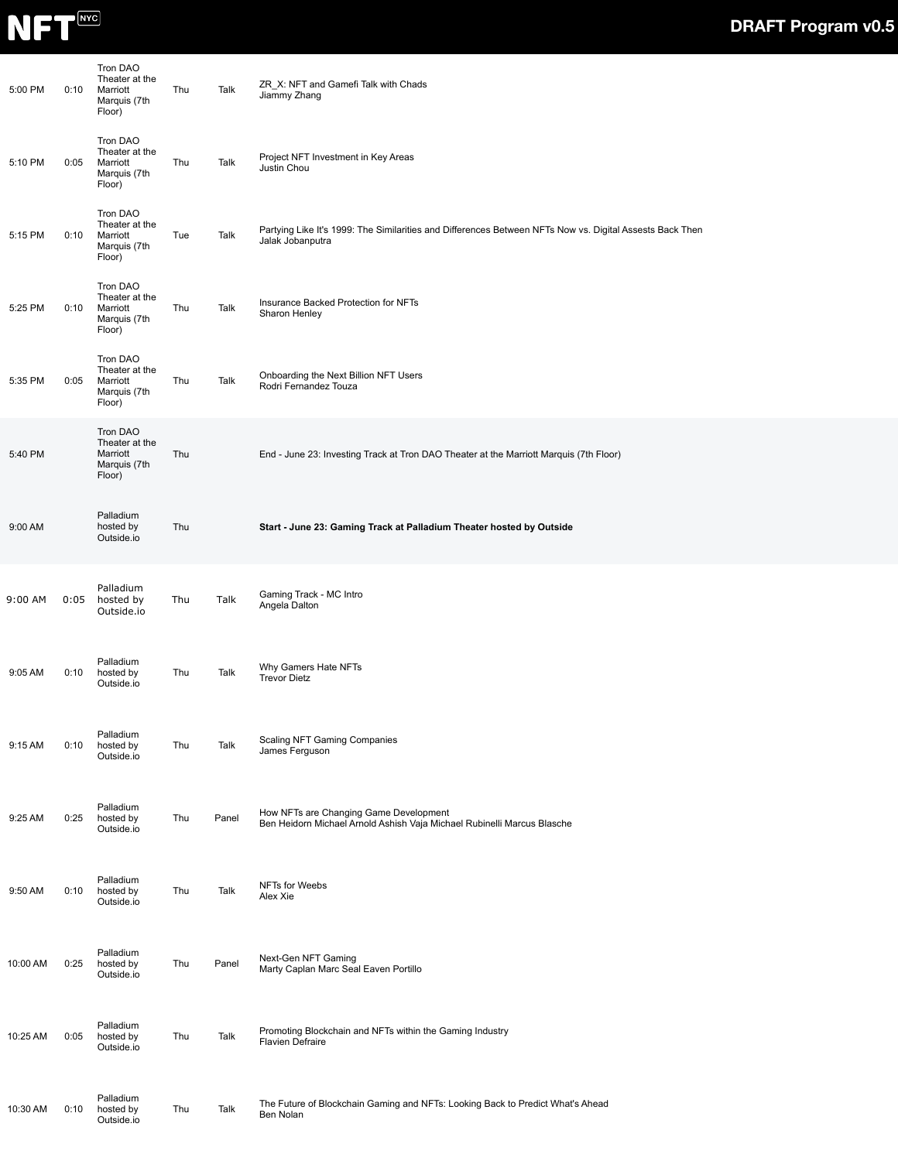

| 5:00 PM  | 0:10 | Tron DAO<br>Theater at the<br>Marriott<br>Marquis (7th<br>Floor) | Thu | Talk  | ZR_X: NFT and Gamefi Talk with Chads<br>Jiammy Zhang                                                                         |
|----------|------|------------------------------------------------------------------|-----|-------|------------------------------------------------------------------------------------------------------------------------------|
| 5:10 PM  | 0:05 | Tron DAO<br>Theater at the<br>Marriott<br>Marquis (7th<br>Floor) | Thu | Talk  | Project NFT Investment in Key Areas<br>Justin Chou                                                                           |
| 5:15 PM  | 0:10 | Tron DAO<br>Theater at the<br>Marriott<br>Marquis (7th<br>Floor) | Tue | Talk  | Partying Like It's 1999: The Similarities and Differences Between NFTs Now vs. Digital Assests Back Then<br>Jalak Jobanputra |
| 5:25 PM  | 0:10 | Tron DAO<br>Theater at the<br>Marriott<br>Marquis (7th<br>Floor) | Thu | Talk  | Insurance Backed Protection for NFTs<br>Sharon Henley                                                                        |
| 5:35 PM  | 0:05 | Tron DAO<br>Theater at the<br>Marriott<br>Marquis (7th<br>Floor) | Thu | Talk  | Onboarding the Next Billion NFT Users<br>Rodri Fernandez Touza                                                               |
| 5:40 PM  |      | Tron DAO<br>Theater at the<br>Marriott<br>Marquis (7th<br>Floor) | Thu |       | End - June 23: Investing Track at Tron DAO Theater at the Marriott Marquis (7th Floor)                                       |
| 9:00 AM  |      | Palladium<br>hosted by<br>Outside.io                             | Thu |       | Start - June 23: Gaming Track at Palladium Theater hosted by Outside                                                         |
| 9:00 AM  | 0:05 | Palladium<br>hosted by<br>Outside.io                             | Thu | Talk  | Gaming Track - MC Intro<br>Angela Dalton                                                                                     |
| 9:05 AM  | 0:10 | Palladium<br>hosted by<br>Outside.io                             | Thu | Talk  | Why Gamers Hate NFTs<br><b>Trevor Dietz</b>                                                                                  |
| 9:15 AM  | 0:10 | Palladium<br>hosted by<br>Outside.io                             | Thu | Talk  | Scaling NFT Gaming Companies<br>James Ferguson                                                                               |
| 9:25 AM  | 0:25 | Palladium<br>hosted by<br>Outside.io                             | Thu | Panel | How NFTs are Changing Game Development<br>Ben Heidorn Michael Arnold Ashish Vaja Michael Rubinelli Marcus Blasche            |
| 9:50 AM  | 0:10 | Palladium<br>hosted by<br>Outside.io                             | Thu | Talk  | NFTs for Weebs<br>Alex Xie                                                                                                   |
| 10:00 AM | 0:25 | Palladium<br>hosted by<br>Outside.io                             | Thu | Panel | Next-Gen NFT Gaming<br>Marty Caplan Marc Seal Eaven Portillo                                                                 |
| 10:25 AM | 0:05 | Palladium<br>hosted by<br>Outside.io                             | Thu | Talk  | Promoting Blockchain and NFTs within the Gaming Industry<br>Flavien Defraire                                                 |
| 10:30 AM | 0:10 | Palladium<br>hosted by<br>Outside.io                             | Thu | Talk  | The Future of Blockchain Gaming and NFTs: Looking Back to Predict What's Ahead<br>Ben Nolan                                  |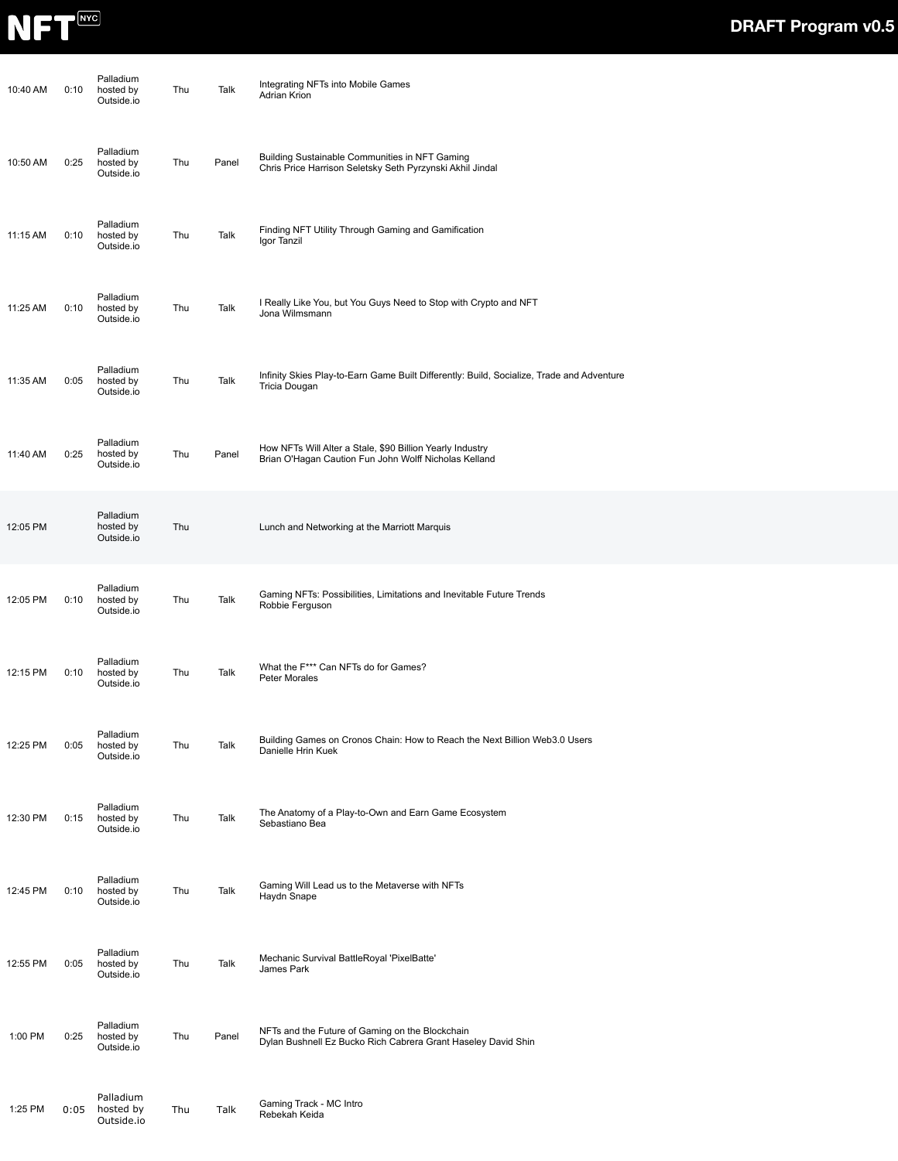

| 10:40 AM | 0:10 | Palladium<br>hosted by<br>Outside.io | Thu | Talk  | Integrating NFTs into Mobile Games<br>Adrian Krion                                                                 |
|----------|------|--------------------------------------|-----|-------|--------------------------------------------------------------------------------------------------------------------|
| 10:50 AM | 0:25 | Palladium<br>hosted by<br>Outside.io | Thu | Panel | Building Sustainable Communities in NFT Gaming<br>Chris Price Harrison Seletsky Seth Pyrzynski Akhil Jindal        |
| 11:15 AM | 0:10 | Palladium<br>hosted by<br>Outside.io | Thu | Talk  | Finding NFT Utility Through Gaming and Gamification<br>Igor Tanzil                                                 |
| 11:25 AM | 0:10 | Palladium<br>hosted by<br>Outside.io | Thu | Talk  | I Really Like You, but You Guys Need to Stop with Crypto and NFT<br>Jona Wilmsmann                                 |
| 11:35 AM | 0:05 | Palladium<br>hosted by<br>Outside.io | Thu | Talk  | Infinity Skies Play-to-Earn Game Built Differently: Build, Socialize, Trade and Adventure<br>Tricia Dougan         |
| 11:40 AM | 0:25 | Palladium<br>hosted by<br>Outside.io | Thu | Panel | How NFTs Will Alter a Stale, \$90 Billion Yearly Industry<br>Brian O'Hagan Caution Fun John Wolff Nicholas Kelland |
| 12:05 PM |      | Palladium<br>hosted by<br>Outside.io | Thu |       | Lunch and Networking at the Marriott Marquis                                                                       |
| 12:05 PM | 0:10 | Palladium<br>hosted by<br>Outside.io | Thu | Talk  | Gaming NFTs: Possibilities, Limitations and Inevitable Future Trends<br>Robbie Ferguson                            |
| 12:15 PM | 0:10 | Palladium<br>hosted by<br>Outside.io | Thu | Talk  | What the F*** Can NFTs do for Games?<br>Peter Morales                                                              |
| 12:25 PM | 0:05 | Palladium<br>hosted by<br>Outside.io | Thu | Talk  | Building Games on Cronos Chain: How to Reach the Next Billion Web3.0 Users<br>Danielle Hrin Kuek                   |
| 12:30 PM | 0:15 | Palladium<br>hosted by<br>Outside.io | Thu | Talk  | The Anatomy of a Play-to-Own and Earn Game Ecosystem<br>Sebastiano Bea                                             |
| 12:45 PM | 0:10 | Palladium<br>hosted by<br>Outside.io | Thu | Talk  | Gaming Will Lead us to the Metaverse with NFTs<br>Haydn Snape                                                      |
| 12:55 PM | 0:05 | Palladium<br>hosted by<br>Outside.io | Thu | Talk  | Mechanic Survival BattleRoyal 'PixelBatte'<br>James Park                                                           |
| 1:00 PM  | 0:25 | Palladium<br>hosted by<br>Outside.io | Thu | Panel | NFTs and the Future of Gaming on the Blockchain<br>Dylan Bushnell Ez Bucko Rich Cabrera Grant Haseley David Shin   |
| 1:25 PM  | 0:05 | Palladium<br>hosted by<br>Outside.io | Thu | Talk  | Gaming Track - MC Intro<br>Rebekah Keida                                                                           |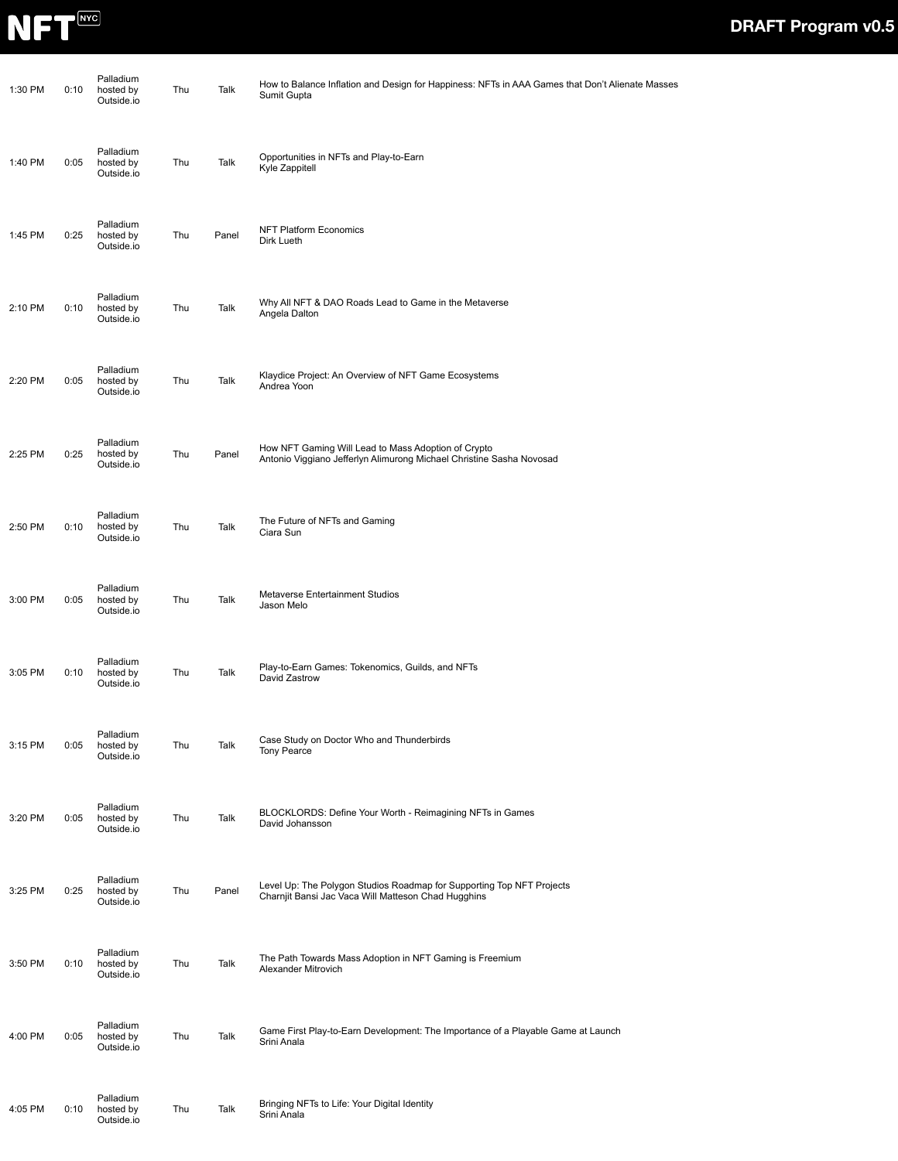

| 1:30 PM | 0:10 | Palladium<br>hosted by<br>Outside.io | Thu | Talk  | How to Balance Inflation and Design for Happiness: NFTs in AAA Games that Don't Alienate Masses<br>Sumit Gupta               |
|---------|------|--------------------------------------|-----|-------|------------------------------------------------------------------------------------------------------------------------------|
| 1:40 PM | 0:05 | Palladium<br>hosted by<br>Outside.io | Thu | Talk  | Opportunities in NFTs and Play-to-Earn<br>Kyle Zappitell                                                                     |
| 1:45 PM | 0:25 | Palladium<br>hosted by<br>Outside.io | Thu | Panel | <b>NFT Platform Economics</b><br>Dirk Lueth                                                                                  |
| 2:10 PM | 0:10 | Palladium<br>hosted by<br>Outside.io | Thu | Talk  | Why All NFT & DAO Roads Lead to Game in the Metaverse<br>Angela Dalton                                                       |
| 2:20 PM | 0:05 | Palladium<br>hosted by<br>Outside.io | Thu | Talk  | Klaydice Project: An Overview of NFT Game Ecosystems<br>Andrea Yoon                                                          |
| 2:25 PM | 0:25 | Palladium<br>hosted by<br>Outside.io | Thu | Panel | How NFT Gaming Will Lead to Mass Adoption of Crypto<br>Antonio Viggiano Jefferlyn Alimurong Michael Christine Sasha Novosad  |
| 2:50 PM | 0:10 | Palladium<br>hosted by<br>Outside.io | Thu | Talk  | The Future of NFTs and Gaming<br>Ciara Sun                                                                                   |
| 3:00 PM | 0:05 | Palladium<br>hosted by<br>Outside.io | Thu | Talk  | Metaverse Entertainment Studios<br>Jason Melo                                                                                |
| 3:05 PM | 0:10 | Palladium<br>hosted by<br>Outside.io | Thu | Talk  | Play-to-Earn Games: Tokenomics, Guilds, and NFTs<br>David Zastrow                                                            |
| 3:15 PM | 0:05 | Palladium<br>hosted by<br>Outside.io | Thu | Talk  | Case Study on Doctor Who and Thunderbirds<br><b>Tony Pearce</b>                                                              |
| 3:20 PM | 0:05 | Palladium<br>hosted by<br>Outside.io | Thu | Talk  | BLOCKLORDS: Define Your Worth - Reimagining NFTs in Games<br>David Johansson                                                 |
| 3:25 PM | 0:25 | Palladium<br>hosted by<br>Outside.io | Thu | Panel | Level Up: The Polygon Studios Roadmap for Supporting Top NFT Projects<br>Charnjit Bansi Jac Vaca Will Matteson Chad Hugghins |
| 3:50 PM | 0:10 | Palladium<br>hosted by<br>Outside.io | Thu | Talk  | The Path Towards Mass Adoption in NFT Gaming is Freemium<br>Alexander Mitrovich                                              |
| 4:00 PM | 0:05 | Palladium<br>hosted by<br>Outside.io | Thu | Talk  | Game First Play-to-Earn Development: The Importance of a Playable Game at Launch<br>Srini Anala                              |
| 4:05 PM | 0:10 | Palladium<br>hosted by<br>Outside.io | Thu | Talk  | Bringing NFTs to Life: Your Digital Identity<br>Srini Anala                                                                  |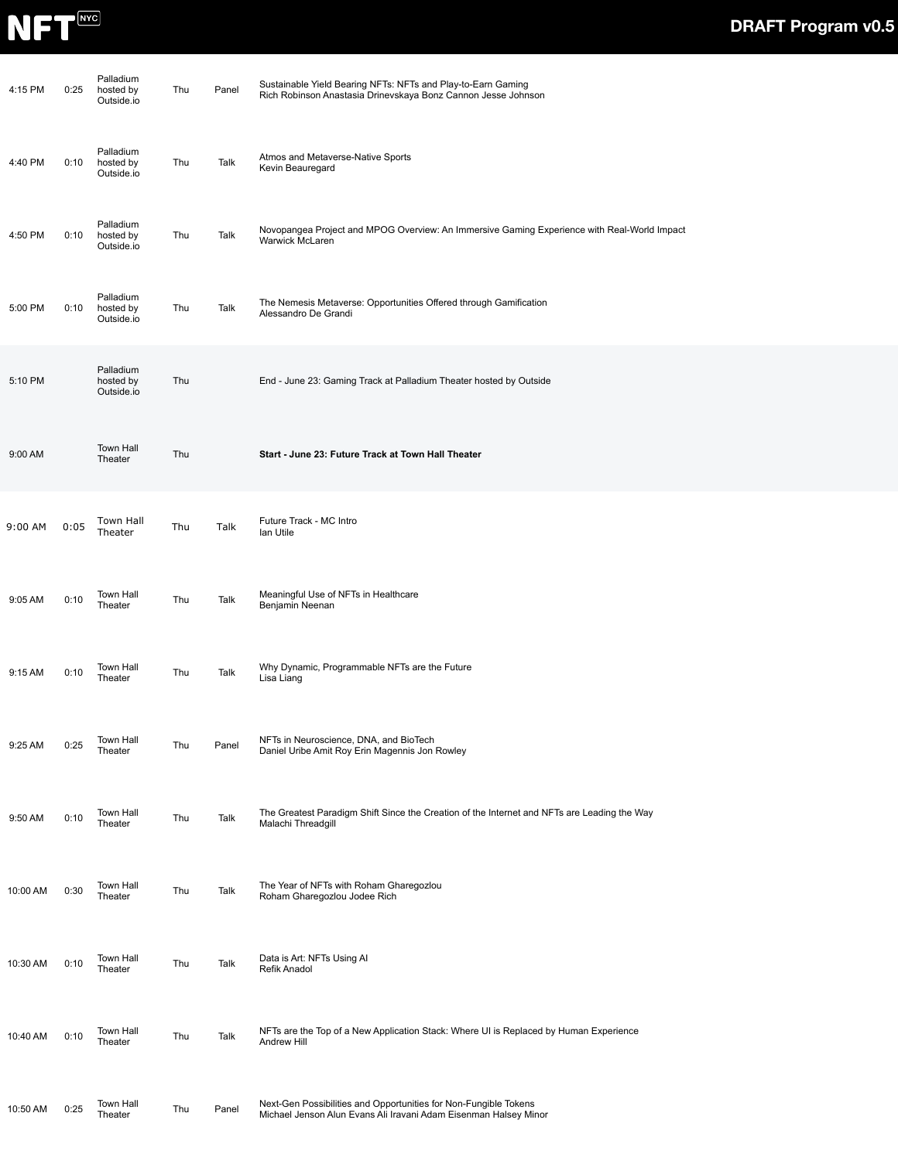

| 4:15 PM  | 0:25 | Palladium<br>hosted by<br>Outside.io | Thu | Panel | Sustainable Yield Bearing NFTs: NFTs and Play-to-Earn Gaming<br>Rich Robinson Anastasia Drinevskaya Bonz Cannon Jesse Johnson        |
|----------|------|--------------------------------------|-----|-------|--------------------------------------------------------------------------------------------------------------------------------------|
| 4:40 PM  | 0:10 | Palladium<br>hosted by<br>Outside.io | Thu | Talk  | Atmos and Metaverse-Native Sports<br>Kevin Beauregard                                                                                |
| 4:50 PM  | 0:10 | Palladium<br>hosted by<br>Outside.io | Thu | Talk  | Novopangea Project and MPOG Overview: An Immersive Gaming Experience with Real-World Impact<br>Warwick McLaren                       |
| 5:00 PM  | 0:10 | Palladium<br>hosted by<br>Outside.io | Thu | Talk  | The Nemesis Metaverse: Opportunities Offered through Gamification<br>Alessandro De Grandi                                            |
| 5:10 PM  |      | Palladium<br>hosted by<br>Outside.io | Thu |       | End - June 23: Gaming Track at Palladium Theater hosted by Outside                                                                   |
| 9:00 AM  |      | <b>Town Hall</b><br>Theater          | Thu |       | Start - June 23: Future Track at Town Hall Theater                                                                                   |
| 9:00 AM  | 0:05 | Town Hall<br>Theater                 | Thu | Talk  | Future Track - MC Intro<br>lan Utile                                                                                                 |
| 9:05 AM  | 0:10 | Town Hall<br>Theater                 | Thu | Talk  | Meaningful Use of NFTs in Healthcare<br>Benjamin Neenan                                                                              |
| 9:15 AM  | 0:10 | Town Hall<br>Theater                 | Thu | Talk  | Why Dynamic, Programmable NFTs are the Future<br>Lisa Liang                                                                          |
| 9:25 AM  | 0:25 | <b>Town Hall</b><br>Theater          | Thu | Panel | NFTs in Neuroscience, DNA, and BioTech<br>Daniel Uribe Amit Roy Erin Magennis Jon Rowley                                             |
| 9:50 AM  | 0:10 | <b>Town Hall</b><br>Theater          | Thu | Talk  | The Greatest Paradigm Shift Since the Creation of the Internet and NFTs are Leading the Way<br>Malachi Threadgill                    |
| 10:00 AM | 0:30 | <b>Town Hall</b><br>Theater          | Thu | Talk  | The Year of NFTs with Roham Gharegozlou<br>Roham Gharegoziou Jodee Rich                                                              |
| 10:30 AM | 0:10 | <b>Town Hall</b><br>Theater          | Thu | Talk  | Data is Art: NFTs Using Al<br>Refik Anadol                                                                                           |
| 10:40 AM | 0:10 | <b>Town Hall</b><br>Theater          | Thu | Talk  | NFTs are the Top of a New Application Stack: Where UI is Replaced by Human Experience<br>Andrew Hill                                 |
| 10:50 AM | 0:25 | <b>Town Hall</b><br>Theater          | Thu | Panel | Next-Gen Possibilities and Opportunities for Non-Fungible Tokens<br>Michael Jenson Alun Evans Ali Iravani Adam Eisenman Halsey Minor |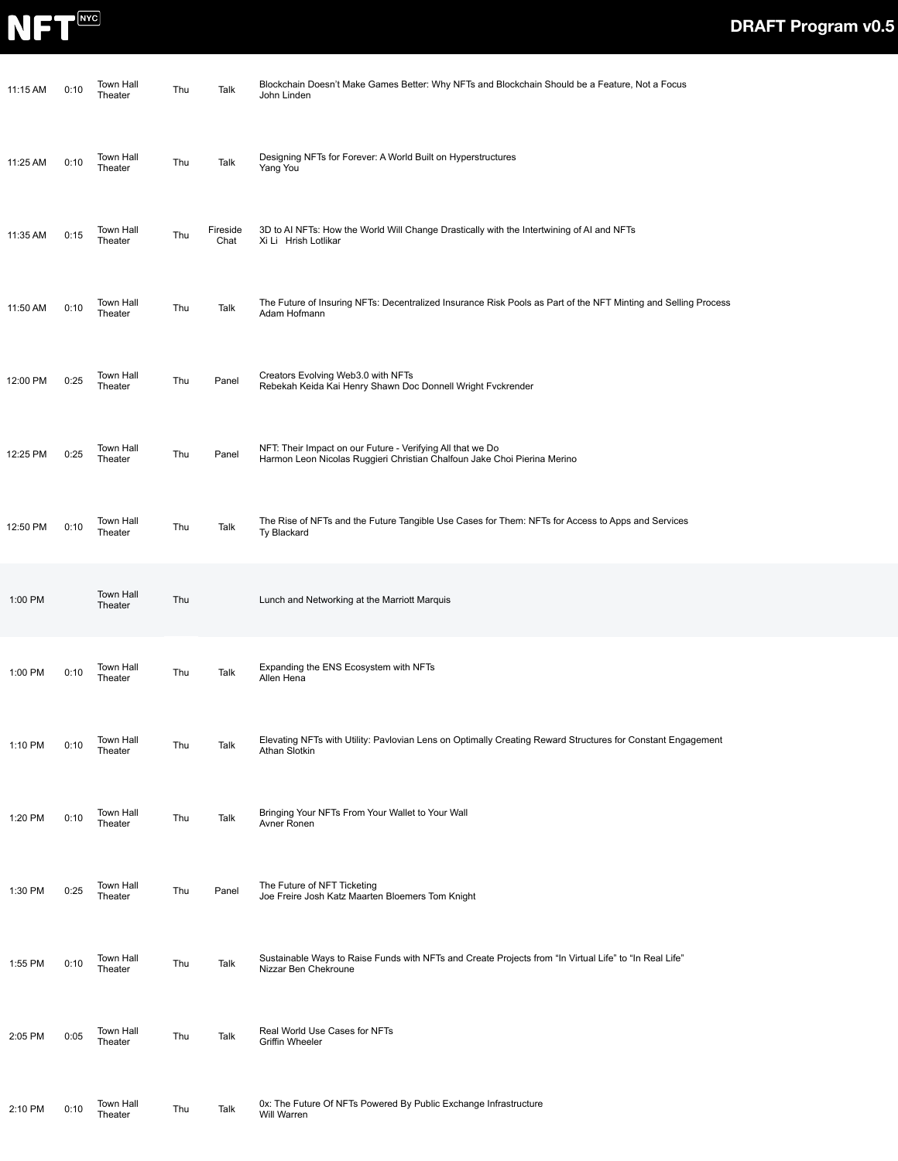

| 11:15 AM | 0:10 | Town Hall<br>Theater | Thu | Talk             | Blockchain Doesn't Make Games Better: Why NFTs and Blockchain Should be a Feature, Not a Focus<br>John Linden                          |
|----------|------|----------------------|-----|------------------|----------------------------------------------------------------------------------------------------------------------------------------|
| 11:25 AM | 0:10 | Town Hall<br>Theater | Thu | Talk             | Designing NFTs for Forever: A World Built on Hyperstructures<br>Yang You                                                               |
| 11:35 AM | 0:15 | Town Hall<br>Theater | Thu | Fireside<br>Chat | 3D to AI NFTs: How the World Will Change Drastically with the Intertwining of AI and NFTs<br>Xi Li Hrish Lotlikar                      |
| 11:50 AM | 0:10 | Town Hall<br>Theater | Thu | Talk             | The Future of Insuring NFTs: Decentralized Insurance Risk Pools as Part of the NFT Minting and Selling Process<br>Adam Hofmann         |
| 12:00 PM | 0:25 | Town Hall<br>Theater | Thu | Panel            | Creators Evolving Web3.0 with NFTs<br>Rebekah Keida Kai Henry Shawn Doc Donnell Wright Fvckrender                                      |
| 12:25 PM | 0:25 | Town Hall<br>Theater | Thu | Panel            | NFT: Their Impact on our Future - Verifying All that we Do<br>Harmon Leon Nicolas Ruggieri Christian Chalfoun Jake Choi Pierina Merino |
| 12:50 PM | 0:10 | Town Hall<br>Theater | Thu | Talk             | The Rise of NFTs and the Future Tangible Use Cases for Them: NFTs for Access to Apps and Services<br>Ty Blackard                       |
| 1:00 PM  |      | Town Hall<br>Theater | Thu |                  | Lunch and Networking at the Marriott Marquis                                                                                           |
| 1:00 PM  | 0:10 | Town Hall<br>Theater | Thu | Talk             | Expanding the ENS Ecosystem with NFTs<br>Allen Hena                                                                                    |
| 1:10 PM  | 0:10 | Town Hall<br>Theater | Thu | Talk             | Elevating NFTs with Utility: Pavlovian Lens on Optimally Creating Reward Structures for Constant Engagement<br>Athan Slotkin           |
| 1:20 PM  | 0:10 | Town Hall<br>Theater | Thu | Talk             | Bringing Your NFTs From Your Wallet to Your Wall<br>Avner Ronen                                                                        |
| 1:30 PM  | 0:25 | Town Hall<br>Theater | Thu | Panel            | The Future of NFT Ticketing<br>Joe Freire Josh Katz Maarten Bloemers Tom Knight                                                        |
| 1:55 PM  | 0:10 | Town Hall<br>Theater | Thu | Talk             | "Sustainable Ways to Raise Funds with NFTs and Create Projects from "In Virtual Life" to "In Real Life<br>Nizzar Ben Chekroune         |
| 2:05 PM  | 0:05 | Town Hall<br>Theater | Thu | Talk             | Real World Use Cases for NFTs<br><b>Griffin Wheeler</b>                                                                                |
| 2:10 PM  | 0:10 | Town Hall<br>Theater | Thu | Talk             | 0x: The Future Of NFTs Powered By Public Exchange Infrastructure<br>Will Warren                                                        |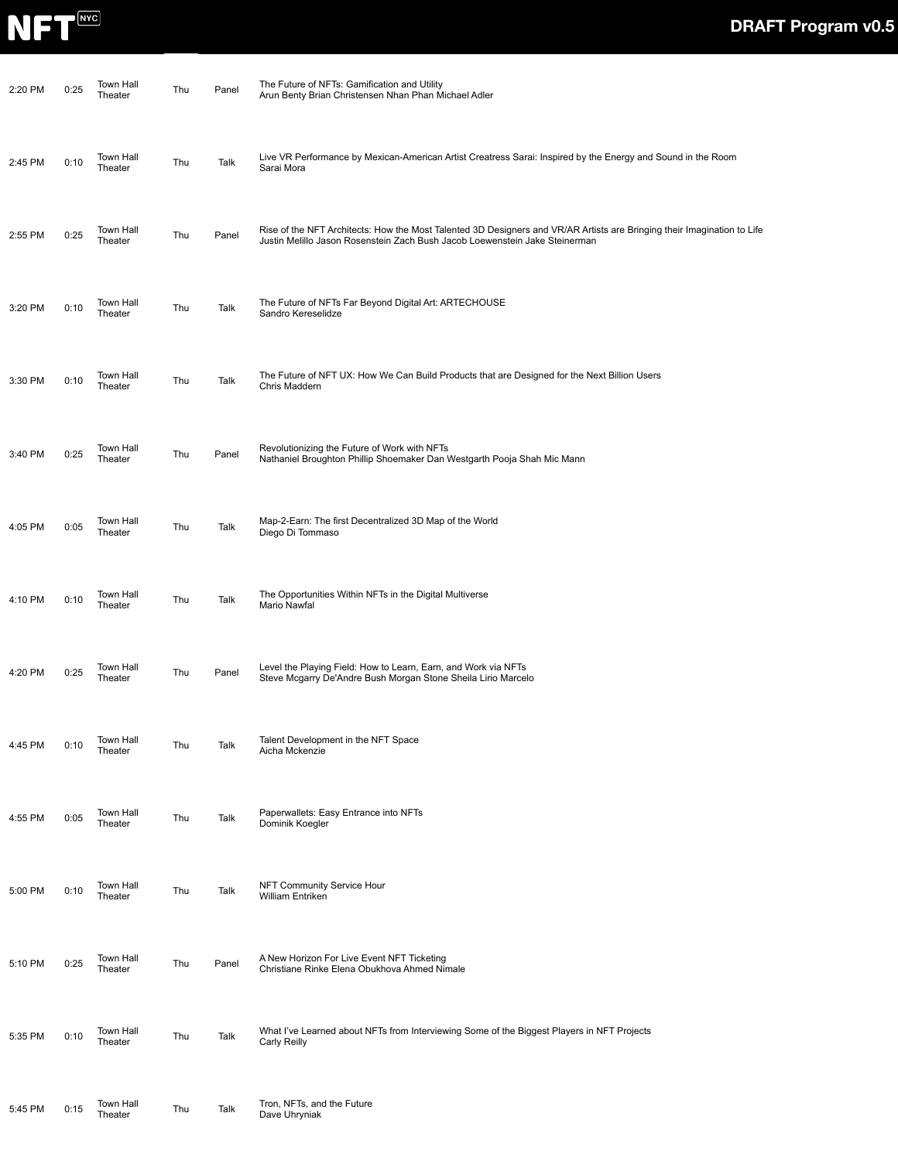

| 2:20 PM | 0:25 | Town Hall<br>Theater        | Thu | Panel | The Future of NFTs: Gamification and Utility<br>Arun Benty Brian Christensen Nhan Phan Michael Adler                                                                                                   |
|---------|------|-----------------------------|-----|-------|--------------------------------------------------------------------------------------------------------------------------------------------------------------------------------------------------------|
| 2:45 PM | 0:10 | Town Hall<br>Theater        | Thu | Talk  | Live VR Performance by Mexican-American Artist Creatress Sarai: Inspired by the Energy and Sound in the Room<br>Sarai Mora                                                                             |
| 2:55 PM | 0:25 | Town Hall<br>Theater        | Thu | Panel | Rise of the NFT Architects: How the Most Talented 3D Designers and VR/AR Artists are Bringing their Imagination to Life<br>Justin Melillo Jason Rosenstein Zach Bush Jacob Loewenstein Jake Steinerman |
| 3:20 PM | 0:10 | Town Hall<br>Theater        | Thu | Talk  | The Future of NFTs Far Beyond Digital Art: ARTECHOUSE<br>Sandro Kereselidze                                                                                                                            |
| 3:30 PM | 0:10 | Town Hall<br>Theater        | Thu | Talk  | The Future of NFT UX: How We Can Build Products that are Designed for the Next Billion Users<br>Chris Maddern                                                                                          |
| 3:40 PM | 0:25 | <b>Town Hall</b><br>Theater | Thu | Panel | Revolutionizing the Future of Work with NFTs<br>Nathaniel Broughton Phillip Shoemaker Dan Westgarth Pooja Shah Mic Mann                                                                                |
| 4:05 PM | 0:05 | Town Hall<br>Theater        | Thu | Talk  | Map-2-Earn: The first Decentralized 3D Map of the World<br>Diego Di Tommaso                                                                                                                            |
| 4:10 PM | 0:10 | Town Hall<br>Theater        | Thu | Talk  | The Opportunities Within NFTs in the Digital Multiverse<br>Mario Nawfal                                                                                                                                |
| 4:20 PM | 0:25 | Town Hall<br>Theater        | Thu | Panel | Level the Playing Field: How to Learn, Earn, and Work via NFTs<br>Steve Mcgarry De'Andre Bush Morgan Stone Sheila Lirio Marcelo                                                                        |
| 4:45 PM | 0:10 | Town Hall<br>Theater        | Thu | Talk  | Talent Development in the NFT Space<br>Aicha Mckenzie                                                                                                                                                  |
| 4:55 PM | 0:05 | Town Hall<br>Theater        | Thu | Talk  | Paperwallets: Easy Entrance into NFTs<br>Dominik Koegler                                                                                                                                               |
| 5:00 PM | 0:10 | Town Hall<br>Theater        | Thu | Talk  | NFT Community Service Hour<br>William Entriken                                                                                                                                                         |
| 5:10 PM | 0:25 | Town Hall<br>Theater        | Thu | Panel | A New Horizon For Live Event NFT Ticketing<br>Christiane Rinke Elena Obukhova Ahmed Nimale                                                                                                             |
| 5:35 PM | 0:10 | Town Hall<br>Theater        | Thu | Talk  | What I've Learned about NFTs from Interviewing Some of the Biggest Players in NFT Projects<br>Carly Reilly                                                                                             |
| 5:45 PM | 0:15 | Town Hall<br>Theater        | Thu | Talk  | Tron, NFTs, and the Future<br>Dave Uhryniak                                                                                                                                                            |